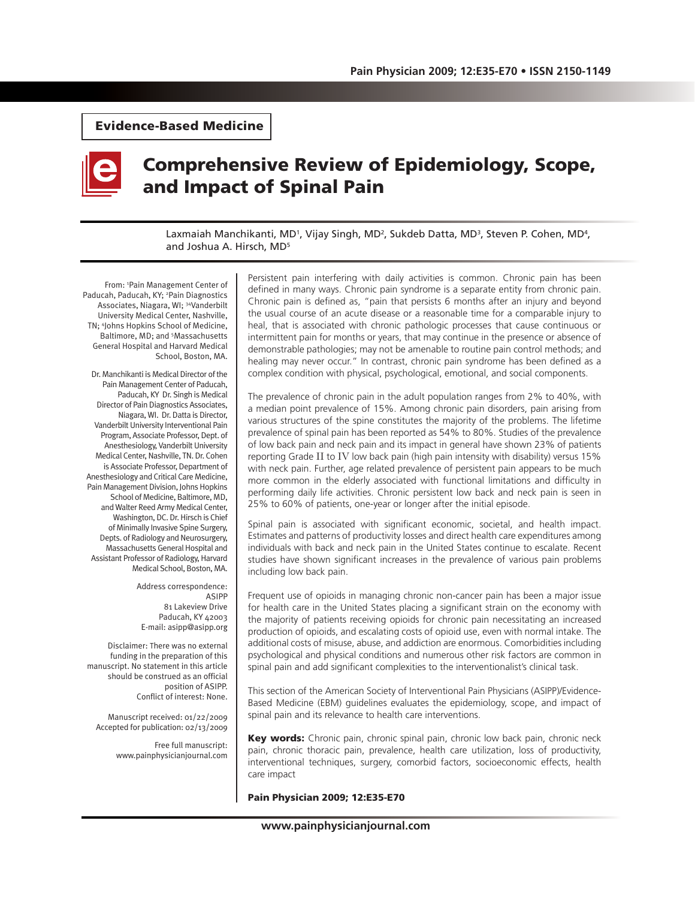# Evidence-Based Medicine



# Comprehensive Review of Epidemiology, Scope, and Impact of Spinal Pain

Laxmaiah Manchikanti, MD<sup>1</sup>, Vijay Singh, MD<sup>2</sup>, Sukdeb Datta, MD<sup>3</sup>, Steven P. Cohen, MD<sup>4</sup>, and Joshua A. Hirsch, MD<sup>5</sup>

From: 1 Pain Management Center of Paducah, Paducah, KY; <sup>2</sup> Pain Diagnostics Associates, Niagara, WI; 34Vanderbilt University Medical Center, Nashville, TN; 4 Johns Hopkins School of Medicine, Baltimore, MD; and 5 Massachusetts General Hospital and Harvard Medical School, Boston, MA.

Dr. Manchikanti is Medical Director of the Pain Management Center of Paducah, Paducah, KY Dr. Singh is Medical Director of Pain Diagnostics Associates, Niagara, WI. Dr. Datta is Director, Vanderbilt University Interventional Pain Program, Associate Professor, Dept. of Anesthesiology, Vanderbilt University Medical Center, Nashville, TN. Dr. Cohen is Associate Professor, Department of Anesthesiology and Critical Care Medicine, Pain Management Division, Johns Hopkins School of Medicine, Baltimore, MD, and Walter Reed Army Medical Center, Washington, DC. Dr. Hirsch is Chief of Minimally Invasive Spine Surgery, Depts. of Radiology and Neurosurgery, Massachusetts General Hospital and Assistant Professor of Radiology, Harvard Medical School, Boston, MA.

> Address correspondence: ASIPP 81 Lakeview Drive Paducah, KY 42003 E-mail: asipp@asipp.org

Disclaimer: There was no external funding in the preparation of this manuscript. No statement in this article should be construed as an official position of ASIPP. Conflict of interest: None.

Manuscript received: 01/22/2009 Accepted for publication: 02/13/2009

> Free full manuscript: www.painphysicianjournal.com

Persistent pain interfering with daily activities is common. Chronic pain has been defined in many ways. Chronic pain syndrome is a separate entity from chronic pain. Chronic pain is defined as, "pain that persists 6 months after an injury and beyond the usual course of an acute disease or a reasonable time for a comparable injury to heal, that is associated with chronic pathologic processes that cause continuous or intermittent pain for months or years, that may continue in the presence or absence of demonstrable pathologies; may not be amenable to routine pain control methods; and healing may never occur." In contrast, chronic pain syndrome has been defined as a complex condition with physical, psychological, emotional, and social components.

The prevalence of chronic pain in the adult population ranges from 2% to 40%, with a median point prevalence of 15%. Among chronic pain disorders, pain arising from various structures of the spine constitutes the majority of the problems. The lifetime prevalence of spinal pain has been reported as 54% to 80%. Studies of the prevalence of low back pain and neck pain and its impact in general have shown 23% of patients reporting Grade II to IV low back pain (high pain intensity with disability) versus 15% with neck pain. Further, age related prevalence of persistent pain appears to be much more common in the elderly associated with functional limitations and difficulty in performing daily life activities. Chronic persistent low back and neck pain is seen in 25% to 60% of patients, one-year or longer after the initial episode.

Spinal pain is associated with significant economic, societal, and health impact. Estimates and patterns of productivity losses and direct health care expenditures among individuals with back and neck pain in the United States continue to escalate. Recent studies have shown significant increases in the prevalence of various pain problems including low back pain.

Frequent use of opioids in managing chronic non-cancer pain has been a major issue for health care in the United States placing a significant strain on the economy with the majority of patients receiving opioids for chronic pain necessitating an increased production of opioids, and escalating costs of opioid use, even with normal intake. The additional costs of misuse, abuse, and addiction are enormous. Comorbidities including psychological and physical conditions and numerous other risk factors are common in spinal pain and add significant complexities to the interventionalist's clinical task.

This section of the American Society of Interventional Pain Physicians (ASIPP)/Evidence-Based Medicine (EBM) guidelines evaluates the epidemiology, scope, and impact of spinal pain and its relevance to health care interventions.

Key words: Chronic pain, chronic spinal pain, chronic low back pain, chronic neck pain, chronic thoracic pain, prevalence, health care utilization, loss of productivity, interventional techniques, surgery, comorbid factors, socioeconomic effects, health care impact

#### Pain Physician 2009; 12:E35-E70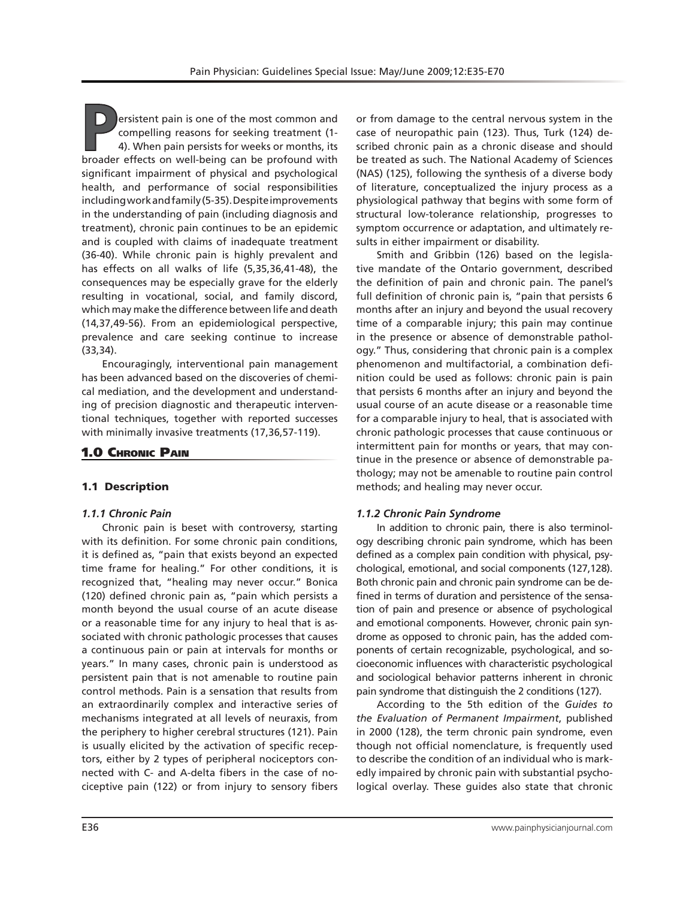**P**ersistent pain is one of the most common and compelling reasons for seeking treatment (1- 4). When pain persists for weeks or months, its broader effects on well-being can be profound with significant impairment of physical and psychological health, and performance of social responsibilities including work and family (5-35). Despite improvements in the understanding of pain (including diagnosis and treatment), chronic pain continues to be an epidemic and is coupled with claims of inadequate treatment (36-40). While chronic pain is highly prevalent and has effects on all walks of life (5,35,36,41-48), the consequences may be especially grave for the elderly resulting in vocational, social, and family discord, which may make the difference between life and death (14,37,49-56). From an epidemiological perspective, prevalence and care seeking continue to increase (33,34).

Encouragingly, interventional pain management has been advanced based on the discoveries of chemical mediation, and the development and understanding of precision diagnostic and therapeutic interventional techniques, together with reported successes with minimally invasive treatments (17,36,57-119).

# 1.0 Chronic Pain

# 1.1 Description

#### *1.1.1 Chronic Pain*

Chronic pain is beset with controversy, starting with its definition. For some chronic pain conditions, it is defined as, "pain that exists beyond an expected time frame for healing." For other conditions, it is recognized that, "healing may never occur." Bonica (120) defined chronic pain as, "pain which persists a month beyond the usual course of an acute disease or a reasonable time for any injury to heal that is associated with chronic pathologic processes that causes a continuous pain or pain at intervals for months or years." In many cases, chronic pain is understood as persistent pain that is not amenable to routine pain control methods. Pain is a sensation that results from an extraordinarily complex and interactive series of mechanisms integrated at all levels of neuraxis, from the periphery to higher cerebral structures (121). Pain is usually elicited by the activation of specific receptors, either by 2 types of peripheral nociceptors connected with C- and A-delta fibers in the case of nociceptive pain (122) or from injury to sensory fibers

or from damage to the central nervous system in the case of neuropathic pain (123). Thus, Turk (124) described chronic pain as a chronic disease and should be treated as such. The National Academy of Sciences (NAS) (125), following the synthesis of a diverse body of literature, conceptualized the injury process as a physiological pathway that begins with some form of structural low-tolerance relationship, progresses to symptom occurrence or adaptation, and ultimately results in either impairment or disability.

Smith and Gribbin (126) based on the legislative mandate of the Ontario government, described the definition of pain and chronic pain. The panel's full definition of chronic pain is, "pain that persists 6 months after an injury and beyond the usual recovery time of a comparable injury; this pain may continue in the presence or absence of demonstrable pathology." Thus, considering that chronic pain is a complex phenomenon and multifactorial, a combination definition could be used as follows: chronic pain is pain that persists 6 months after an injury and beyond the usual course of an acute disease or a reasonable time for a comparable injury to heal, that is associated with chronic pathologic processes that cause continuous or intermittent pain for months or years, that may continue in the presence or absence of demonstrable pathology; may not be amenable to routine pain control methods; and healing may never occur.

#### *1.1.2 Chronic Pain Syndrome*

In addition to chronic pain, there is also terminology describing chronic pain syndrome, which has been defined as a complex pain condition with physical, psychological, emotional, and social components (127,128). Both chronic pain and chronic pain syndrome can be defined in terms of duration and persistence of the sensation of pain and presence or absence of psychological and emotional components. However, chronic pain syndrome as opposed to chronic pain, has the added components of certain recognizable, psychological, and socioeconomic influences with characteristic psychological and sociological behavior patterns inherent in chronic pain syndrome that distinguish the 2 conditions (127).

According to the 5th edition of the *Guides to the Evaluation of Permanent Impairment*, published in 2000 (128), the term chronic pain syndrome, even though not official nomenclature, is frequently used to describe the condition of an individual who is markedly impaired by chronic pain with substantial psychological overlay. These guides also state that chronic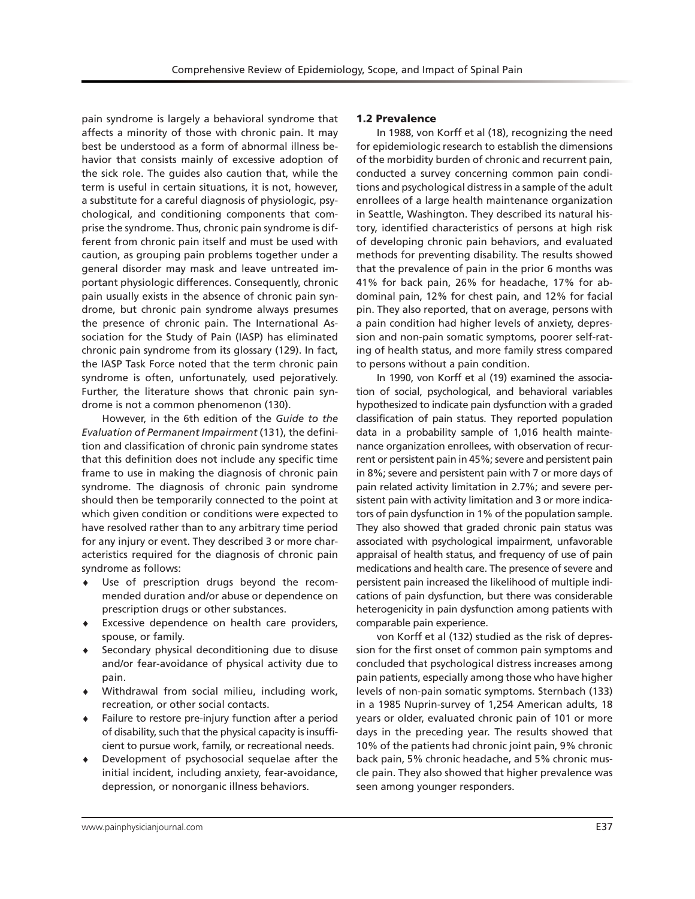pain syndrome is largely a behavioral syndrome that affects a minority of those with chronic pain. It may best be understood as a form of abnormal illness behavior that consists mainly of excessive adoption of the sick role. The guides also caution that, while the term is useful in certain situations, it is not, however, a substitute for a careful diagnosis of physiologic, psychological, and conditioning components that comprise the syndrome. Thus, chronic pain syndrome is different from chronic pain itself and must be used with caution, as grouping pain problems together under a general disorder may mask and leave untreated important physiologic differences. Consequently, chronic pain usually exists in the absence of chronic pain syndrome, but chronic pain syndrome always presumes the presence of chronic pain. The International Association for the Study of Pain (IASP) has eliminated chronic pain syndrome from its glossary (129). In fact, the IASP Task Force noted that the term chronic pain syndrome is often, unfortunately, used pejoratively. Further, the literature shows that chronic pain syndrome is not a common phenomenon (130).

However, in the 6th edition of the *Guide to the Evaluation of Permanent Impairment* (131), the definition and classification of chronic pain syndrome states that this definition does not include any specific time frame to use in making the diagnosis of chronic pain syndrome. The diagnosis of chronic pain syndrome should then be temporarily connected to the point at which given condition or conditions were expected to have resolved rather than to any arbitrary time period for any injury or event. They described 3 or more characteristics required for the diagnosis of chronic pain syndrome as follows:

- ♦ Use of prescription drugs beyond the recommended duration and/or abuse or dependence on prescription drugs or other substances.
- ♦ Excessive dependence on health care providers, spouse, or family.
- Secondary physical deconditioning due to disuse and/or fear-avoidance of physical activity due to pain.
- Withdrawal from social milieu, including work, recreation, or other social contacts.
- Failure to restore pre-injury function after a period of disability, such that the physical capacity is insufficient to pursue work, family, or recreational needs.
- Development of psychosocial sequelae after the initial incident, including anxiety, fear-avoidance, depression, or nonorganic illness behaviors.

#### 1.2 Prevalence

In 1988, von Korff et al (18), recognizing the need for epidemiologic research to establish the dimensions of the morbidity burden of chronic and recurrent pain, conducted a survey concerning common pain conditions and psychological distress in a sample of the adult enrollees of a large health maintenance organization in Seattle, Washington. They described its natural history, identified characteristics of persons at high risk of developing chronic pain behaviors, and evaluated methods for preventing disability. The results showed that the prevalence of pain in the prior 6 months was 41% for back pain, 26% for headache, 17% for abdominal pain, 12% for chest pain, and 12% for facial pin. They also reported, that on average, persons with a pain condition had higher levels of anxiety, depression and non-pain somatic symptoms, poorer self-rating of health status, and more family stress compared to persons without a pain condition.

In 1990, von Korff et al (19) examined the association of social, psychological, and behavioral variables hypothesized to indicate pain dysfunction with a graded classification of pain status. They reported population data in a probability sample of 1,016 health maintenance organization enrollees, with observation of recurrent or persistent pain in 45%; severe and persistent pain in 8%; severe and persistent pain with 7 or more days of pain related activity limitation in 2.7%; and severe persistent pain with activity limitation and 3 or more indicators of pain dysfunction in 1% of the population sample. They also showed that graded chronic pain status was associated with psychological impairment, unfavorable appraisal of health status, and frequency of use of pain medications and health care. The presence of severe and persistent pain increased the likelihood of multiple indications of pain dysfunction, but there was considerable heterogenicity in pain dysfunction among patients with comparable pain experience.

von Korff et al (132) studied as the risk of depression for the first onset of common pain symptoms and concluded that psychological distress increases among pain patients, especially among those who have higher levels of non-pain somatic symptoms. Sternbach (133) in a 1985 Nuprin-survey of 1,254 American adults, 18 years or older, evaluated chronic pain of 101 or more days in the preceding year. The results showed that 10% of the patients had chronic joint pain, 9% chronic back pain, 5% chronic headache, and 5% chronic muscle pain. They also showed that higher prevalence was seen among younger responders.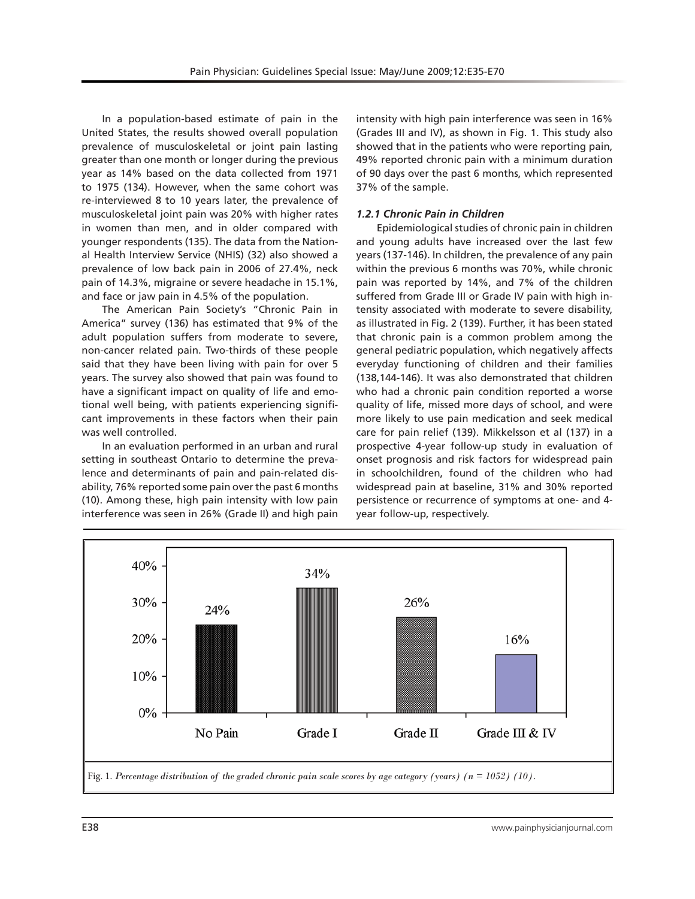In a population-based estimate of pain in the United States, the results showed overall population prevalence of musculoskeletal or joint pain lasting greater than one month or longer during the previous year as 14% based on the data collected from 1971 to 1975 (134). However, when the same cohort was re-interviewed 8 to 10 years later, the prevalence of musculoskeletal joint pain was 20% with higher rates in women than men, and in older compared with younger respondents (135). The data from the National Health Interview Service (NHIS) (32) also showed a prevalence of low back pain in 2006 of 27.4%, neck pain of 14.3%, migraine or severe headache in 15.1%, and face or jaw pain in 4.5% of the population.

The American Pain Society's "Chronic Pain in America" survey (136) has estimated that 9% of the adult population suffers from moderate to severe, non-cancer related pain. Two-thirds of these people said that they have been living with pain for over 5 years. The survey also showed that pain was found to have a significant impact on quality of life and emotional well being, with patients experiencing significant improvements in these factors when their pain was well controlled.

In an evaluation performed in an urban and rural setting in southeast Ontario to determine the prevalence and determinants of pain and pain-related disability, 76% reported some pain over the past 6 months (10). Among these, high pain intensity with low pain interference was seen in 26% (Grade II) and high pain

intensity with high pain interference was seen in 16% (Grades III and IV), as shown in Fig. 1. This study also showed that in the patients who were reporting pain, 49% reported chronic pain with a minimum duration of 90 days over the past 6 months, which represented 37% of the sample.

# *1.2.1 Chronic Pain in Children*

Epidemiological studies of chronic pain in children and young adults have increased over the last few years (137-146). In children, the prevalence of any pain within the previous 6 months was 70%, while chronic pain was reported by 14%, and 7% of the children suffered from Grade III or Grade IV pain with high intensity associated with moderate to severe disability, as illustrated in Fig. 2 (139). Further, it has been stated that chronic pain is a common problem among the general pediatric population, which negatively affects everyday functioning of children and their families (138,144-146). It was also demonstrated that children who had a chronic pain condition reported a worse quality of life, missed more days of school, and were more likely to use pain medication and seek medical care for pain relief (139). Mikkelsson et al (137) in a prospective 4-year follow-up study in evaluation of onset prognosis and risk factors for widespread pain in schoolchildren, found of the children who had widespread pain at baseline, 31% and 30% reported persistence or recurrence of symptoms at one- and 4 year follow-up, respectively.

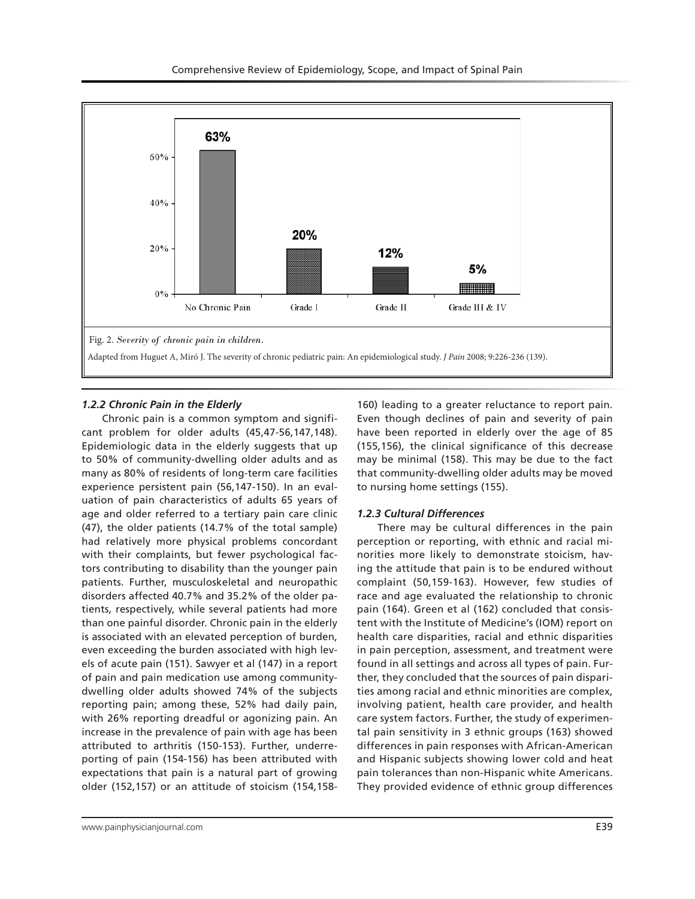

## *1.2.2 Chronic Pain in the Elderly*

Chronic pain is a common symptom and significant problem for older adults (45,47-56,147,148). Epidemiologic data in the elderly suggests that up to 50% of community-dwelling older adults and as many as 80% of residents of long-term care facilities experience persistent pain (56,147-150). In an evaluation of pain characteristics of adults 65 years of age and older referred to a tertiary pain care clinic (47), the older patients (14.7% of the total sample) had relatively more physical problems concordant with their complaints, but fewer psychological factors contributing to disability than the younger pain patients. Further, musculoskeletal and neuropathic disorders affected 40.7% and 35.2% of the older patients, respectively, while several patients had more than one painful disorder. Chronic pain in the elderly is associated with an elevated perception of burden, even exceeding the burden associated with high levels of acute pain (151). Sawyer et al (147) in a report of pain and pain medication use among communitydwelling older adults showed 74% of the subjects reporting pain; among these, 52% had daily pain, with 26% reporting dreadful or agonizing pain. An increase in the prevalence of pain with age has been attributed to arthritis (150-153). Further, underreporting of pain (154-156) has been attributed with expectations that pain is a natural part of growing older (152,157) or an attitude of stoicism (154,158-

to nursing home settings (155).

*1.2.3 Cultural Differences*

race and age evaluated the relationship to chronic pain (164). Green et al (162) concluded that consistent with the Institute of Medicine's (IOM) report on health care disparities, racial and ethnic disparities in pain perception, assessment, and treatment were found in all settings and across all types of pain. Further, they concluded that the sources of pain disparities among racial and ethnic minorities are complex, involving patient, health care provider, and health care system factors. Further, the study of experimental pain sensitivity in 3 ethnic groups (163) showed differences in pain responses with African-American and Hispanic subjects showing lower cold and heat pain tolerances than non-Hispanic white Americans. They provided evidence of ethnic group differences

160) leading to a greater reluctance to report pain. Even though declines of pain and severity of pain have been reported in elderly over the age of 85 (155,156), the clinical significance of this decrease may be minimal (158). This may be due to the fact that community-dwelling older adults may be moved

There may be cultural differences in the pain perception or reporting, with ethnic and racial minorities more likely to demonstrate stoicism, having the attitude that pain is to be endured without complaint (50,159-163). However, few studies of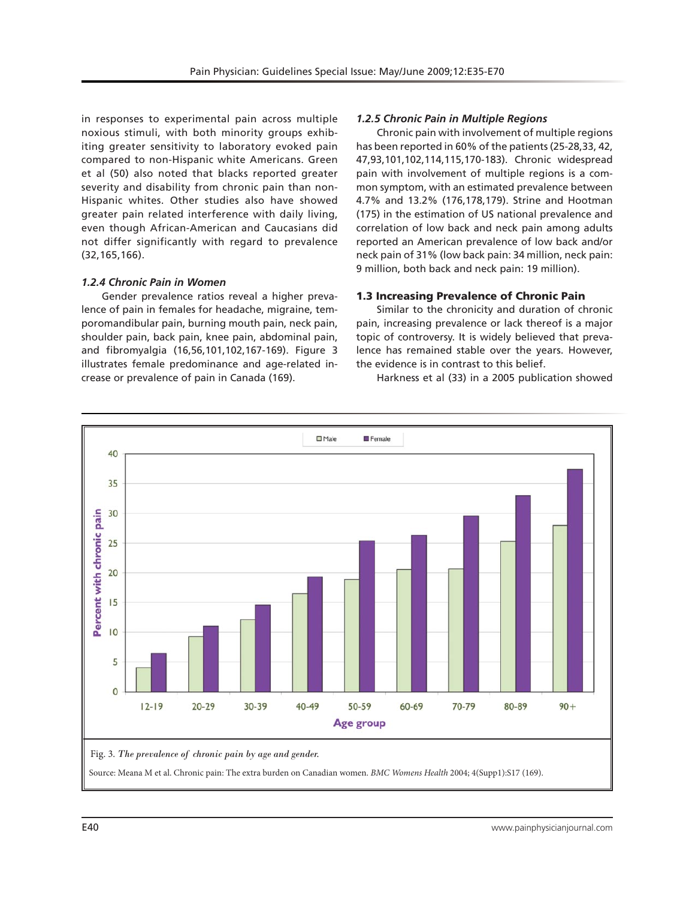in responses to experimental pain across multiple noxious stimuli, with both minority groups exhibiting greater sensitivity to laboratory evoked pain compared to non-Hispanic white Americans. Green et al (50) also noted that blacks reported greater severity and disability from chronic pain than non-Hispanic whites. Other studies also have showed greater pain related interference with daily living, even though African-American and Caucasians did not differ significantly with regard to prevalence (32,165,166).

# *1.2.4 Chronic Pain in Women*

Gender prevalence ratios reveal a higher prevalence of pain in females for headache, migraine, temporomandibular pain, burning mouth pain, neck pain, shoulder pain, back pain, knee pain, abdominal pain, and fibromyalgia (16,56,101,102,167-169). Figure 3 illustrates female predominance and age-related increase or prevalence of pain in Canada (169).

# *1.2.5 Chronic Pain in Multiple Regions*

Chronic pain with involvement of multiple regions has been reported in 60% of the patients (25-28,33, 42, 47,93,101,102,114,115,170-183). Chronic widespread pain with involvement of multiple regions is a common symptom, with an estimated prevalence between 4.7% and 13.2% (176,178,179). Strine and Hootman (175) in the estimation of US national prevalence and correlation of low back and neck pain among adults reported an American prevalence of low back and/or neck pain of 31% (low back pain: 34 million, neck pain: 9 million, both back and neck pain: 19 million).

## 1.3 Increasing Prevalence of Chronic Pain

Similar to the chronicity and duration of chronic pain, increasing prevalence or lack thereof is a major topic of controversy. It is widely believed that prevalence has remained stable over the years. However, the evidence is in contrast to this belief.

Harkness et al (33) in a 2005 publication showed

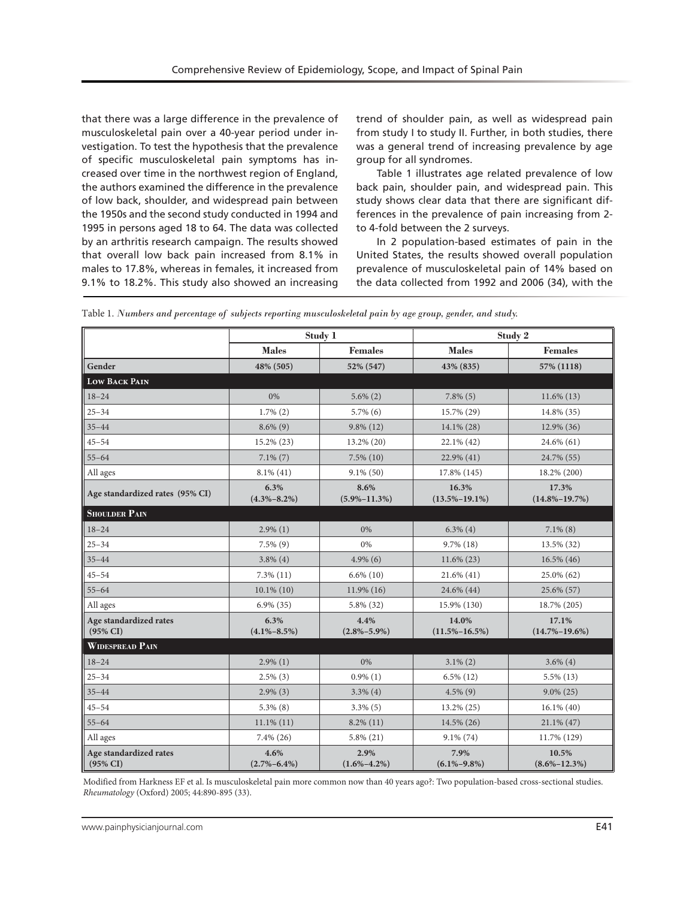that there was a large difference in the prevalence of musculoskeletal pain over a 40-year period under investigation. To test the hypothesis that the prevalence of specific musculoskeletal pain symptoms has increased over time in the northwest region of England, the authors examined the difference in the prevalence of low back, shoulder, and widespread pain between the 1950s and the second study conducted in 1994 and 1995 in persons aged 18 to 64. The data was collected by an arthritis research campaign. The results showed that overall low back pain increased from 8.1% in males to 17.8%, whereas in females, it increased from 9.1% to 18.2%. This study also showed an increasing

trend of shoulder pain, as well as widespread pain from study I to study II. Further, in both studies, there was a general trend of increasing prevalence by age group for all syndromes.

Table 1 illustrates age related prevalence of low back pain, shoulder pain, and widespread pain. This study shows clear data that there are significant differences in the prevalence of pain increasing from 2 to 4-fold between the 2 surveys.

In 2 population-based estimates of pain in the United States, the results showed overall population prevalence of musculoskeletal pain of 14% based on the data collected from 1992 and 2006 (34), with the

|                                               | Study 1                   |                            | Study 2                      |                              |
|-----------------------------------------------|---------------------------|----------------------------|------------------------------|------------------------------|
|                                               | <b>Males</b>              | <b>Females</b>             | <b>Males</b>                 | <b>Females</b>               |
| Gender                                        | 48% (505)                 | 52% (547)                  | 43% (835)                    | 57% (1118)                   |
| <b>LOW BACK PAIN</b>                          |                           |                            |                              |                              |
| $18 - 24$                                     | 0%                        | $5.6\%$ $(2)$              | $7.8\%$ (5)                  | $11.6\%$ (13)                |
| $25 - 34$                                     | $1.7\%$ $(2)$             | $5.7\%$ (6)                | 15.7% (29)                   | 14.8% (35)                   |
| $35 - 44$                                     | $8.6\%$ (9)               | $9.8\%$ (12)               | $14.1\%$ (28)                | 12.9% (36)                   |
| $45 - 54$                                     | 15.2% (23)                | 13.2% (20)                 | 22.1% (42)                   | 24.6% (61)                   |
| $55 - 64$                                     | $7.1\%$ $(7)$             | $7.5\%$ $(10)$             | 22.9% (41)                   | 24.7% (55)                   |
| All ages                                      | $8.1\%$ (41)              | $9.1\%$ (50)               | 17.8% (145)                  | 18.2% (200)                  |
| Age standardized rates (95% CI)               | 6.3%<br>$(4.3\% - 8.2\%)$ | 8.6%<br>$(5.9\% - 11.3\%)$ | 16.3%<br>$(13.5\% - 19.1\%)$ | 17.3%<br>$(14.8\% - 19.7\%)$ |
| <b>SHOULDER PAIN</b>                          |                           |                            |                              |                              |
| $18 - 24$                                     | $2.9\%$ (1)               | 0%                         | $6.3\%$ (4)                  | $7.1\%$ (8)                  |
| $25 - 34$                                     | $7.5\%$ $(9)$             | 0%                         | $9.7\%$ (18)                 | 13.5% (32)                   |
| $35 - 44$                                     | $3.8\%$ (4)               | $4.9\%$ (6)                | $11.6\%$ (23)                | 16.5% (46)                   |
| $45 - 54$                                     | $7.3\%$ $(11)$            | $6.6\%$ (10)               | $21.6\%$ (41)                | 25.0% (62)                   |
| $55 - 64$                                     | $10.1\%$ (10)             | 11.9% (16)                 | 24.6% (44)                   | 25.6% (57)                   |
| All ages                                      | $6.9\%$ (35)              | 5.8% (32)                  | 15.9% (130)                  | 18.7% (205)                  |
| Age standardized rates<br>$(95\% \text{ CI})$ | 6.3%<br>$(4.1\% - 8.5\%)$ | 4.4%<br>$(2.8\% - 5.9\%)$  | 14.0%<br>$(11.5\% - 16.5\%)$ | 17.1%<br>$(14.7\% - 19.6\%)$ |
| <b>WIDESPREAD PAIN</b>                        |                           |                            |                              |                              |
| $18 - 24$                                     | $2.9\%$ (1)               | 0%                         | $3.1\%$ (2)                  | $3.6\%$ (4)                  |
| $25 - 34$                                     | $2.5\%$ (3)               | $0.9\%$ (1)                | $6.5\%$ (12)                 | $5.5\%$ (13)                 |
| $35 - 44$                                     | $2.9\%$ (3)               | $3.3\%$ (4)                | $4.5\%$ (9)                  | $9.0\%$ (25)                 |
| $45 - 54$                                     | $5.3\%$ (8)               | $3.3\%$ (5)                | 13.2% (25)                   | $16.1\%$ (40)                |
| $55 - 64$                                     | $11.1\%$ (11)             | $8.2\%$ (11)               | 14.5% (26)                   | $21.1\%$ (47)                |
| All ages                                      | $7.4\%$ (26)              | $5.8\%$ (21)               | $9.1\%$ (74)                 | 11.7% (129)                  |
| Age standardized rates<br>$(95\% \text{ CI})$ | 4.6%<br>$(2.7\% - 6.4\%)$ | 2.9%<br>$(1.6\% - 4.2\%)$  | 7.9%<br>$(6.1\% - 9.8\%)$    | 10.5%<br>$(8.6\% - 12.3\%)$  |

Table 1. *Numbers and percentage of subjects reporting musculoskeletal pain by age group, gender, and study.*

Modified from Harkness EF et al. Is musculoskeletal pain more common now than 40 years ago?: Two population-based cross-sectional studies. *Rheumatology* (Oxford) 2005; 44:890-895 (33).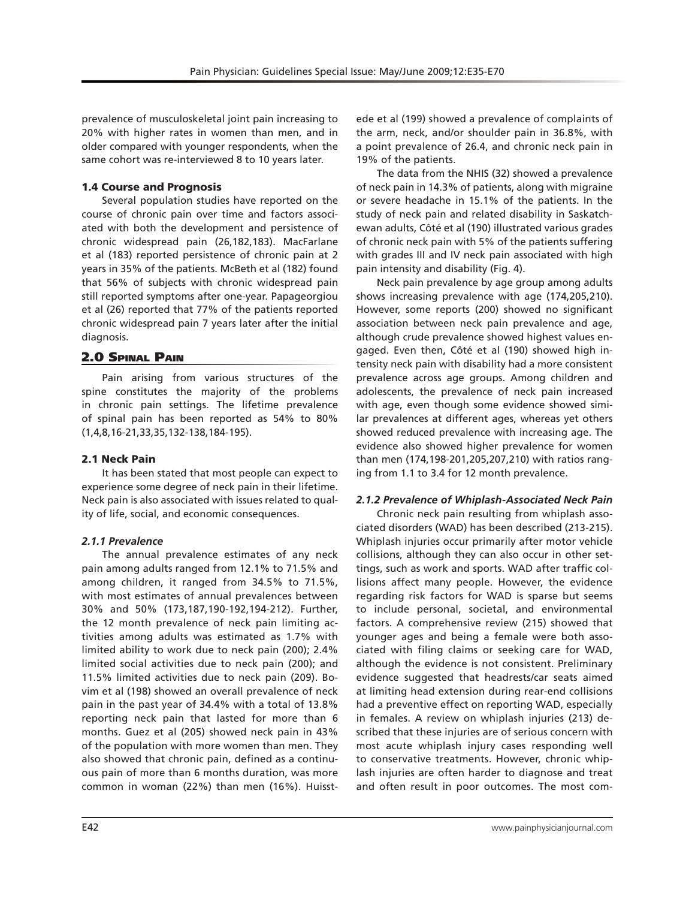prevalence of musculoskeletal joint pain increasing to 20% with higher rates in women than men, and in older compared with younger respondents, when the same cohort was re-interviewed 8 to 10 years later.

# 1.4 Course and Prognosis

Several population studies have reported on the course of chronic pain over time and factors associated with both the development and persistence of chronic widespread pain (26,182,183). MacFarlane et al (183) reported persistence of chronic pain at 2 years in 35% of the patients. McBeth et al (182) found that 56% of subjects with chronic widespread pain still reported symptoms after one-year. Papageorgiou et al (26) reported that 77% of the patients reported chronic widespread pain 7 years later after the initial diagnosis.

# 2.0 Spinal Pain

Pain arising from various structures of the spine constitutes the majority of the problems in chronic pain settings. The lifetime prevalence of spinal pain has been reported as 54% to 80% (1,4,8,16-21,33,35,132-138,184-195).

# 2.1 Neck Pain

It has been stated that most people can expect to experience some degree of neck pain in their lifetime. Neck pain is also associated with issues related to quality of life, social, and economic consequences.

# *2.1.1 Prevalence*

The annual prevalence estimates of any neck pain among adults ranged from 12.1% to 71.5% and among children, it ranged from 34.5% to 71.5%, with most estimates of annual prevalences between 30% and 50% (173,187,190-192,194-212). Further, the 12 month prevalence of neck pain limiting activities among adults was estimated as 1.7% with limited ability to work due to neck pain (200); 2.4% limited social activities due to neck pain (200); and 11.5% limited activities due to neck pain (209). Bovim et al (198) showed an overall prevalence of neck pain in the past year of 34.4% with a total of 13.8% reporting neck pain that lasted for more than 6 months. Guez et al (205) showed neck pain in 43% of the population with more women than men. They also showed that chronic pain, defined as a continuous pain of more than 6 months duration, was more common in woman (22%) than men (16%). Huisst-

ede et al (199) showed a prevalence of complaints of the arm, neck, and/or shoulder pain in 36.8%, with a point prevalence of 26.4, and chronic neck pain in 19% of the patients.

The data from the NHIS (32) showed a prevalence of neck pain in 14.3% of patients, along with migraine or severe headache in 15.1% of the patients. In the study of neck pain and related disability in Saskatchewan adults, Côté et al (190) illustrated various grades of chronic neck pain with 5% of the patients suffering with grades III and IV neck pain associated with high pain intensity and disability (Fig. 4).

Neck pain prevalence by age group among adults shows increasing prevalence with age (174,205,210). However, some reports (200) showed no significant association between neck pain prevalence and age, although crude prevalence showed highest values engaged. Even then, Côté et al (190) showed high intensity neck pain with disability had a more consistent prevalence across age groups. Among children and adolescents, the prevalence of neck pain increased with age, even though some evidence showed similar prevalences at different ages, whereas yet others showed reduced prevalence with increasing age. The evidence also showed higher prevalence for women than men (174,198-201,205,207,210) with ratios ranging from 1.1 to 3.4 for 12 month prevalence.

# *2.1.2 Prevalence of Whiplash-Associated Neck Pain*

Chronic neck pain resulting from whiplash associated disorders (WAD) has been described (213-215). Whiplash injuries occur primarily after motor vehicle collisions, although they can also occur in other settings, such as work and sports. WAD after traffic collisions affect many people. However, the evidence regarding risk factors for WAD is sparse but seems to include personal, societal, and environmental factors. A comprehensive review (215) showed that younger ages and being a female were both associated with filing claims or seeking care for WAD, although the evidence is not consistent. Preliminary evidence suggested that headrests/car seats aimed at limiting head extension during rear-end collisions had a preventive effect on reporting WAD, especially in females. A review on whiplash injuries (213) described that these injuries are of serious concern with most acute whiplash injury cases responding well to conservative treatments. However, chronic whiplash injuries are often harder to diagnose and treat and often result in poor outcomes. The most com-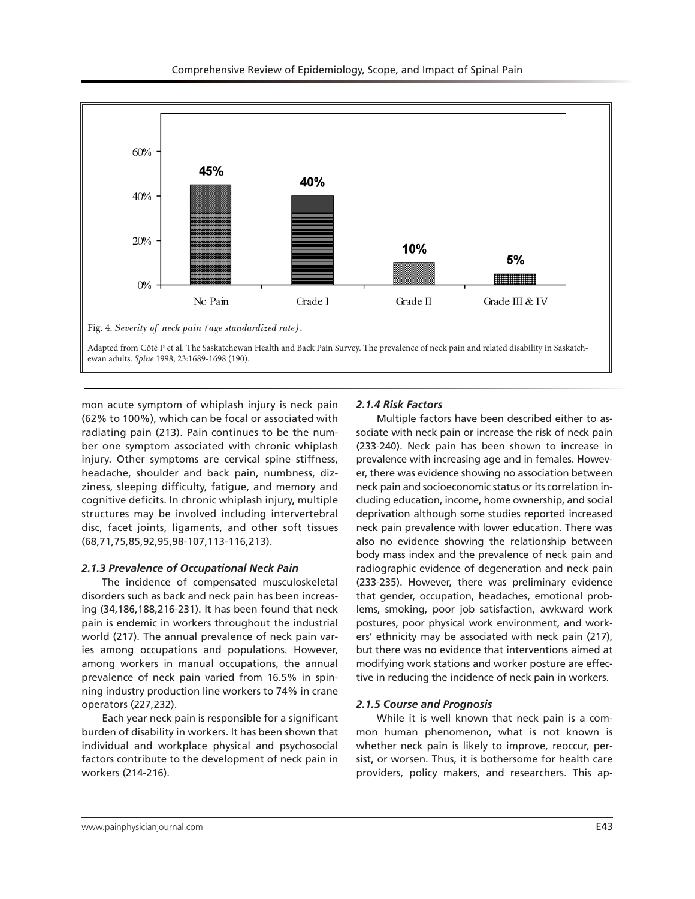

mon acute symptom of whiplash injury is neck pain (62% to 100%), which can be focal or associated with radiating pain (213). Pain continues to be the number one symptom associated with chronic whiplash injury. Other symptoms are cervical spine stiffness, headache, shoulder and back pain, numbness, dizziness, sleeping difficulty, fatigue, and memory and cognitive deficits. In chronic whiplash injury, multiple structures may be involved including intervertebral disc, facet joints, ligaments, and other soft tissues (68,71,75,85,92,95,98-107,113-116,213).

# *2.1.3 Prevalence of Occupational Neck Pain*

The incidence of compensated musculoskeletal disorders such as back and neck pain has been increasing (34,186,188,216-231). It has been found that neck pain is endemic in workers throughout the industrial world (217). The annual prevalence of neck pain varies among occupations and populations. However, among workers in manual occupations, the annual prevalence of neck pain varied from 16.5% in spinning industry production line workers to 74% in crane operators (227,232).

Each year neck pain is responsible for a significant burden of disability in workers. It has been shown that individual and workplace physical and psychosocial factors contribute to the development of neck pain in workers (214-216).

# *2.1.4 Risk Factors*

Multiple factors have been described either to associate with neck pain or increase the risk of neck pain (233-240). Neck pain has been shown to increase in prevalence with increasing age and in females. However, there was evidence showing no association between neck pain and socioeconomic status or its correlation including education, income, home ownership, and social deprivation although some studies reported increased neck pain prevalence with lower education. There was also no evidence showing the relationship between body mass index and the prevalence of neck pain and radiographic evidence of degeneration and neck pain (233-235). However, there was preliminary evidence that gender, occupation, headaches, emotional problems, smoking, poor job satisfaction, awkward work postures, poor physical work environment, and workers' ethnicity may be associated with neck pain (217), but there was no evidence that interventions aimed at modifying work stations and worker posture are effective in reducing the incidence of neck pain in workers.

# *2.1.5 Course and Prognosis*

While it is well known that neck pain is a common human phenomenon, what is not known is whether neck pain is likely to improve, reoccur, persist, or worsen. Thus, it is bothersome for health care providers, policy makers, and researchers. This ap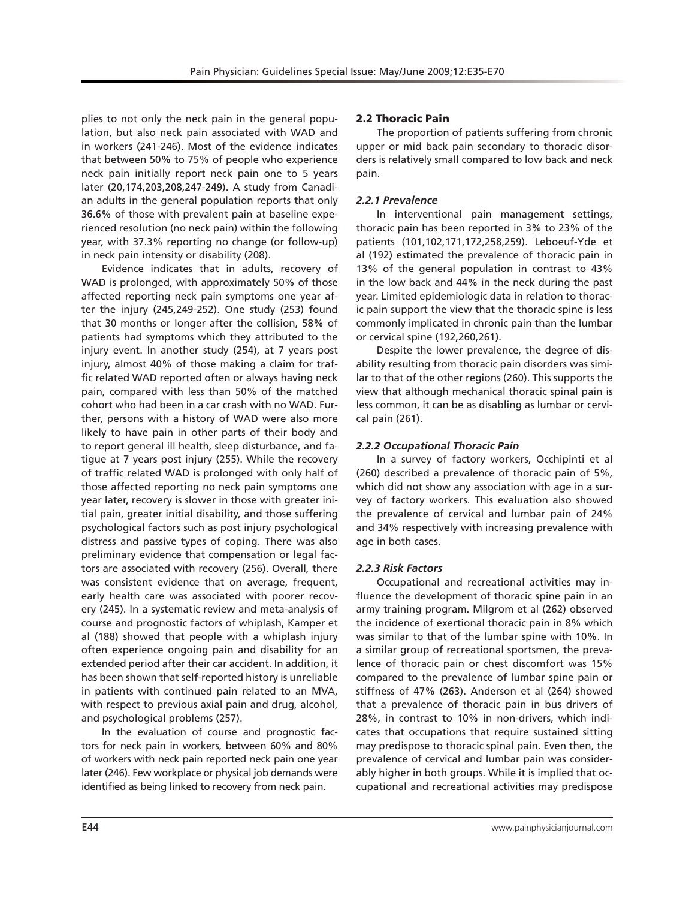plies to not only the neck pain in the general population, but also neck pain associated with WAD and in workers (241-246). Most of the evidence indicates that between 50% to 75% of people who experience neck pain initially report neck pain one to 5 years later (20,174,203,208,247-249). A study from Canadian adults in the general population reports that only 36.6% of those with prevalent pain at baseline experienced resolution (no neck pain) within the following year, with 37.3% reporting no change (or follow-up) in neck pain intensity or disability (208).

Evidence indicates that in adults, recovery of WAD is prolonged, with approximately 50% of those affected reporting neck pain symptoms one year after the injury (245,249-252). One study (253) found that 30 months or longer after the collision, 58% of patients had symptoms which they attributed to the injury event. In another study (254), at 7 years post injury, almost 40% of those making a claim for traffic related WAD reported often or always having neck pain, compared with less than 50% of the matched cohort who had been in a car crash with no WAD. Further, persons with a history of WAD were also more likely to have pain in other parts of their body and to report general ill health, sleep disturbance, and fatigue at 7 years post injury (255). While the recovery of traffic related WAD is prolonged with only half of those affected reporting no neck pain symptoms one year later, recovery is slower in those with greater initial pain, greater initial disability, and those suffering psychological factors such as post injury psychological distress and passive types of coping. There was also preliminary evidence that compensation or legal factors are associated with recovery (256). Overall, there was consistent evidence that on average, frequent, early health care was associated with poorer recovery (245). In a systematic review and meta-analysis of course and prognostic factors of whiplash, Kamper et al (188) showed that people with a whiplash injury often experience ongoing pain and disability for an extended period after their car accident. In addition, it has been shown that self-reported history is unreliable in patients with continued pain related to an MVA, with respect to previous axial pain and drug, alcohol, and psychological problems (257).

In the evaluation of course and prognostic factors for neck pain in workers, between 60% and 80% of workers with neck pain reported neck pain one year later (246). Few workplace or physical job demands were identified as being linked to recovery from neck pain.

# 2.2 Thoracic Pain

The proportion of patients suffering from chronic upper or mid back pain secondary to thoracic disorders is relatively small compared to low back and neck pain.

# *2.2.1 Prevalence*

In interventional pain management settings, thoracic pain has been reported in 3% to 23% of the patients (101,102,171,172,258,259). Leboeuf-Yde et al (192) estimated the prevalence of thoracic pain in 13% of the general population in contrast to 43% in the low back and 44% in the neck during the past year. Limited epidemiologic data in relation to thoracic pain support the view that the thoracic spine is less commonly implicated in chronic pain than the lumbar or cervical spine (192,260,261).

Despite the lower prevalence, the degree of disability resulting from thoracic pain disorders was similar to that of the other regions (260). This supports the view that although mechanical thoracic spinal pain is less common, it can be as disabling as lumbar or cervical pain (261).

# *2.2.2 Occupational Thoracic Pain*

In a survey of factory workers, Occhipinti et al (260) described a prevalence of thoracic pain of 5%, which did not show any association with age in a survey of factory workers. This evaluation also showed the prevalence of cervical and lumbar pain of 24% and 34% respectively with increasing prevalence with age in both cases.

# *2.2.3 Risk Factors*

Occupational and recreational activities may influence the development of thoracic spine pain in an army training program. Milgrom et al (262) observed the incidence of exertional thoracic pain in 8% which was similar to that of the lumbar spine with 10%. In a similar group of recreational sportsmen, the prevalence of thoracic pain or chest discomfort was 15% compared to the prevalence of lumbar spine pain or stiffness of 47% (263). Anderson et al (264) showed that a prevalence of thoracic pain in bus drivers of 28%, in contrast to 10% in non-drivers, which indicates that occupations that require sustained sitting may predispose to thoracic spinal pain. Even then, the prevalence of cervical and lumbar pain was considerably higher in both groups. While it is implied that occupational and recreational activities may predispose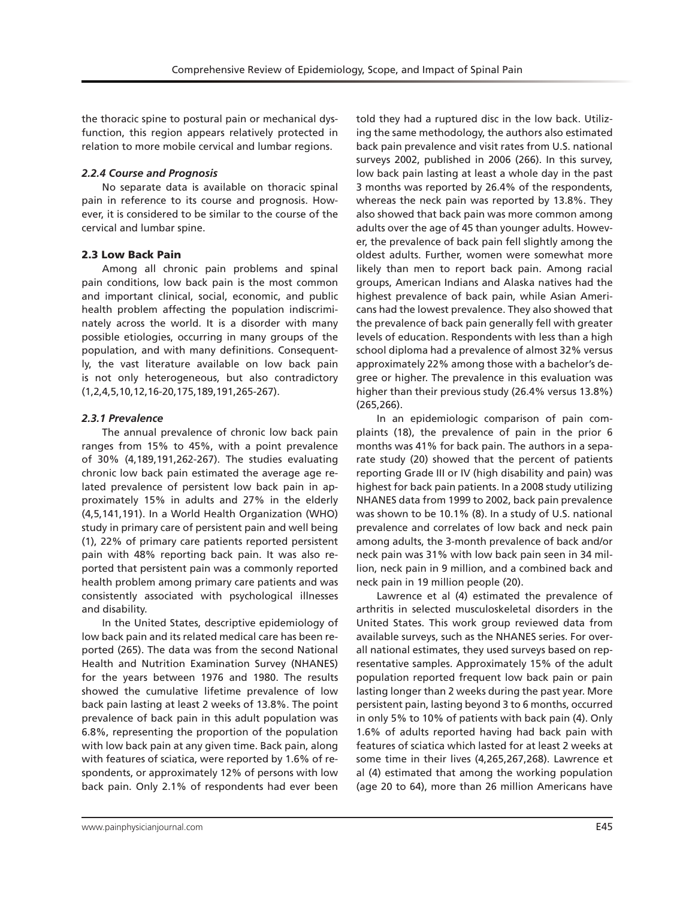the thoracic spine to postural pain or mechanical dysfunction, this region appears relatively protected in relation to more mobile cervical and lumbar regions.

## *2.2.4 Course and Prognosis*

No separate data is available on thoracic spinal pain in reference to its course and prognosis. However, it is considered to be similar to the course of the cervical and lumbar spine.

# 2.3 Low Back Pain

Among all chronic pain problems and spinal pain conditions, low back pain is the most common and important clinical, social, economic, and public health problem affecting the population indiscriminately across the world. It is a disorder with many possible etiologies, occurring in many groups of the population, and with many definitions. Consequently, the vast literature available on low back pain is not only heterogeneous, but also contradictory (1,2,4,5,10,12,16-20,175,189,191,265-267).

# *2.3.1 Prevalence*

The annual prevalence of chronic low back pain ranges from 15% to 45%, with a point prevalence of 30% (4,189,191,262-267). The studies evaluating chronic low back pain estimated the average age related prevalence of persistent low back pain in approximately 15% in adults and 27% in the elderly (4,5,141,191). In a World Health Organization (WHO) study in primary care of persistent pain and well being (1), 22% of primary care patients reported persistent pain with 48% reporting back pain. It was also reported that persistent pain was a commonly reported health problem among primary care patients and was consistently associated with psychological illnesses and disability.

In the United States, descriptive epidemiology of low back pain and its related medical care has been reported (265). The data was from the second National Health and Nutrition Examination Survey (NHANES) for the years between 1976 and 1980. The results showed the cumulative lifetime prevalence of low back pain lasting at least 2 weeks of 13.8%. The point prevalence of back pain in this adult population was 6.8%, representing the proportion of the population with low back pain at any given time. Back pain, along with features of sciatica, were reported by 1.6% of respondents, or approximately 12% of persons with low back pain. Only 2.1% of respondents had ever been

told they had a ruptured disc in the low back. Utilizing the same methodology, the authors also estimated back pain prevalence and visit rates from U.S. national surveys 2002, published in 2006 (266). In this survey, low back pain lasting at least a whole day in the past 3 months was reported by 26.4% of the respondents, whereas the neck pain was reported by 13.8%. They also showed that back pain was more common among adults over the age of 45 than younger adults. However, the prevalence of back pain fell slightly among the oldest adults. Further, women were somewhat more likely than men to report back pain. Among racial groups, American Indians and Alaska natives had the highest prevalence of back pain, while Asian Americans had the lowest prevalence. They also showed that the prevalence of back pain generally fell with greater levels of education. Respondents with less than a high school diploma had a prevalence of almost 32% versus approximately 22% among those with a bachelor's degree or higher. The prevalence in this evaluation was higher than their previous study (26.4% versus 13.8%) (265,266).

In an epidemiologic comparison of pain complaints (18), the prevalence of pain in the prior 6 months was 41% for back pain. The authors in a separate study (20) showed that the percent of patients reporting Grade III or IV (high disability and pain) was highest for back pain patients. In a 2008 study utilizing NHANES data from 1999 to 2002, back pain prevalence was shown to be 10.1% (8). In a study of U.S. national prevalence and correlates of low back and neck pain among adults, the 3-month prevalence of back and/or neck pain was 31% with low back pain seen in 34 million, neck pain in 9 million, and a combined back and neck pain in 19 million people (20).

Lawrence et al (4) estimated the prevalence of arthritis in selected musculoskeletal disorders in the United States. This work group reviewed data from available surveys, such as the NHANES series. For overall national estimates, they used surveys based on representative samples. Approximately 15% of the adult population reported frequent low back pain or pain lasting longer than 2 weeks during the past year. More persistent pain, lasting beyond 3 to 6 months, occurred in only 5% to 10% of patients with back pain (4). Only 1.6% of adults reported having had back pain with features of sciatica which lasted for at least 2 weeks at some time in their lives (4,265,267,268). Lawrence et al (4) estimated that among the working population (age 20 to 64), more than 26 million Americans have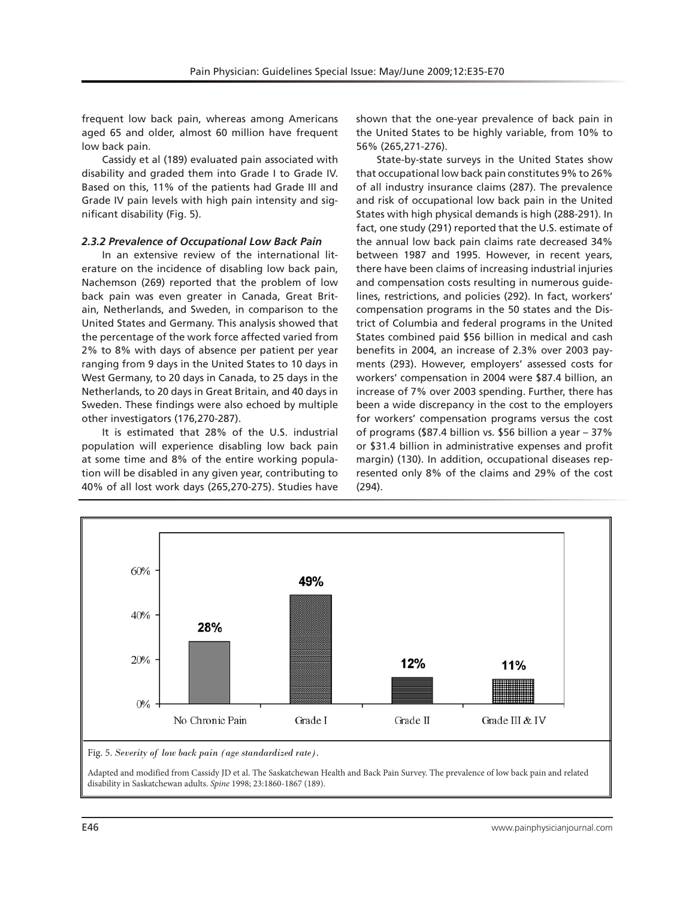frequent low back pain, whereas among Americans aged 65 and older, almost 60 million have frequent low back pain.

Cassidy et al (189) evaluated pain associated with disability and graded them into Grade I to Grade IV. Based on this, 11% of the patients had Grade III and Grade IV pain levels with high pain intensity and significant disability (Fig. 5).

## *2.3.2 Prevalence of Occupational Low Back Pain*

In an extensive review of the international literature on the incidence of disabling low back pain, Nachemson (269) reported that the problem of low back pain was even greater in Canada, Great Britain, Netherlands, and Sweden, in comparison to the United States and Germany. This analysis showed that the percentage of the work force affected varied from 2% to 8% with days of absence per patient per year ranging from 9 days in the United States to 10 days in West Germany, to 20 days in Canada, to 25 days in the Netherlands, to 20 days in Great Britain, and 40 days in Sweden. These findings were also echoed by multiple other investigators (176,270-287).

It is estimated that 28% of the U.S. industrial population will experience disabling low back pain at some time and 8% of the entire working population will be disabled in any given year, contributing to 40% of all lost work days (265,270-275). Studies have

shown that the one-year prevalence of back pain in the United States to be highly variable, from 10% to 56% (265,271-276).

State-by-state surveys in the United States show that occupational low back pain constitutes 9% to 26% of all industry insurance claims (287). The prevalence and risk of occupational low back pain in the United States with high physical demands is high (288-291). In fact, one study (291) reported that the U.S. estimate of the annual low back pain claims rate decreased 34% between 1987 and 1995. However, in recent years, there have been claims of increasing industrial injuries and compensation costs resulting in numerous guidelines, restrictions, and policies (292). In fact, workers' compensation programs in the 50 states and the District of Columbia and federal programs in the United States combined paid \$56 billion in medical and cash benefits in 2004, an increase of 2.3% over 2003 payments (293). However, employers' assessed costs for workers' compensation in 2004 were \$87.4 billion, an increase of 7% over 2003 spending. Further, there has been a wide discrepancy in the cost to the employers for workers' compensation programs versus the cost of programs (\$87.4 billion vs. \$56 billion a year – 37% or \$31.4 billion in administrative expenses and profit margin) (130). In addition, occupational diseases represented only 8% of the claims and 29% of the cost (294).



Adapted and modified from Cassidy JD et al. The Saskatchewan Health and Back Pain Survey. The prevalence of low back pain and related disability in Saskatchewan adults. *Spine* 1998; 23:1860-1867 (189).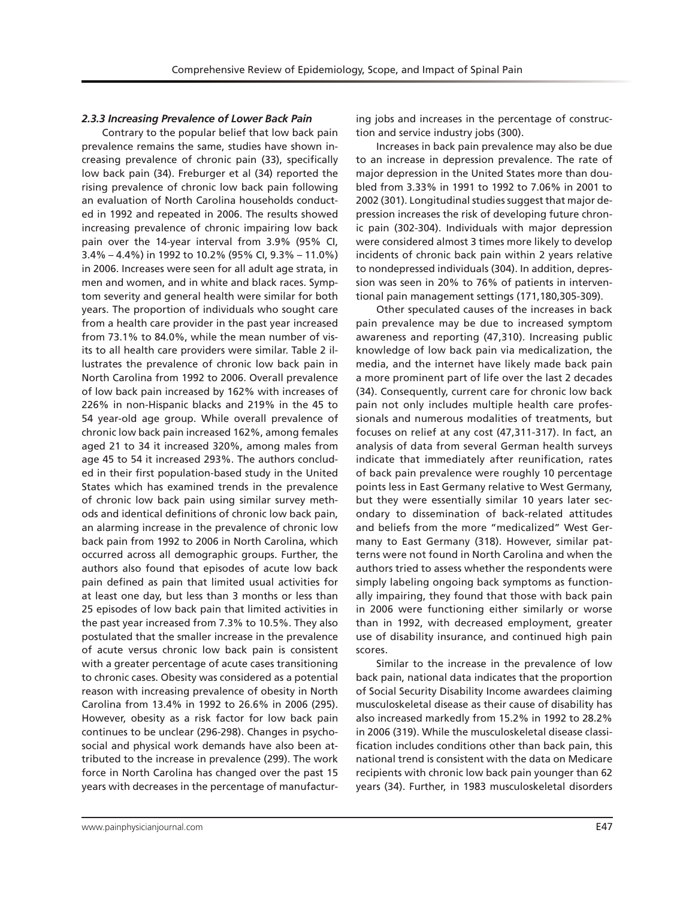## *2.3.3 Increasing Prevalence of Lower Back Pain*

Contrary to the popular belief that low back pain prevalence remains the same, studies have shown increasing prevalence of chronic pain (33), specifically low back pain (34). Freburger et al (34) reported the rising prevalence of chronic low back pain following an evaluation of North Carolina households conducted in 1992 and repeated in 2006. The results showed increasing prevalence of chronic impairing low back pain over the 14-year interval from 3.9% (95% CI, 3.4% – 4.4%) in 1992 to 10.2% (95% CI, 9.3% – 11.0%) in 2006. Increases were seen for all adult age strata, in men and women, and in white and black races. Symptom severity and general health were similar for both years. The proportion of individuals who sought care from a health care provider in the past year increased from 73.1% to 84.0%, while the mean number of visits to all health care providers were similar. Table 2 illustrates the prevalence of chronic low back pain in North Carolina from 1992 to 2006. Overall prevalence of low back pain increased by 162% with increases of 226% in non-Hispanic blacks and 219% in the 45 to 54 year-old age group. While overall prevalence of chronic low back pain increased 162%, among females aged 21 to 34 it increased 320%, among males from age 45 to 54 it increased 293%. The authors concluded in their first population-based study in the United States which has examined trends in the prevalence of chronic low back pain using similar survey methods and identical definitions of chronic low back pain, an alarming increase in the prevalence of chronic low back pain from 1992 to 2006 in North Carolina, which occurred across all demographic groups. Further, the authors also found that episodes of acute low back pain defined as pain that limited usual activities for at least one day, but less than 3 months or less than 25 episodes of low back pain that limited activities in the past year increased from 7.3% to 10.5%. They also postulated that the smaller increase in the prevalence of acute versus chronic low back pain is consistent with a greater percentage of acute cases transitioning to chronic cases. Obesity was considered as a potential reason with increasing prevalence of obesity in North Carolina from 13.4% in 1992 to 26.6% in 2006 (295). However, obesity as a risk factor for low back pain continues to be unclear (296-298). Changes in psychosocial and physical work demands have also been attributed to the increase in prevalence (299). The work force in North Carolina has changed over the past 15 years with decreases in the percentage of manufactur-

ing jobs and increases in the percentage of construction and service industry jobs (300).

Increases in back pain prevalence may also be due to an increase in depression prevalence. The rate of major depression in the United States more than doubled from 3.33% in 1991 to 1992 to 7.06% in 2001 to 2002 (301). Longitudinal studies suggest that major depression increases the risk of developing future chronic pain (302-304). Individuals with major depression were considered almost 3 times more likely to develop incidents of chronic back pain within 2 years relative to nondepressed individuals (304). In addition, depression was seen in 20% to 76% of patients in interventional pain management settings (171,180,305-309).

Other speculated causes of the increases in back pain prevalence may be due to increased symptom awareness and reporting (47,310). Increasing public knowledge of low back pain via medicalization, the media, and the internet have likely made back pain a more prominent part of life over the last 2 decades (34). Consequently, current care for chronic low back pain not only includes multiple health care professionals and numerous modalities of treatments, but focuses on relief at any cost (47,311-317). In fact, an analysis of data from several German health surveys indicate that immediately after reunification, rates of back pain prevalence were roughly 10 percentage points less in East Germany relative to West Germany, but they were essentially similar 10 years later secondary to dissemination of back-related attitudes and beliefs from the more "medicalized" West Germany to East Germany (318). However, similar patterns were not found in North Carolina and when the authors tried to assess whether the respondents were simply labeling ongoing back symptoms as functionally impairing, they found that those with back pain in 2006 were functioning either similarly or worse than in 1992, with decreased employment, greater use of disability insurance, and continued high pain scores.

Similar to the increase in the prevalence of low back pain, national data indicates that the proportion of Social Security Disability Income awardees claiming musculoskeletal disease as their cause of disability has also increased markedly from 15.2% in 1992 to 28.2% in 2006 (319). While the musculoskeletal disease classification includes conditions other than back pain, this national trend is consistent with the data on Medicare recipients with chronic low back pain younger than 62 years (34). Further, in 1983 musculoskeletal disorders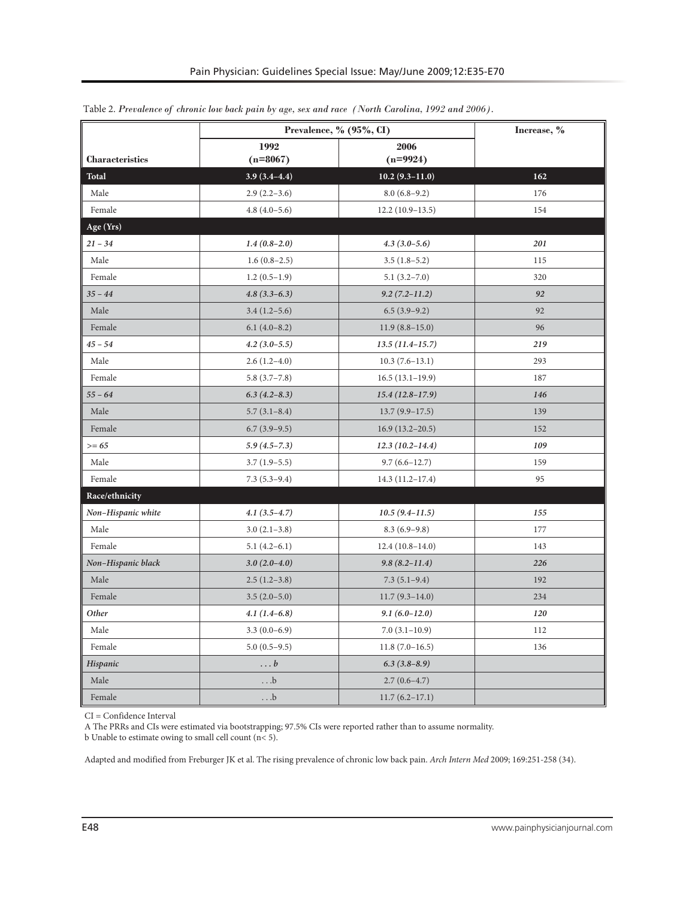|                        | Prevalence, % (95%, CI)                  | Increase, %         |     |  |
|------------------------|------------------------------------------|---------------------|-----|--|
| <b>Characteristics</b> | 1992<br>2006<br>$(n=8067)$<br>$(n=9924)$ |                     |     |  |
| <b>Total</b>           | $3.9(3.4-4.4)$                           | $10.2(9.3-11.0)$    | 162 |  |
| Male                   | $2.9(2.2-3.6)$                           | $8.0(6.8-9.2)$      | 176 |  |
| Female                 | $4.8(4.0-5.6)$                           | $12.2(10.9-13.5)$   | 154 |  |
| Age (Yrs)              |                                          |                     |     |  |
| $21 - 34$              | $1.4(0.8-2.0)$                           | $4.3(3.0-5.6)$      | 201 |  |
| Male                   | $1.6(0.8-2.5)$                           | $3.5(1.8-5.2)$      | 115 |  |
| Female                 | $1.2(0.5-1.9)$                           | $5.1(3.2 - 7.0)$    | 320 |  |
| $35 - 44$              | $4.8(3.3-6.3)$                           | $9.2(7.2 - 11.2)$   | 92  |  |
| Male                   | $3.4(1.2-5.6)$                           | $6.5(3.9-9.2)$      | 92  |  |
| Female                 | $6.1(4.0-8.2)$                           | $11.9(8.8-15.0)$    | 96  |  |
| $45 - 54$              | $4.2(3.0-5.5)$                           | $13.5(11.4-15.7)$   | 219 |  |
| Male                   | $2.6(1.2-4.0)$                           | $10.3(7.6-13.1)$    | 293 |  |
| Female                 | $5.8(3.7-7.8)$                           | $16.5(13.1-19.9)$   | 187 |  |
| $55 - 64$              | $6.3(4.2 - 8.3)$                         | $15.4(12.8-17.9)$   | 146 |  |
| Male                   | $5.7(3.1-8.4)$                           | $13.7(9.9-17.5)$    | 139 |  |
| Female                 | $6.7(3.9-9.5)$                           | $16.9(13.2 - 20.5)$ | 152 |  |
| $>= 65$                | $5.9(4.5 - 7.3)$                         | $12.3(10.2 - 14.4)$ | 109 |  |
| Male                   | $3.7(1.9-5.5)$                           | $9.7(6.6 - 12.7)$   | 159 |  |
| Female                 | $7.3(5.3-9.4)$                           | $14.3(11.2-17.4)$   | 95  |  |
| Race/ethnicity         |                                          |                     |     |  |
| Non-Hispanic white     | $4.1(3.5-4.7)$                           | $10.5(9.4 - 11.5)$  | 155 |  |
| Male                   | $3.0(2.1-3.8)$                           | $8.3(6.9-9.8)$      | 177 |  |
| Female                 | $5.1(4.2-6.1)$                           | $12.4(10.8-14.0)$   | 143 |  |
| Non-Hispanic black     | $3.0(2.0-4.0)$                           | $9.8(8.2 - 11.4)$   | 226 |  |
| Male                   | $2.5(1.2-3.8)$                           | $7.3(5.1-9.4)$      | 192 |  |
| Female                 | $3.5(2.0-5.0)$                           | $11.7(9.3-14.0)$    | 234 |  |
| Other                  | $4.1(1.4-6.8)$                           | $9.1(6.0-12.0)$     | 120 |  |
| Male                   | $3.3(0.0-6.9)$                           | $7.0(3.1-10.9)$     | 112 |  |
| Female                 | $5.0(0.5-9.5)$                           | $11.8(7.0-16.5)$    | 136 |  |
| Hispanic               | $\dots b$                                | $6.3(3.8-8.9)$      |     |  |
| Male                   | .b                                       | $2.7(0.6-4.7)$      |     |  |
| Female                 | $\ldots$ .b                              | $11.7(6.2 - 17.1)$  |     |  |

Table 2. *Prevalence of chronic low back pain by age, sex and race (North Carolina, 1992 and 2006).*

CI = Confidence Interval

A The PRRs and CIs were estimated via bootstrapping; 97.5% CIs were reported rather than to assume normality.

b Unable to estimate owing to small cell count  $(n < 5)$ .

Adapted and modified from Freburger JK et al. The rising prevalence of chronic low back pain. *Arch Intern Med* 2009; 169:251-258 (34).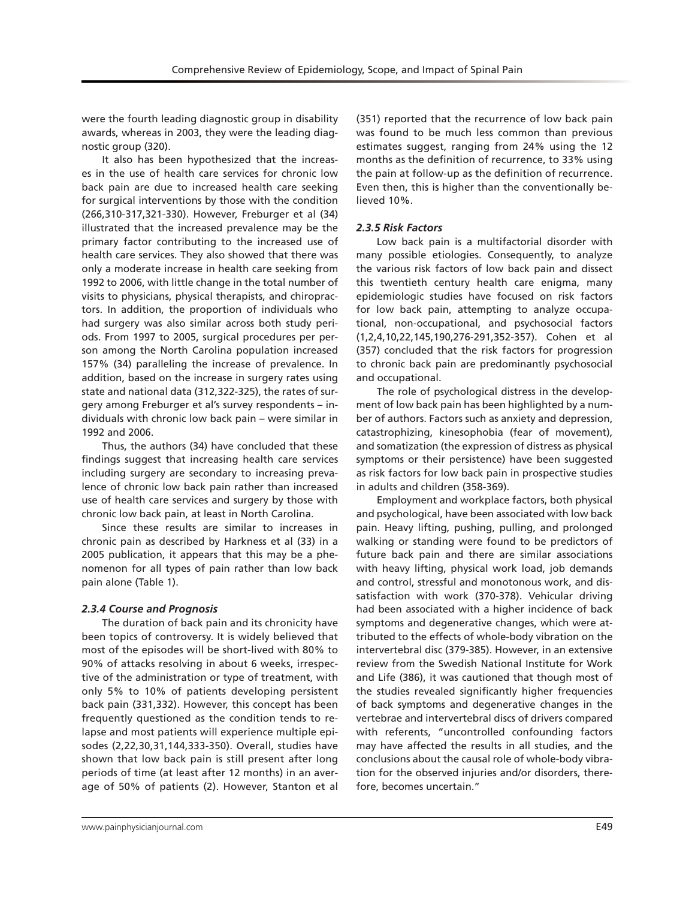were the fourth leading diagnostic group in disability awards, whereas in 2003, they were the leading diagnostic group (320).

It also has been hypothesized that the increases in the use of health care services for chronic low back pain are due to increased health care seeking for surgical interventions by those with the condition (266,310-317,321-330). However, Freburger et al (34) illustrated that the increased prevalence may be the primary factor contributing to the increased use of health care services. They also showed that there was only a moderate increase in health care seeking from 1992 to 2006, with little change in the total number of visits to physicians, physical therapists, and chiropractors. In addition, the proportion of individuals who had surgery was also similar across both study periods. From 1997 to 2005, surgical procedures per person among the North Carolina population increased 157% (34) paralleling the increase of prevalence. In addition, based on the increase in surgery rates using state and national data (312,322-325), the rates of surgery among Freburger et al's survey respondents – individuals with chronic low back pain – were similar in 1992 and 2006.

Thus, the authors (34) have concluded that these findings suggest that increasing health care services including surgery are secondary to increasing prevalence of chronic low back pain rather than increased use of health care services and surgery by those with chronic low back pain, at least in North Carolina.

Since these results are similar to increases in chronic pain as described by Harkness et al (33) in a 2005 publication, it appears that this may be a phenomenon for all types of pain rather than low back pain alone (Table 1).

# *2.3.4 Course and Prognosis*

The duration of back pain and its chronicity have been topics of controversy. It is widely believed that most of the episodes will be short-lived with 80% to 90% of attacks resolving in about 6 weeks, irrespective of the administration or type of treatment, with only 5% to 10% of patients developing persistent back pain (331,332). However, this concept has been frequently questioned as the condition tends to relapse and most patients will experience multiple episodes (2,22,30,31,144,333-350). Overall, studies have shown that low back pain is still present after long periods of time (at least after 12 months) in an average of 50% of patients (2). However, Stanton et al

(351) reported that the recurrence of low back pain was found to be much less common than previous estimates suggest, ranging from 24% using the 12 months as the definition of recurrence, to 33% using the pain at follow-up as the definition of recurrence. Even then, this is higher than the conventionally believed 10%.

# *2.3.5 Risk Factors*

Low back pain is a multifactorial disorder with many possible etiologies. Consequently, to analyze the various risk factors of low back pain and dissect this twentieth century health care enigma, many epidemiologic studies have focused on risk factors for low back pain, attempting to analyze occupational, non-occupational, and psychosocial factors (1,2,4,10,22,145,190,276-291,352-357). Cohen et al (357) concluded that the risk factors for progression to chronic back pain are predominantly psychosocial and occupational.

The role of psychological distress in the development of low back pain has been highlighted by a number of authors. Factors such as anxiety and depression, catastrophizing, kinesophobia (fear of movement), and somatization (the expression of distress as physical symptoms or their persistence) have been suggested as risk factors for low back pain in prospective studies in adults and children (358-369).

Employment and workplace factors, both physical and psychological, have been associated with low back pain. Heavy lifting, pushing, pulling, and prolonged walking or standing were found to be predictors of future back pain and there are similar associations with heavy lifting, physical work load, job demands and control, stressful and monotonous work, and dissatisfaction with work (370-378). Vehicular driving had been associated with a higher incidence of back symptoms and degenerative changes, which were attributed to the effects of whole-body vibration on the intervertebral disc (379-385). However, in an extensive review from the Swedish National Institute for Work and Life (386), it was cautioned that though most of the studies revealed significantly higher frequencies of back symptoms and degenerative changes in the vertebrae and intervertebral discs of drivers compared with referents, "uncontrolled confounding factors may have affected the results in all studies, and the conclusions about the causal role of whole-body vibration for the observed injuries and/or disorders, therefore, becomes uncertain."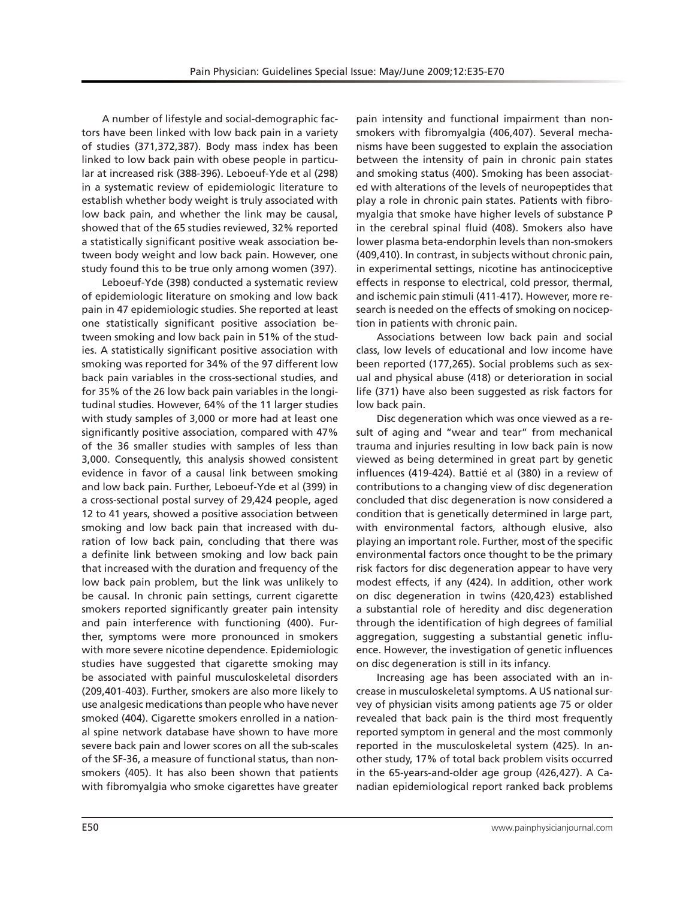A number of lifestyle and social-demographic factors have been linked with low back pain in a variety of studies (371,372,387). Body mass index has been linked to low back pain with obese people in particular at increased risk (388-396). Leboeuf-Yde et al (298) in a systematic review of epidemiologic literature to establish whether body weight is truly associated with low back pain, and whether the link may be causal, showed that of the 65 studies reviewed, 32% reported a statistically significant positive weak association between body weight and low back pain. However, one study found this to be true only among women (397).

Leboeuf-Yde (398) conducted a systematic review of epidemiologic literature on smoking and low back pain in 47 epidemiologic studies. She reported at least one statistically significant positive association between smoking and low back pain in 51% of the studies. A statistically significant positive association with smoking was reported for 34% of the 97 different low back pain variables in the cross-sectional studies, and for 35% of the 26 low back pain variables in the longitudinal studies. However, 64% of the 11 larger studies with study samples of 3,000 or more had at least one significantly positive association, compared with 47% of the 36 smaller studies with samples of less than 3,000. Consequently, this analysis showed consistent evidence in favor of a causal link between smoking and low back pain. Further, Leboeuf-Yde et al (399) in a cross-sectional postal survey of 29,424 people, aged 12 to 41 years, showed a positive association between smoking and low back pain that increased with duration of low back pain, concluding that there was a definite link between smoking and low back pain that increased with the duration and frequency of the low back pain problem, but the link was unlikely to be causal. In chronic pain settings, current cigarette smokers reported significantly greater pain intensity and pain interference with functioning (400). Further, symptoms were more pronounced in smokers with more severe nicotine dependence. Epidemiologic studies have suggested that cigarette smoking may be associated with painful musculoskeletal disorders (209,401-403). Further, smokers are also more likely to use analgesic medications than people who have never smoked (404). Cigarette smokers enrolled in a national spine network database have shown to have more severe back pain and lower scores on all the sub-scales of the SF-36, a measure of functional status, than nonsmokers (405). It has also been shown that patients with fibromyalgia who smoke cigarettes have greater

pain intensity and functional impairment than nonsmokers with fibromyalgia (406,407). Several mechanisms have been suggested to explain the association between the intensity of pain in chronic pain states and smoking status (400). Smoking has been associated with alterations of the levels of neuropeptides that play a role in chronic pain states. Patients with fibromyalgia that smoke have higher levels of substance P in the cerebral spinal fluid (408). Smokers also have lower plasma beta-endorphin levels than non-smokers (409,410). In contrast, in subjects without chronic pain, in experimental settings, nicotine has antinociceptive effects in response to electrical, cold pressor, thermal, and ischemic pain stimuli (411-417). However, more research is needed on the effects of smoking on nociception in patients with chronic pain.

Associations between low back pain and social class, low levels of educational and low income have been reported (177,265). Social problems such as sexual and physical abuse (418) or deterioration in social life (371) have also been suggested as risk factors for low back pain.

Disc degeneration which was once viewed as a result of aging and "wear and tear" from mechanical trauma and injuries resulting in low back pain is now viewed as being determined in great part by genetic influences (419-424). Battié et al (380) in a review of contributions to a changing view of disc degeneration concluded that disc degeneration is now considered a condition that is genetically determined in large part, with environmental factors, although elusive, also playing an important role. Further, most of the specific environmental factors once thought to be the primary risk factors for disc degeneration appear to have very modest effects, if any (424). In addition, other work on disc degeneration in twins (420,423) established a substantial role of heredity and disc degeneration through the identification of high degrees of familial aggregation, suggesting a substantial genetic influence. However, the investigation of genetic influences on disc degeneration is still in its infancy.

Increasing age has been associated with an increase in musculoskeletal symptoms. A US national survey of physician visits among patients age 75 or older revealed that back pain is the third most frequently reported symptom in general and the most commonly reported in the musculoskeletal system (425). In another study, 17% of total back problem visits occurred in the 65-years-and-older age group (426,427). A Canadian epidemiological report ranked back problems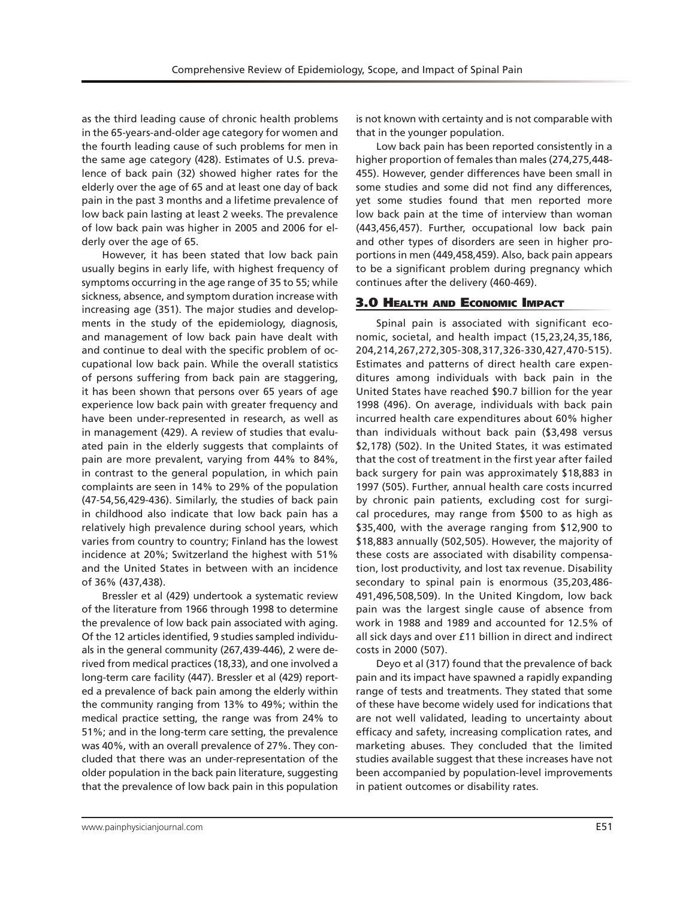as the third leading cause of chronic health problems in the 65-years-and-older age category for women and the fourth leading cause of such problems for men in the same age category (428). Estimates of U.S. prevalence of back pain (32) showed higher rates for the elderly over the age of 65 and at least one day of back pain in the past 3 months and a lifetime prevalence of low back pain lasting at least 2 weeks. The prevalence of low back pain was higher in 2005 and 2006 for elderly over the age of 65.

However, it has been stated that low back pain usually begins in early life, with highest frequency of symptoms occurring in the age range of 35 to 55; while sickness, absence, and symptom duration increase with increasing age (351). The major studies and developments in the study of the epidemiology, diagnosis, and management of low back pain have dealt with and continue to deal with the specific problem of occupational low back pain. While the overall statistics of persons suffering from back pain are staggering, it has been shown that persons over 65 years of age experience low back pain with greater frequency and have been under-represented in research, as well as in management (429). A review of studies that evaluated pain in the elderly suggests that complaints of pain are more prevalent, varying from 44% to 84%, in contrast to the general population, in which pain complaints are seen in 14% to 29% of the population (47-54,56,429-436). Similarly, the studies of back pain in childhood also indicate that low back pain has a relatively high prevalence during school years, which varies from country to country; Finland has the lowest incidence at 20%; Switzerland the highest with 51% and the United States in between with an incidence of 36% (437,438).

Bressler et al (429) undertook a systematic review of the literature from 1966 through 1998 to determine the prevalence of low back pain associated with aging. Of the 12 articles identified, 9 studies sampled individuals in the general community (267,439-446), 2 were derived from medical practices (18,33), and one involved a long-term care facility (447). Bressler et al (429) reported a prevalence of back pain among the elderly within the community ranging from 13% to 49%; within the medical practice setting, the range was from 24% to 51%; and in the long-term care setting, the prevalence was 40%, with an overall prevalence of 27%. They concluded that there was an under-representation of the older population in the back pain literature, suggesting that the prevalence of low back pain in this population

is not known with certainty and is not comparable with that in the younger population.

Low back pain has been reported consistently in a higher proportion of females than males (274,275,448- 455). However, gender differences have been small in some studies and some did not find any differences, yet some studies found that men reported more low back pain at the time of interview than woman (443,456,457). Further, occupational low back pain and other types of disorders are seen in higher proportions in men (449,458,459). Also, back pain appears to be a significant problem during pregnancy which continues after the delivery (460-469).

# 3.0 Health and Economic Impact

Spinal pain is associated with significant economic, societal, and health impact (15,23,24,35,186, 204,214,267,272,305-308,317,326-330,427,470-515). Estimates and patterns of direct health care expenditures among individuals with back pain in the United States have reached \$90.7 billion for the year 1998 (496). On average, individuals with back pain incurred health care expenditures about 60% higher than individuals without back pain (\$3,498 versus \$2,178) (502). In the United States, it was estimated that the cost of treatment in the first year after failed back surgery for pain was approximately \$18,883 in 1997 (505). Further, annual health care costs incurred by chronic pain patients, excluding cost for surgical procedures, may range from \$500 to as high as \$35,400, with the average ranging from \$12,900 to \$18,883 annually (502,505). However, the majority of these costs are associated with disability compensation, lost productivity, and lost tax revenue. Disability secondary to spinal pain is enormous (35,203,486- 491,496,508,509). In the United Kingdom, low back pain was the largest single cause of absence from work in 1988 and 1989 and accounted for 12.5% of all sick days and over £11 billion in direct and indirect costs in 2000 (507).

Deyo et al (317) found that the prevalence of back pain and its impact have spawned a rapidly expanding range of tests and treatments. They stated that some of these have become widely used for indications that are not well validated, leading to uncertainty about efficacy and safety, increasing complication rates, and marketing abuses. They concluded that the limited studies available suggest that these increases have not been accompanied by population-level improvements in patient outcomes or disability rates.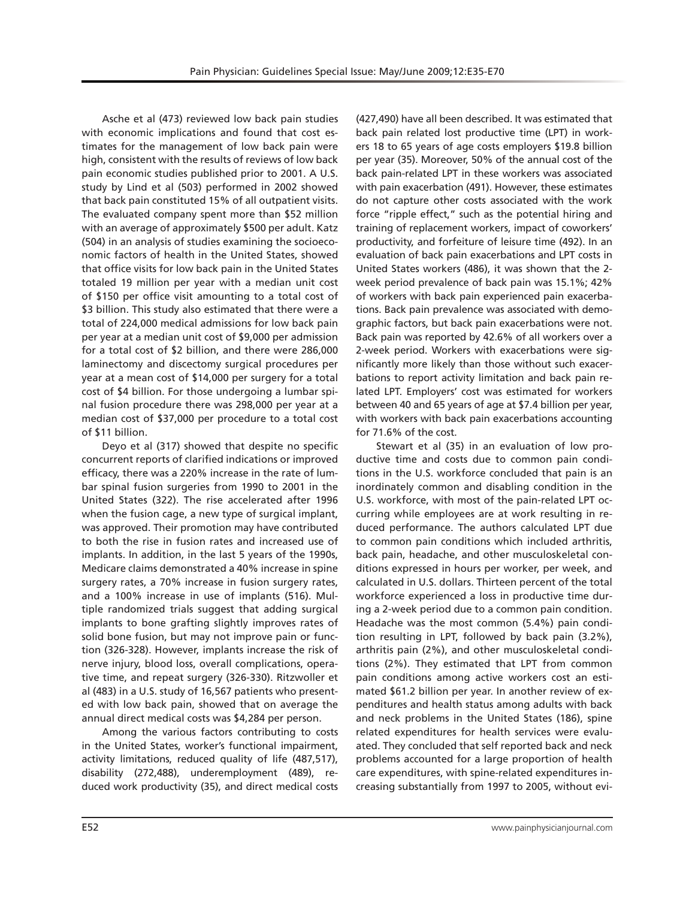Asche et al (473) reviewed low back pain studies with economic implications and found that cost estimates for the management of low back pain were high, consistent with the results of reviews of low back pain economic studies published prior to 2001. A U.S. study by Lind et al (503) performed in 2002 showed that back pain constituted 15% of all outpatient visits. The evaluated company spent more than \$52 million with an average of approximately \$500 per adult. Katz (504) in an analysis of studies examining the socioeconomic factors of health in the United States, showed that office visits for low back pain in the United States totaled 19 million per year with a median unit cost of \$150 per office visit amounting to a total cost of \$3 billion. This study also estimated that there were a total of 224,000 medical admissions for low back pain per year at a median unit cost of \$9,000 per admission for a total cost of \$2 billion, and there were 286,000 laminectomy and discectomy surgical procedures per year at a mean cost of \$14,000 per surgery for a total cost of \$4 billion. For those undergoing a lumbar spinal fusion procedure there was 298,000 per year at a median cost of \$37,000 per procedure to a total cost of \$11 billion.

Deyo et al (317) showed that despite no specific concurrent reports of clarified indications or improved efficacy, there was a 220% increase in the rate of lumbar spinal fusion surgeries from 1990 to 2001 in the United States (322). The rise accelerated after 1996 when the fusion cage, a new type of surgical implant, was approved. Their promotion may have contributed to both the rise in fusion rates and increased use of implants. In addition, in the last 5 years of the 1990s, Medicare claims demonstrated a 40% increase in spine surgery rates, a 70% increase in fusion surgery rates, and a 100% increase in use of implants (516). Multiple randomized trials suggest that adding surgical implants to bone grafting slightly improves rates of solid bone fusion, but may not improve pain or function (326-328). However, implants increase the risk of nerve injury, blood loss, overall complications, operative time, and repeat surgery (326-330). Ritzwoller et al (483) in a U.S. study of 16,567 patients who presented with low back pain, showed that on average the annual direct medical costs was \$4,284 per person.

Among the various factors contributing to costs in the United States, worker's functional impairment, activity limitations, reduced quality of life (487,517), disability (272,488), underemployment (489), reduced work productivity (35), and direct medical costs

(427,490) have all been described. It was estimated that back pain related lost productive time (LPT) in workers 18 to 65 years of age costs employers \$19.8 billion per year (35). Moreover, 50% of the annual cost of the back pain-related LPT in these workers was associated with pain exacerbation (491). However, these estimates do not capture other costs associated with the work force "ripple effect," such as the potential hiring and training of replacement workers, impact of coworkers' productivity, and forfeiture of leisure time (492). In an evaluation of back pain exacerbations and LPT costs in United States workers (486), it was shown that the 2 week period prevalence of back pain was 15.1%; 42% of workers with back pain experienced pain exacerbations. Back pain prevalence was associated with demographic factors, but back pain exacerbations were not. Back pain was reported by 42.6% of all workers over a 2-week period. Workers with exacerbations were significantly more likely than those without such exacerbations to report activity limitation and back pain related LPT. Employers' cost was estimated for workers between 40 and 65 years of age at \$7.4 billion per year, with workers with back pain exacerbations accounting for 71.6% of the cost.

Stewart et al (35) in an evaluation of low productive time and costs due to common pain conditions in the U.S. workforce concluded that pain is an inordinately common and disabling condition in the U.S. workforce, with most of the pain-related LPT occurring while employees are at work resulting in reduced performance. The authors calculated LPT due to common pain conditions which included arthritis, back pain, headache, and other musculoskeletal conditions expressed in hours per worker, per week, and calculated in U.S. dollars. Thirteen percent of the total workforce experienced a loss in productive time during a 2-week period due to a common pain condition. Headache was the most common (5.4%) pain condition resulting in LPT, followed by back pain (3.2%), arthritis pain (2%), and other musculoskeletal conditions (2%). They estimated that LPT from common pain conditions among active workers cost an estimated \$61.2 billion per year. In another review of expenditures and health status among adults with back and neck problems in the United States (186), spine related expenditures for health services were evaluated. They concluded that self reported back and neck problems accounted for a large proportion of health care expenditures, with spine-related expenditures increasing substantially from 1997 to 2005, without evi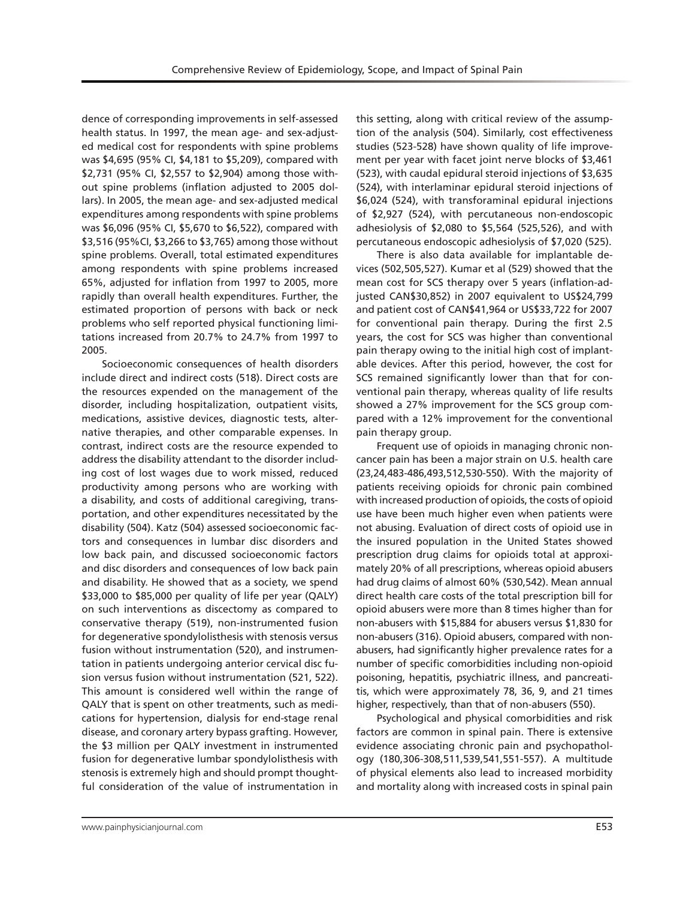dence of corresponding improvements in self-assessed health status. In 1997, the mean age- and sex-adjusted medical cost for respondents with spine problems was \$4,695 (95% CI, \$4,181 to \$5,209), compared with \$2,731 (95% CI, \$2,557 to \$2,904) among those without spine problems (inflation adjusted to 2005 dollars). In 2005, the mean age- and sex-adjusted medical expenditures among respondents with spine problems was \$6,096 (95% CI, \$5,670 to \$6,522), compared with \$3,516 (95%CI, \$3,266 to \$3,765) among those without spine problems. Overall, total estimated expenditures among respondents with spine problems increased 65%, adjusted for inflation from 1997 to 2005, more rapidly than overall health expenditures. Further, the estimated proportion of persons with back or neck problems who self reported physical functioning limitations increased from 20.7% to 24.7% from 1997 to 2005.

Socioeconomic consequences of health disorders include direct and indirect costs (518). Direct costs are the resources expended on the management of the disorder, including hospitalization, outpatient visits, medications, assistive devices, diagnostic tests, alternative therapies, and other comparable expenses. In contrast, indirect costs are the resource expended to address the disability attendant to the disorder including cost of lost wages due to work missed, reduced productivity among persons who are working with a disability, and costs of additional caregiving, transportation, and other expenditures necessitated by the disability (504). Katz (504) assessed socioeconomic factors and consequences in lumbar disc disorders and low back pain, and discussed socioeconomic factors and disc disorders and consequences of low back pain and disability. He showed that as a society, we spend \$33,000 to \$85,000 per quality of life per year (QALY) on such interventions as discectomy as compared to conservative therapy (519), non-instrumented fusion for degenerative spondylolisthesis with stenosis versus fusion without instrumentation (520), and instrumentation in patients undergoing anterior cervical disc fusion versus fusion without instrumentation (521, 522). This amount is considered well within the range of QALY that is spent on other treatments, such as medications for hypertension, dialysis for end-stage renal disease, and coronary artery bypass grafting. However, the \$3 million per QALY investment in instrumented fusion for degenerative lumbar spondylolisthesis with stenosis is extremely high and should prompt thoughtful consideration of the value of instrumentation in

this setting, along with critical review of the assumption of the analysis (504). Similarly, cost effectiveness studies (523-528) have shown quality of life improvement per year with facet joint nerve blocks of \$3,461 (523), with caudal epidural steroid injections of \$3,635 (524), with interlaminar epidural steroid injections of \$6,024 (524), with transforaminal epidural injections of \$2,927 (524), with percutaneous non-endoscopic adhesiolysis of \$2,080 to \$5,564 (525,526), and with percutaneous endoscopic adhesiolysis of \$7,020 (525).

There is also data available for implantable devices (502,505,527). Kumar et al (529) showed that the mean cost for SCS therapy over 5 years (inflation-adjusted CAN\$30,852) in 2007 equivalent to US\$24,799 and patient cost of CAN\$41,964 or US\$33,722 for 2007 for conventional pain therapy. During the first 2.5 years, the cost for SCS was higher than conventional pain therapy owing to the initial high cost of implantable devices. After this period, however, the cost for SCS remained significantly lower than that for conventional pain therapy, whereas quality of life results showed a 27% improvement for the SCS group compared with a 12% improvement for the conventional pain therapy group.

Frequent use of opioids in managing chronic noncancer pain has been a major strain on U.S. health care (23,24,483-486,493,512,530-550). With the majority of patients receiving opioids for chronic pain combined with increased production of opioids, the costs of opioid use have been much higher even when patients were not abusing. Evaluation of direct costs of opioid use in the insured population in the United States showed prescription drug claims for opioids total at approximately 20% of all prescriptions, whereas opioid abusers had drug claims of almost 60% (530,542). Mean annual direct health care costs of the total prescription bill for opioid abusers were more than 8 times higher than for non-abusers with \$15,884 for abusers versus \$1,830 for non-abusers (316). Opioid abusers, compared with nonabusers, had significantly higher prevalence rates for a number of specific comorbidities including non-opioid poisoning, hepatitis, psychiatric illness, and pancreatitis, which were approximately 78, 36, 9, and 21 times higher, respectively, than that of non-abusers (550).

Psychological and physical comorbidities and risk factors are common in spinal pain. There is extensive evidence associating chronic pain and psychopathology (180,306-308,511,539,541,551-557). A multitude of physical elements also lead to increased morbidity and mortality along with increased costs in spinal pain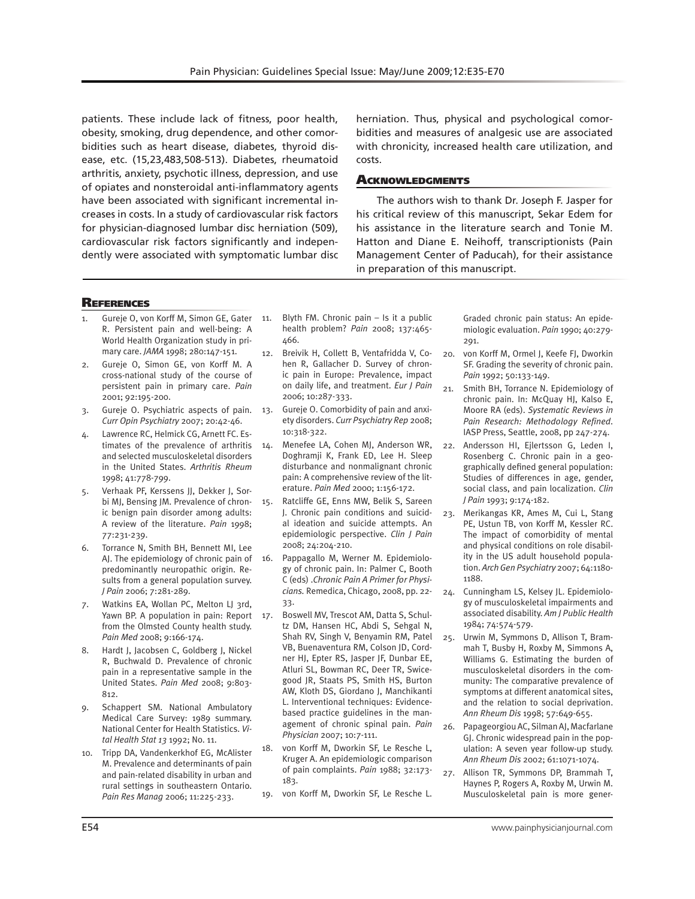patients. These include lack of fitness, poor health, obesity, smoking, drug dependence, and other comorbidities such as heart disease, diabetes, thyroid disease, etc. (15,23,483,508-513). Diabetes, rheumatoid arthritis, anxiety, psychotic illness, depression, and use of opiates and nonsteroidal anti-inflammatory agents have been associated with significant incremental increases in costs. In a study of cardiovascular risk factors for physician-diagnosed lumbar disc herniation (509), cardiovascular risk factors significantly and independently were associated with symptomatic lumbar disc

herniation. Thus, physical and psychological comorbidities and measures of analgesic use are associated with chronicity, increased health care utilization, and costs.

## **ACKNOWLEDGMENTS**

The authors wish to thank Dr. Joseph F. Jasper for his critical review of this manuscript, Sekar Edem for his assistance in the literature search and Tonie M. Hatton and Diane E. Neihoff, transcriptionists (Pain Management Center of Paducah), for their assistance in preparation of this manuscript.

# **REFERENCES**

- Gureje O, von Korff M, Simon GE, Gater 11. R. Persistent pain and well-being: A World Health Organization study in primary care. *JAMA* 1998; 280:147-151.
- 2. Gureje O, Simon GE, von Korff M. A cross-national study of the course of persistent pain in primary care. *Pain* 2001; 92:195-200.
- 3. Gureje O. Psychiatric aspects of pain. *Curr Opin Psychiatry* 2007; 20:42-46.
- 4. Lawrence RC, Helmick CG, Arnett FC. Estimates of the prevalence of arthritis 14. and selected musculoskeletal disorders in the United States. *Arthritis Rheum*  1998; 41:778-799.
- 5. Verhaak PF, Kerssens JJ, Dekker J, Sorbi MJ, Bensing JM. Prevalence of chronic benign pain disorder among adults: A review of the literature. *Pain* 1998; 77:231-239.
- 6. Torrance N, Smith BH, Bennett MI, Lee AJ. The epidemiology of chronic pain of predominantly neuropathic origin. Results from a general population survey. *J Pain* 2006; 7:281-289.
- 7. Watkins EA, Wollan PC, Melton LJ 3rd, Yawn BP. A population in pain: Report 17. from the Olmsted County health study. *Pain Med* 2008; 9:166-174.
- 8. Hardt J, Jacobsen C, Goldberg J, Nickel R, Buchwald D. Prevalence of chronic pain in a representative sample in the United States. *Pain Med* 2008; 9:803- 812.
- 9. Schappert SM. National Ambulatory Medical Care Survey: 1989 summary. National Center for Health Statistics. *Vital Health Stat 13* 1992; No. 11.
- 10. Tripp DA, Vandenkerkhof EG, McAlister M. Prevalence and determinants of pain and pain-related disability in urban and rural settings in southeastern Ontario. *Pain Res Manag* 2006; 11:225-233.
- Blyth FM. Chronic pain  $-$  Is it a public health problem? *Pain* 2008; 137:465- 466.
- 12. Breivik H, Collett B, Ventafridda V, Cohen R, Gallacher D. Survey of chronic pain in Europe: Prevalence, impact on daily life, and treatment. *Eur J Pain* 2006; 10:287-333.
- 13. Gureje O. Comorbidity of pain and anxiety disorders. *Curr Psychiatry Rep* 2008; 10:318-322.
	- Menefee LA, Cohen MJ, Anderson WR, Doghramji K, Frank ED, Lee H. Sleep disturbance and nonmalignant chronic pain: A comprehensive review of the literature. *Pain Med* 2000; 1:156-172.
- 15. Ratcliffe GE, Enns MW, Belik S, Sareen J. Chronic pain conditions and suicidal ideation and suicide attempts. An epidemiologic perspective. *Clin J Pain* 2008; 24:204-210.
- 16. Pappagallo M, Werner M. Epidemiology of chronic pain. In: Palmer C, Booth C (eds) .*Chronic Pain A Primer for Physicians.* Remedica, Chicago, 2008, pp. 22- 33.
	- 17. Boswell MV, Trescot AM, Datta S, Schultz DM, Hansen HC, Abdi S, Sehgal N, Shah RV, Singh V, Benyamin RM, Patel VB, Buenaventura RM, Colson JD, Cordner HJ, Epter RS, Jasper JF, Dunbar EE, Atluri SL, Bowman RC, Deer TR, Swicegood JR, Staats PS, Smith HS, Burton AW, Kloth DS, Giordano J, Manchikanti L. Interventional techniques: Evidencebased practice guidelines in the management of chronic spinal pain. *Pain Physician* 2007; 10:7-111.
- 18. von Korff M, Dworkin SF, Le Resche L, Kruger A. An epidemiologic comparison of pain complaints. *Pain* 1988; 32:173- 183.
- 19. von Korff M, Dworkin SF, Le Resche L.

Graded chronic pain status: An epidemiologic evaluation. *Pain* 1990; 40:279- 291.

- 20. von Korff M, Ormel J, Keefe FJ, Dworkin SF. Grading the severity of chronic pain. *Pain* 1992; 50:133-149.
- 21. Smith BH, Torrance N. Epidemiology of chronic pain. In: McQuay HJ, Kalso E, Moore RA (eds). *Systematic Reviews in Pain Research: Methodology Refined*. IASP Press, Seattle, 2008, pp 247-274.
- 22. Andersson HI, Ejlertsson G, Leden I, Rosenberg C. Chronic pain in a geographically defined general population: Studies of differences in age, gender, social class, and pain localization. *Clin J Pain* 1993; 9:174-182.
- 23. Merikangas KR, Ames M, Cui L, Stang PE, Ustun TB, von Korff M, Kessler RC. The impact of comorbidity of mental and physical conditions on role disability in the US adult household population. *Arch Gen Psychiatry* 2007; 64:1180- 1188.
- 24. Cunningham LS, Kelsey JL. Epidemiology of musculoskeletal impairments and associated disability. *Am J Public Health* 1984; 74:574-579.
- 25. Urwin M, Symmons D, Allison T, Brammah T, Busby H, Roxby M, Simmons A, Williams G. Estimating the burden of musculoskeletal disorders in the community: The comparative prevalence of symptoms at different anatomical sites, and the relation to social deprivation. *Ann Rheum Dis* 1998; 57:649-655.
- 26. Papageorgiou AC, Silman AJ, Macfarlane GJ. Chronic widespread pain in the population: A seven year follow-up study. *Ann Rheum Dis* 2002; 61:1071-1074.
- 27. Allison TR, Symmons DP, Brammah T, Haynes P, Rogers A, Roxby M, Urwin M. Musculoskeletal pain is more gener-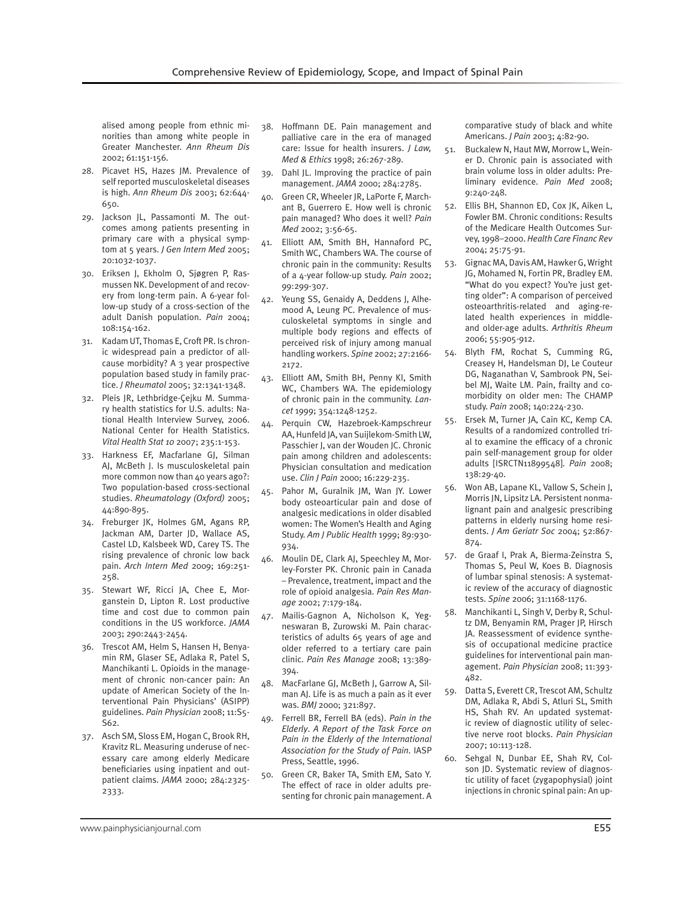alised among people from ethnic minorities than among white people in Greater Manchester. *Ann Rheum Dis* 2002; 61:151-156.

- 28. Picavet HS, Hazes JM. Prevalence of self reported musculoskeletal diseases is high. *Ann Rheum Dis* 2003; 62:644- 650.
- 29. Jackson JL, Passamonti M. The outcomes among patients presenting in primary care with a physical symptom at 5 years. *J Gen Intern Med* 2005; 20:1032-1037.
- 30. Eriksen J, Ekholm O, Sjøgren P, Rasmussen NK. Development of and recovery from long-term pain. A 6-year follow-up study of a cross-section of the adult Danish population. *Pain* 2004; 108:154-162.
- 31. Kadam UT, Thomas E, Croft PR. Is chronic widespread pain a predictor of allcause morbidity? A 3 year prospective population based study in family practice. *J Rheumatol* 2005; 32:1341-1348.
- 32. Pleis JR, Lethbridge-Çejku M. Summary health statistics for U.S. adults: National Health Interview Survey, 2006. National Center for Health Statistics. *Vital Health Stat 10* 2007; 235:1-153.
- 33. Harkness EF, Macfarlane GJ, Silman AJ, McBeth J. Is musculoskeletal pain more common now than 40 years ago?: Two population-based cross-sectional studies. *Rheumatology (Oxford)* 2005; 44:890-895.
- 34. Freburger JK, Holmes GM, Agans RP, Jackman AM, Darter JD, Wallace AS, Castel LD, Kalsbeek WD, Carey TS. The rising prevalence of chronic low back pain. *Arch Intern Med* 2009; 169:251- 258.
- 35. Stewart WF, Ricci JA, Chee E, Morganstein D, Lipton R. Lost productive time and cost due to common pain conditions in the US workforce. *JAMA* 2003; 290:2443-2454.
- 36. Trescot AM, Helm S, Hansen H, Benyamin RM, Glaser SE, Adlaka R, Patel S, Manchikanti L. Opioids in the management of chronic non-cancer pain: An update of American Society of the Interventional Pain Physicians' (ASIPP) guidelines. *Pain Physician* 2008; 11:S5- S62.
- 37. Asch SM, Sloss EM, Hogan C, Brook RH, Kravitz RL. Measuring underuse of necessary care among elderly Medicare beneficiaries using inpatient and outpatient claims. *JAMA* 2000; 284:2325- 2333.
- 38. Hoffmann DE. Pain management and palliative care in the era of managed care: Issue for health insurers. *J Law, Med & Ethics* 1998; 26:267-289.
- 39. Dahl JL. Improving the practice of pain management. *JAMA* 2000; 284:2785.
- 40. Green CR, Wheeler JR, LaPorte F, Marchant B, Guerrero E. How well is chronic pain managed? Who does it well? *Pain Med* 2002; 3:56-65.
- 41. Elliott AM, Smith BH, Hannaford PC, Smith WC, Chambers WA. The course of chronic pain in the community: Results of a 4-year follow-up study. *Pain* 2002; 99:299-307.
- 42. Yeung SS, Genaidy A, Deddens J, Alhemood A, Leung PC. Prevalence of musculoskeletal symptoms in single and multiple body regions and effects of perceived risk of injury among manual handling workers. *Spine* 2002; 27:2166- 2172.
- 43. Elliott AM, Smith BH, Penny KI, Smith WC, Chambers WA. The epidemiology of chronic pain in the community. *Lancet* 1999; 354:1248-1252.
- 44. Perquin CW, Hazebroek-Kampschreur AA, Hunfeld JA, van Suijlekom-Smith LW, Passchier J, van der Wouden JC. Chronic pain among children and adolescents: Physician consultation and medication use. *Clin J Pain* 2000; 16:229-235.
- 45. Pahor M, Guralnik JM, Wan JY. Lower body osteoarticular pain and dose of analgesic medications in older disabled women: The Women's Health and Aging Study. *Am J Public Health* 1999; 89:930- 934.
- 46. Moulin DE, Clark AJ, Speechley M, Morley-Forster PK. Chronic pain in Canada – Prevalence, treatment, impact and the role of opioid analgesia. *Pain Res Manage* 2002; 7:179-184.
- 47. Mailis-Gagnon A, Nicholson K, Yegneswaran B, Zurowski M. Pain characteristics of adults 65 years of age and older referred to a tertiary care pain clinic. *Pain Res Manage* 2008; 13:389- 394.
- 48. MacFarlane GJ, McBeth J, Garrow A, Silman AJ. Life is as much a pain as it ever was. *BMJ* 2000; 321:897.
- 49. Ferrell BR, Ferrell BA (eds). *Pain in the Elderly*. *A Report of the Task Force on Pain in the Elderly of the International Association for the Study of Pain.* IASP Press, Seattle, 1996.
- 50. Green CR, Baker TA, Smith EM, Sato Y. The effect of race in older adults presenting for chronic pain management. A

comparative study of black and white Americans. *J Pain* 2003; 4:82-90.

- 51. Buckalew N, Haut MW, Morrow L, Weiner D. Chronic pain is associated with brain volume loss in older adults: Preliminary evidence. *Pain Med* 2008; 9:240-248.
- 52. Ellis BH, Shannon ED, Cox JK, Aiken L, Fowler BM. Chronic conditions: Results of the Medicare Health Outcomes Survey, 1998–2000. *Health Care Financ Rev* 2004; 25:75-91.
- 53. Gignac MA, Davis AM, Hawker G, Wright JG, Mohamed N, Fortin PR, Bradley EM. "What do you expect? You're just getting older": A comparison of perceived osteoarthritis-related and aging-related health experiences in middleand older-age adults. *Arthritis Rheum* 2006; 55:905-912.
- 54. Blyth FM, Rochat S, Cumming RG, Creasey H, Handelsman DJ, Le Couteur DG, Naganathan V, Sambrook PN, Seibel MJ, Waite LM. Pain, frailty and comorbidity on older men: The CHAMP study. *Pain* 2008; 140:224-230.
- 55. Ersek M, Turner JA, Cain KC, Kemp CA. Results of a randomized controlled trial to examine the efficacy of a chronic pain self-management group for older adults [ISRCTN11899548]. *Pain* 2008; 138:29-40.
- 56. Won AB, Lapane KL, Vallow S, Schein J, Morris JN, Lipsitz LA. Persistent nonmalignant pain and analgesic prescribing patterns in elderly nursing home residents. *J Am Geriatr Soc* 2004; 52:867- 874.
- 57. de Graaf I, Prak A, Bierma-Zeinstra S, Thomas S, Peul W, Koes B. Diagnosis of lumbar spinal stenosis: A systematic review of the accuracy of diagnostic tests. *Spine* 2006; 31:1168-1176.
- 58. Manchikanti L, Singh V, Derby R, Schultz DM, Benyamin RM, Prager JP, Hirsch JA. Reassessment of evidence synthesis of occupational medicine practice guidelines for interventional pain management. *Pain Physician* 2008; 11:393- 482.
- 59. Datta S, Everett CR, Trescot AM, Schultz DM, Adlaka R, Abdi S, Atluri SL, Smith HS, Shah RV. An updated systematic review of diagnostic utility of selective nerve root blocks. *Pain Physician* 2007; 10:113-128.
- 60. Sehgal N, Dunbar EE, Shah RV, Colson JD. Systematic review of diagnostic utility of facet (zygapophysial) joint injections in chronic spinal pain: An up-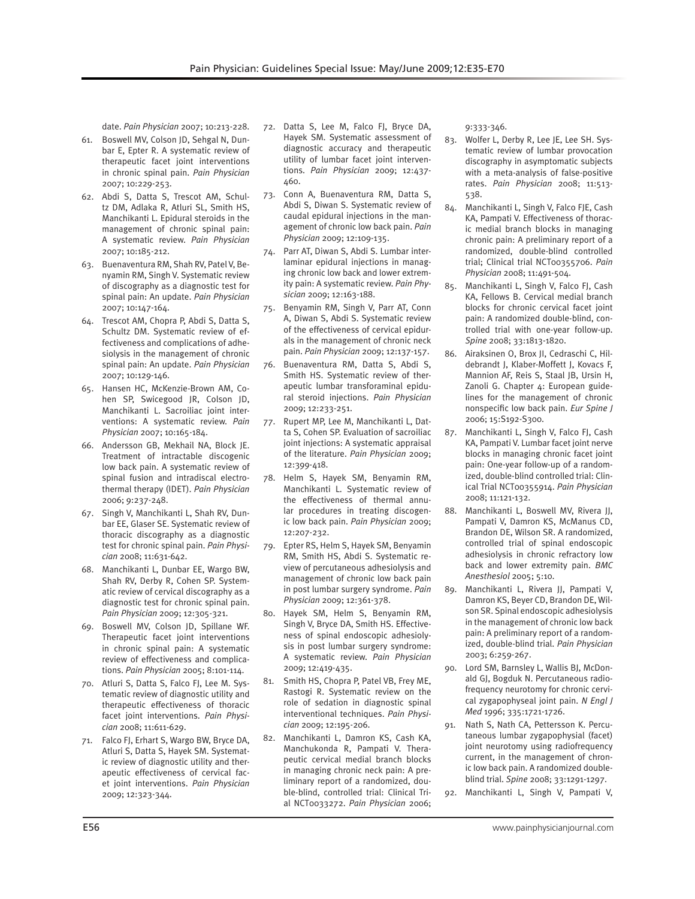date. *Pain Physician* 2007; 10:213-228.

- 61. Boswell MV, Colson JD, Sehgal N, Dunbar E, Epter R. A systematic review of therapeutic facet joint interventions in chronic spinal pain. *Pain Physician* 2007; 10:229-253.
- 62. Abdi S, Datta S, Trescot AM, Schultz DM, Adlaka R, Atluri SL, Smith HS, Manchikanti L. Epidural steroids in the management of chronic spinal pain: A systematic review. *Pain Physician* 2007; 10:185-212.
- 63. Buenaventura RM, Shah RV, Patel V, Benyamin RM, Singh V. Systematic review of discography as a diagnostic test for spinal pain: An update. *Pain Physician* 2007; 10:147-164.
- 64. Trescot AM, Chopra P, Abdi S, Datta S, Schultz DM. Systematic review of effectiveness and complications of adhesiolysis in the management of chronic spinal pain: An update. *Pain Physician* 2007; 10:129-146.
- 65. Hansen HC, McKenzie-Brown AM, Cohen SP, Swicegood JR, Colson JD, Manchikanti L. Sacroiliac joint interventions: A systematic review. *Pain Physician* 2007; 10:165-184.
- 66. Andersson GB, Mekhail NA, Block JE. Treatment of intractable discogenic low back pain. A systematic review of spinal fusion and intradiscal electrothermal therapy (IDET). *Pain Physician* 2006; 9:237-248.
- 67. Singh V, Manchikanti L, Shah RV, Dunbar EE, Glaser SE. Systematic review of thoracic discography as a diagnostic test for chronic spinal pain. *Pain Physician* 2008; 11:631-642.
- 68. Manchikanti L, Dunbar EE, Wargo BW, Shah RV, Derby R, Cohen SP. Systematic review of cervical discography as a diagnostic test for chronic spinal pain. *Pain Physician* 2009; 12:305-321.
- 69. Boswell MV, Colson JD, Spillane WF. Therapeutic facet joint interventions in chronic spinal pain: A systematic review of effectiveness and complications. *Pain Physician* 2005; 8:101-114.
- 70. Atluri S, Datta S, Falco FJ, Lee M. Systematic review of diagnostic utility and therapeutic effectiveness of thoracic facet joint interventions. *Pain Physician* 2008; 11:611-629.
- 71. Falco FJ, Erhart S, Wargo BW, Bryce DA, Atluri S, Datta S, Hayek SM. Systematic review of diagnostic utility and therapeutic effectiveness of cervical facet joint interventions. *Pain Physician* 2009; 12:323-344.
- 72. Datta S, Lee M, Falco FJ, Bryce DA, Hayek SM. Systematic assessment of diagnostic accuracy and therapeutic utility of lumbar facet joint interventions. *Pain Physician* 2009; 12:437- 460.
- 73. Conn A, Buenaventura RM, Datta S, Abdi S, Diwan S. Systematic review of caudal epidural injections in the management of chronic low back pain. *Pain Physician* 2009; 12:109-135.
- 74. Parr AT, Diwan S, Abdi S. Lumbar interlaminar epidural injections in managing chronic low back and lower extremity pain: A systematic review. *Pain Physician* 2009; 12:163-188.
- 75. Benyamin RM, Singh V, Parr AT, Conn A, Diwan S, Abdi S. Systematic review of the effectiveness of cervical epidurals in the management of chronic neck pain. *Pain Physician* 2009; 12:137-157.
- 76. Buenaventura RM, Datta S, Abdi S, Smith HS. Systematic review of therapeutic lumbar transforaminal epidural steroid injections. *Pain Physician* 2009; 12:233-251.
- 77. Rupert MP, Lee M, Manchikanti L, Datta S, Cohen SP. Evaluation of sacroiliac joint injections: A systematic appraisal of the literature. *Pain Physician* 2009; 12:399-418.
- 78. Helm S, Hayek SM, Benyamin RM, Manchikanti L. Systematic review of the effectiveness of thermal annular procedures in treating discogenic low back pain. *Pain Physician* 2009; 12:207-232.
- 79. Epter RS, Helm S, Hayek SM, Benyamin RM, Smith HS, Abdi S. Systematic review of percutaneous adhesiolysis and management of chronic low back pain in post lumbar surgery syndrome. *Pain Physician* 2009; 12:361-378.
- 80. Hayek SM, Helm S, Benyamin RM, Singh V, Bryce DA, Smith HS. Effectiveness of spinal endoscopic adhesiolysis in post lumbar surgery syndrome: A systematic review. *Pain Physician* 2009; 12:419-435.
- 81. Smith HS, Chopra P, Patel VB, Frey ME, Rastogi R. Systematic review on the role of sedation in diagnostic spinal interventional techniques. *Pain Physician* 2009; 12:195-206.
- 82. Manchikanti L, Damron KS, Cash KA, Manchukonda R, Pampati V. Therapeutic cervical medial branch blocks in managing chronic neck pain: A preliminary report of a randomized, double-blind, controlled trial: Clinical Trial NCT0033272. *Pain Physician* 2006;

9:333-346.

- 83. Wolfer L, Derby R, Lee JE, Lee SH. Systematic review of lumbar provocation discography in asymptomatic subjects with a meta-analysis of false-positive rates. *Pain Physician* 2008; 11:513- 538.
- 84. Manchikanti L, Singh V, Falco FJE, Cash KA, Pampati V. Effectiveness of thoracic medial branch blocks in managing chronic pain: A preliminary report of a randomized, double-blind controlled trial; Clinical trial NCT00355706. *Pain Physician* 2008; 11:491-504.
- 85. Manchikanti L, Singh V, Falco FJ, Cash KA, Fellows B. Cervical medial branch blocks for chronic cervical facet joint pain: A randomized double-blind, controlled trial with one-year follow-up. *Spine* 2008; 33:1813-1820.
- 86. Airaksinen O, Brox JI, Cedraschi C, Hildebrandt J, Klaber-Moffett J, Kovacs F, Mannion AF, Reis S, Staal JB, Ursin H, Zanoli G. Chapter 4: European guidelines for the management of chronic nonspecific low back pain. *Eur Spine J*  2006; 15:S192-S300.
- 87. Manchikanti L, Singh V, Falco FJ, Cash KA, Pampati V. Lumbar facet joint nerve blocks in managing chronic facet joint pain: One-year follow-up of a randomized, double-blind controlled trial: Clinical Trial NCT00355914. *Pain Physician* 2008; 11:121-132.
- 88. Manchikanti L, Boswell MV, Rivera JJ, Pampati V, Damron KS, McManus CD, Brandon DE, Wilson SR. A randomized, controlled trial of spinal endoscopic adhesiolysis in chronic refractory low back and lower extremity pain. *BMC Anesthesiol* 2005; 5:10.
- 89. Manchikanti L, Rivera JJ, Pampati V, Damron KS, Beyer CD, Brandon DE, Wilson SR. Spinal endoscopic adhesiolysis in the management of chronic low back pain: A preliminary report of a randomized, double-blind trial. *Pain Physician*  2003; 6:259-267.
- 90. Lord SM, Barnsley L, Wallis BJ, McDonald GJ, Bogduk N. Percutaneous radiofrequency neurotomy for chronic cervical zygapophyseal joint pain. *N Engl J Med* 1996; 335:1721-1726.
- 91. Nath S, Nath CA, Pettersson K. Percutaneous lumbar zygapophysial (facet) joint neurotomy using radiofrequency current, in the management of chronic low back pain. A randomized doubleblind trial. *Spine* 2008; 33:1291-1297.
- 92. Manchikanti L, Singh V, Pampati V,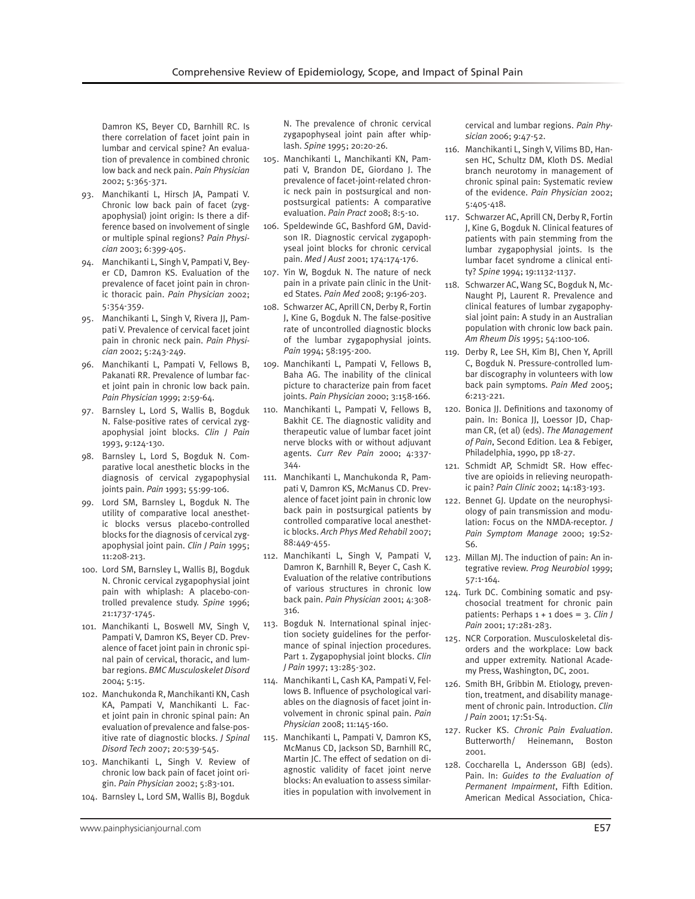Damron KS, Beyer CD, Barnhill RC. Is there correlation of facet joint pain in lumbar and cervical spine? An evaluation of prevalence in combined chronic low back and neck pain. *Pain Physician* 2002; 5:365-371.

- 93. Manchikanti L, Hirsch JA, Pampati V. Chronic low back pain of facet (zygapophysial) joint origin: Is there a difference based on involvement of single or multiple spinal regions? *Pain Physician* 2003; 6:399-405.
- 94. Manchikanti L, Singh V, Pampati V, Beyer CD, Damron KS. Evaluation of the prevalence of facet joint pain in chronic thoracic pain. *Pain Physician* 2002; 5:354-359.
- 95. Manchikanti L, Singh V, Rivera JJ, Pampati V. Prevalence of cervical facet joint pain in chronic neck pain. *Pain Physician* 2002; 5:243-249.
- 96. Manchikanti L, Pampati V, Fellows B, Pakanati RR. Prevalence of lumbar facet joint pain in chronic low back pain. *Pain Physician* 1999; 2:59-64.
- 97. Barnsley L, Lord S, Wallis B, Bogduk N. False-positive rates of cervical zygapophysial joint blocks. *Clin J Pain* 1993, 9:124-130.
- 98. Barnsley L, Lord S, Bogduk N. Comparative local anesthetic blocks in the diagnosis of cervical zygapophysial joints pain. *Pain* 1993; 55:99-106.
- 99. Lord SM, Barnsley L, Bogduk N. The utility of comparative local anesthetic blocks versus placebo-controlled blocks for the diagnosis of cervical zygapophysial joint pain. *Clin J Pain* 1995; 11:208-213.
- 100. Lord SM, Barnsley L, Wallis BJ, Bogduk N. Chronic cervical zygapophysial joint pain with whiplash: A placebo-controlled prevalence study. *Spine* 1996; 21:1737-1745.
- 101. Manchikanti L, Boswell MV, Singh V, Pampati V, Damron KS, Beyer CD. Prevalence of facet joint pain in chronic spinal pain of cervical, thoracic, and lumbar regions. *BMC Musculoskelet Disord* 2004; 5:15.
- 102. Manchukonda R, Manchikanti KN, Cash KA, Pampati V, Manchikanti L. Facet joint pain in chronic spinal pain: An evaluation of prevalence and false-positive rate of diagnostic blocks. *J Spinal Disord Tech* 2007; 20:539-545.
- 103. Manchikanti L, Singh V. Review of chronic low back pain of facet joint origin. *Pain Physician* 2002; 5:83-101.
- 104. Barnsley L, Lord SM, Wallis BJ, Bogduk

N. The prevalence of chronic cervical zygapophyseal joint pain after whiplash. *Spine* 1995; 20:20-26.

- 105. Manchikanti L, Manchikanti KN, Pampati V, Brandon DE, Giordano J. The prevalence of facet-joint-related chronic neck pain in postsurgical and nonpostsurgical patients: A comparative evaluation. *Pain Pract* 2008; 8:5-10.
- 106. Speldewinde GC, Bashford GM, Davidson IR. Diagnostic cervical zygapophyseal joint blocks for chronic cervical pain. *Med J Aust* 2001; 174:174-176.
- 107. Yin W, Bogduk N. The nature of neck pain in a private pain clinic in the United States. *Pain Med* 2008; 9:196-203.
- 108. Schwarzer AC, Aprill CN, Derby R, Fortin J, Kine G, Bogduk N. The false-positive rate of uncontrolled diagnostic blocks of the lumbar zygapophysial joints. *Pain* 1994; 58:195-200.
- 109. Manchikanti L, Pampati V, Fellows B, Baha AG. The inability of the clinical picture to characterize pain from facet joints. *Pain Physician* 2000; 3:158-166.
- 110. Manchikanti L, Pampati V, Fellows B, Bakhit CE. The diagnostic validity and therapeutic value of lumbar facet joint nerve blocks with or without adjuvant agents. *Curr Rev Pain* 2000; 4:337- 344.
- 111. Manchikanti L, Manchukonda R, Pampati V, Damron KS, McManus CD. Prevalence of facet joint pain in chronic low back pain in postsurgical patients by controlled comparative local anesthetic blocks. *Arch Phys Med Rehabil* 2007; 88:449-455.
- 112. Manchikanti L, Singh V, Pampati V, Damron K, Barnhill R, Beyer C, Cash K. Evaluation of the relative contributions of various structures in chronic low back pain. *Pain Physician* 2001; 4:308- 316.
- 113. Bogduk N. International spinal injection society guidelines for the performance of spinal injection procedures. Part 1. Zygapophysial joint blocks. *Clin J Pain* 1997; 13:285-302.
- 114. Manchikanti L, Cash KA, Pampati V, Fellows B. Influence of psychological variables on the diagnosis of facet joint involvement in chronic spinal pain. *Pain Physician* 2008; 11:145-160.
- 115. Manchikanti L, Pampati V, Damron KS, McManus CD, Jackson SD, Barnhill RC, Martin JC. The effect of sedation on diagnostic validity of facet joint nerve blocks: An evaluation to assess similarities in population with involvement in

cervical and lumbar regions. *Pain Physician* 2006; 9:47-52.

- 116. Manchikanti L, Singh V, Vilims BD, Hansen HC, Schultz DM, Kloth DS. Medial branch neurotomy in management of chronic spinal pain: Systematic review of the evidence. *Pain Physician* 2002; 5:405-418.
- 117. Schwarzer AC, Aprill CN, Derby R, Fortin J, Kine G, Bogduk N. Clinical features of patients with pain stemming from the lumbar zygapophysial joints. Is the lumbar facet syndrome a clinical entity? *Spine* 1994; 19:1132-1137.
- 118. Schwarzer AC, Wang SC, Bogduk N, Mc-Naught PJ, Laurent R. Prevalence and clinical features of lumbar zygapophysial joint pain: A study in an Australian population with chronic low back pain. *Am Rheum Dis* 1995; 54:100-106.
- 119. Derby R, Lee SH, Kim BJ, Chen Y, Aprill C, Bogduk N. Pressure-controlled lumbar discography in volunteers with low back pain symptoms. *Pain Med* 2005; 6:213-221.
- 120. Bonica JJ. Definitions and taxonomy of pain. In: Bonica JJ, Loessor JD, Chapman CR, (et al) (eds). *The Management of Pain*, Second Edition. Lea & Febiger, Philadelphia, 1990, pp 18-27.
- 121. Schmidt AP, Schmidt SR. How effective are opioids in relieving neuropathic pain? *Pain Clinic* 2002; 14:183-193.
- 122. Bennet GJ. Update on the neurophysiology of pain transmission and modulation: Focus on the NMDA-receptor. *J Pain Symptom Manage* 2000; 19:S2- S6.
- 123. Millan MJ. The induction of pain: An integrative review. *Prog Neurobiol* 1999; 57:1-164.
- 124. Turk DC. Combining somatic and psychosocial treatment for chronic pain patients: Perhaps 1 + 1 does = 3. *Clin J Pain* 2001; 17:281-283.
- 125. NCR Corporation. Musculoskeletal disorders and the workplace: Low back and upper extremity. National Academy Press, Washington, DC, 2001.
- 126. Smith BH, Gribbin M. Etiology, prevention, treatment, and disability management of chronic pain. Introduction. *Clin J Pain* 2001; 17:S1-S4.
- 127. Rucker KS. *Chronic Pain Evaluation*. Butterworth/ Heinemann, Boston 2001.
- 128. Coccharella L, Andersson GBJ (eds). Pain. In: *Guides to the Evaluation of Permanent Impairment*, Fifth Edition. American Medical Association, Chica-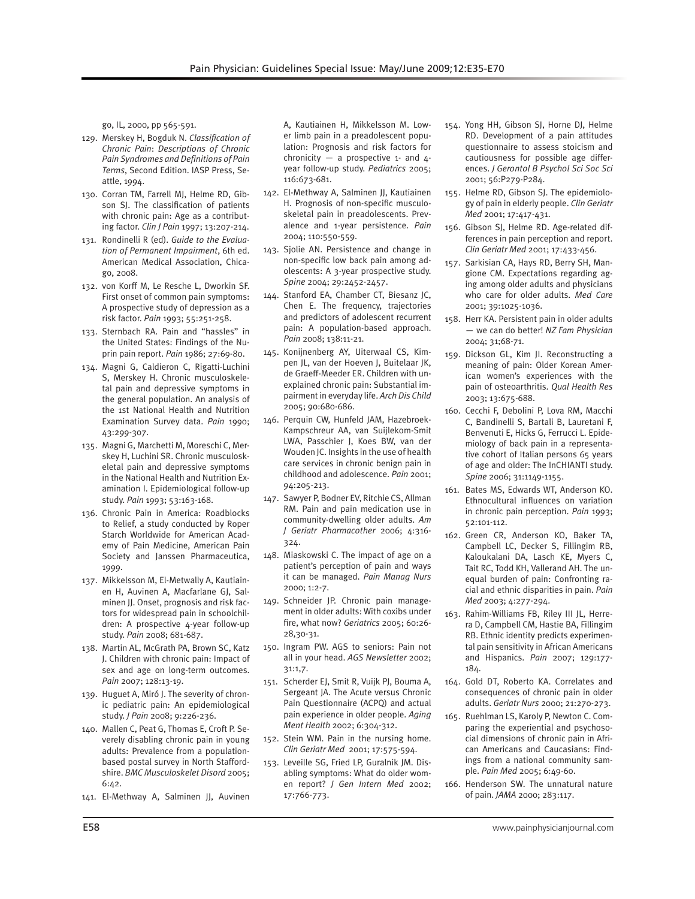go, IL, 2000, pp 565-591.

- 129. Merskey H, Bogduk N. *Classification of Chronic Pain*: *Descriptions of Chronic Pain Syndromes and Definitions of Pain Terms*, Second Edition. IASP Press, Seattle, 1994.
- 130. Corran TM, Farrell MJ, Helme RD, Gibson SJ. The classification of patients with chronic pain: Age as a contributing factor. *Clin J Pain* 1997; 13:207-214.
- 131. Rondinelli R (ed). *Guide to the Evaluation of Permanent Impairment*, 6th ed. American Medical Association, Chicago, 2008.
- 132. von Korff M, Le Resche L, Dworkin SF. First onset of common pain symptoms: A prospective study of depression as a risk factor. *Pain* 1993; 55:251-258.
- 133. Sternbach RA. Pain and "hassles" in the United States: Findings of the Nuprin pain report. *Pain* 1986; 27:69-80.
- 134. Magni G, Caldieron C, Rigatti-Luchini S, Merskey H. Chronic musculoskeletal pain and depressive symptoms in the general population. An analysis of the 1st National Health and Nutrition Examination Survey data. *Pain* 1990; 43:299-307.
- 135. Magni G, Marchetti M, Moreschi C, Merskey H, Luchini SR. Chronic musculoskeletal pain and depressive symptoms in the National Health and Nutrition Examination I. Epidemiological follow-up study. *Pain* 1993; 53:163-168.
- 136. Chronic Pain in America: Roadblocks to Relief, a study conducted by Roper Starch Worldwide for American Academy of Pain Medicine, American Pain Society and Janssen Pharmaceutica, 1999.
- 137. Mikkelsson M, El-Metwally A, Kautiainen H, Auvinen A, Macfarlane GJ, Salminen JJ. Onset, prognosis and risk factors for widespread pain in schoolchildren: A prospective 4-year follow-up study. *Pain* 2008; 681-687.
- 138. Martin AL, McGrath PA, Brown SC, Katz J. Children with chronic pain: Impact of sex and age on long-term outcomes. *Pain* 2007; 128:13-19.
- 139. Huguet A, Miró J. The severity of chronic pediatric pain: An epidemiological study. *J Pain* 2008; 9:226-236.
- 140. Mallen C, Peat G, Thomas E, Croft P. Severely disabling chronic pain in young adults: Prevalence from a populationbased postal survey in North Staffordshire. *BMC Musculoskelet Disord* 2005; 6:42.
- 141. El-Methway A, Salminen JJ, Auvinen

A, Kautiainen H, Mikkelsson M. Lower limb pain in a preadolescent population: Prognosis and risk factors for chronicity — a prospective  $1$ - and  $4$ year follow-up study. *Pediatrics* 2005; 116:673-681.

- 142. El-Methway A, Salminen JJ, Kautiainen H. Prognosis of non-specific musculoskeletal pain in preadolescents. Prevalence and 1-year persistence. *Pain* 2004; 110:550-559.
- 143. Sjolie AN. Persistence and change in non-specific low back pain among adolescents: A 3-year prospective study. *Spine* 2004; 29:2452-2457.
- 144. Stanford EA, Chamber CT, Biesanz JC, Chen E. The frequency, trajectories and predictors of adolescent recurrent pain: A population-based approach. *Pain* 2008; 138:11-21.
- 145. Konijnenberg AY, Uiterwaal CS, Kimpen JL, van der Hoeven J, Buitelaar JK, de Graeff-Meeder ER. Children with unexplained chronic pain: Substantial impairment in everyday life. *Arch Dis Child* 2005; 90:680-686.
- 146. Perquin CW, Hunfeld JAM, Hazebroek-Kampschreur AA, van Suijlekom-Smit LWA, Passchier J, Koes BW, van der Wouden JC. Insights in the use of health care services in chronic benign pain in childhood and adolescence. *Pain* 2001; 94:205-213.
- 147. Sawyer P, Bodner EV, Ritchie CS, Allman RM. Pain and pain medication use in community-dwelling older adults. *Am J Geriatr Pharmacother* 2006; 4:316- 324.
- 148. Miaskowski C. The impact of age on a patient's perception of pain and ways it can be managed. *Pain Manag Nurs*  2000; 1:2-7.
- 149. Schneider JP. Chronic pain management in older adults: With coxibs under fire, what now? *Geriatrics* 2005; 60:26- 28,30-31.
- 150. Ingram PW. AGS to seniors: Pain not all in your head. *AGS Newsletter* 2002; 31:1,7.
- 151. Scherder EJ, Smit R, Vuijk PJ, Bouma A, Sergeant JA. The Acute versus Chronic Pain Questionnaire (ACPQ) and actual pain experience in older people. *Aging Ment Health* 2002; 6:304-312.
- 152. Stein WM. Pain in the nursing home. *Clin Geriatr Med* 2001; 17:575-594.
- 153. Leveille SG, Fried LP, Guralnik JM. Disabling symptoms: What do older women report? *J Gen Intern Med* 2002; 17:766-773.
- 154. Yong HH, Gibson SJ, Horne DJ, Helme RD. Development of a pain attitudes questionnaire to assess stoicism and cautiousness for possible age differences. *J Gerontol B Psychol Sci Soc Sci*  2001; 56:P279-P284.
- 155. Helme RD, Gibson SJ. The epidemiology of pain in elderly people. *Clin Geriatr Med* 2001; 17:417-431.
- 156. Gibson SJ, Helme RD. Age-related differences in pain perception and report. *Clin Geriatr Med* 2001; 17:433-456.
- 157. Sarkisian CA, Hays RD, Berry SH, Mangione CM. Expectations regarding aging among older adults and physicians who care for older adults. *Med Care*  2001; 39:1025-1036.
- 158. Herr KA. Persistent pain in older adults — we can do better! *NZ Fam Physician*  2004; 31;68-71.
- 159. Dickson GL, Kim JI. Reconstructing a meaning of pain: Older Korean American women's experiences with the pain of osteoarthritis. *Qual Health Res*  2003; 13:675-688.
- 160. Cecchi F, Debolini P, Lova RM, Macchi C, Bandinelli S, Bartali B, Lauretani F, Benvenuti E, Hicks G, Ferrucci L. Epidemiology of back pain in a representative cohort of Italian persons 65 years of age and older: The InCHIANTI study. *Spine* 2006; 31:1149-1155.
- 161. Bates MS, Edwards WT, Anderson KO. Ethnocultural influences on variation in chronic pain perception. *Pain* 1993; 52:101-112.
- 162. Green CR, Anderson KO, Baker TA, Campbell LC, Decker S, Fillingim RB, Kaloukalani DA, Lasch KE, Myers C, Tait RC, Todd KH, Vallerand AH. The unequal burden of pain: Confronting racial and ethnic disparities in pain. *Pain Med* 2003; 4:277-294.
- 163. Rahim-Williams FB, Riley III JL, Herrera D, Campbell CM, Hastie BA, Fillingim RB. Ethnic identity predicts experimental pain sensitivity in African Americans and Hispanics. *Pain* 2007; 129:177- 184.
- 164. Gold DT, Roberto KA. Correlates and consequences of chronic pain in older adults. *Geriatr Nurs* 2000; 21:270-273.
- 165. Ruehlman LS, Karoly P, Newton C. Comparing the experiential and psychosocial dimensions of chronic pain in African Americans and Caucasians: Findings from a national community sample. *Pain Med* 2005; 6:49-60.
- 166. Henderson SW*.* The unnatural nature of pain. *JAMA* 2000; 283:117.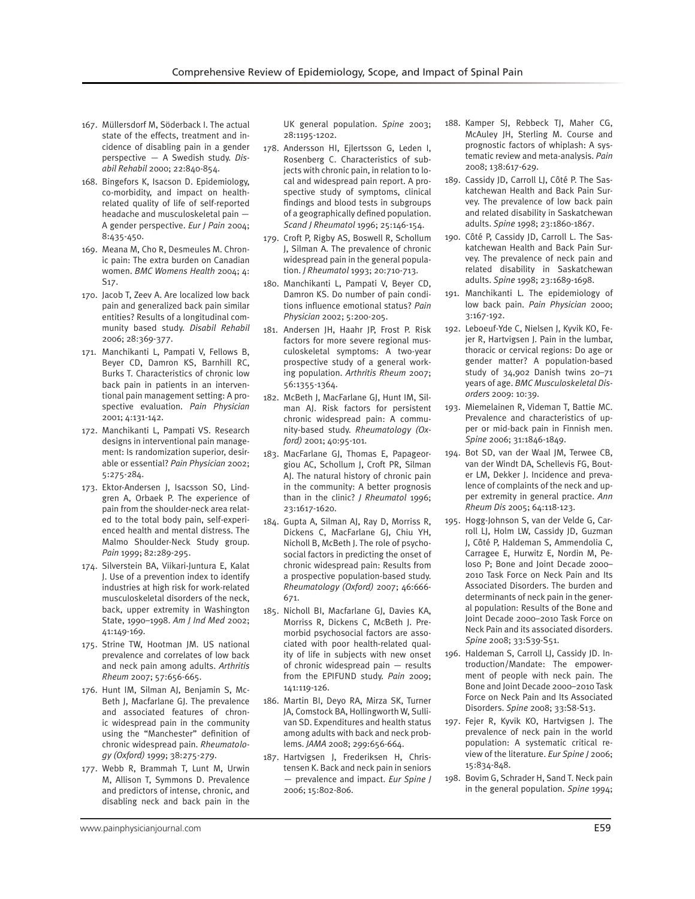- 167. Müllersdorf M, Söderback I. The actual state of the effects, treatment and incidence of disabling pain in a gender perspective — A Swedish study. *Disabil Rehabil* 2000; 22:840-854.
- 168. Bingefors K, Isacson D. Epidemiology, co-morbidity, and impact on healthrelated quality of life of self-reported headache and musculoskeletal pain — A gender perspective. *Eur J Pain* 2004; 8:435-450.
- 169. Meana M, Cho R, Desmeules M. Chronic pain: The extra burden on Canadian women. *BMC Womens Health* 2004; 4: S17.
- 170. Jacob T, Zeev A. Are localized low back pain and generalized back pain similar entities? Results of a longitudinal community based study. *Disabil Rehabil* 2006; 28:369-377.
- 171. Manchikanti L, Pampati V, Fellows B, Beyer CD, Damron KS, Barnhill RC, Burks T. Characteristics of chronic low back pain in patients in an interventional pain management setting: A prospective evaluation. *Pain Physician* 2001; 4:131-142.
- 172. Manchikanti L, Pampati VS. Research designs in interventional pain management: Is randomization superior, desirable or essential? *Pain Physician* 2002; 5:275-284.
- 173. Ektor-Andersen J, Isacsson SO, Lindgren A, Orbaek P. The experience of pain from the shoulder-neck area related to the total body pain, self-experienced health and mental distress. The Malmo Shoulder-Neck Study group. *Pain* 1999; 82:289-295.
- 174. Silverstein BA, Viikari-Juntura E, Kalat J. Use of a prevention index to identify industries at high risk for work-related musculoskeletal disorders of the neck, back, upper extremity in Washington State, 1990–1998. *Am J Ind Med* 2002; 41:149-169.
- 175. Strine TW, Hootman JM. US national prevalence and correlates of low back and neck pain among adults. *Arthritis Rheum* 2007; 57:656-665.
- 176. Hunt IM, Silman AJ, Benjamin S, Mc-Beth J, Macfarlane GJ. The prevalence and associated features of chronic widespread pain in the community using the "Manchester" definition of chronic widespread pain. *Rheumatology (Oxford)* 1999; 38:275-279.
- 177. Webb R, Brammah T, Lunt M, Urwin M, Allison T, Symmons D. Prevalence and predictors of intense, chronic, and disabling neck and back pain in the

UK general population. *Spine* 2003; 28:1195-1202.

- 178. Andersson HI, Ejlertsson G, Leden I, Rosenberg C. Characteristics of subjects with chronic pain, in relation to local and widespread pain report. A prospective study of symptoms, clinical findings and blood tests in subgroups of a geographically defined population. *Scand J Rheumatol* 1996; 25:146-154.
- 179. Croft P, Rigby AS, Boswell R, Schollum J, Silman A. The prevalence of chronic widespread pain in the general population. *J Rheumatol* 1993; 20:710-713.
- 180. Manchikanti L, Pampati V, Beyer CD, Damron KS. Do number of pain conditions influence emotional status? *Pain Physician* 2002; 5:200-205.
- 181. Andersen JH, Haahr JP, Frost P. Risk factors for more severe regional musculoskeletal symptoms: A two-year prospective study of a general working population. *Arthritis Rheum* 2007; 56:1355-1364.
- 182. McBeth J, MacFarlane GJ, Hunt IM, Silman AJ. Risk factors for persistent chronic widespread pain: A community-based study. *Rheumatology (Oxford)* 2001; 40:95-101.
- 183. MacFarlane GJ, Thomas E, Papageorgiou AC, Schollum J, Croft PR, Silman AJ. The natural history of chronic pain in the community: A better prognosis than in the clinic? *J Rheumatol* 1996; 23:1617-1620.
- 184. Gupta A, Silman AJ, Ray D, Morriss R, Dickens C, MacFarlane GJ, Chiu YH, Nicholl B, McBeth J. The role of psychosocial factors in predicting the onset of chronic widespread pain: Results from a prospective population-based study. *Rheumatology (Oxford)* 2007; 46:666- 671.
- 185. Nicholl BI, Macfarlane GJ, Davies KA, Morriss R, Dickens C, McBeth J. Premorbid psychosocial factors are associated with poor health-related quality of life in subjects with new onset of chronic widespread pain — results from the EPIFUND study. *Pain* 2009; 141:119-126.
- 186. Martin BI, Deyo RA, Mirza SK, Turner JA, Comstock BA, Hollingworth W, Sullivan SD. Expenditures and health status among adults with back and neck problems. *JAMA* 2008; 299:656-664.
- 187. Hartvigsen J, Frederiksen H, Christensen K. Back and neck pain in seniors — prevalence and impact. *Eur Spine J* 2006; 15:802-806.
- 188. Kamper SJ, Rebbeck TJ, Maher CG, McAuley JH, Sterling M. Course and prognostic factors of whiplash: A systematic review and meta-analysis. *Pain* 2008; 138:617-629.
- 189. Cassidy JD, Carroll LJ, Côté P. The Saskatchewan Health and Back Pain Survey. The prevalence of low back pain and related disability in Saskatchewan adults. *Spine* 1998; 23:1860-1867.
- 190. Côté P, Cassidy JD, Carroll L. The Saskatchewan Health and Back Pain Survey. The prevalence of neck pain and related disability in Saskatchewan adults. *Spine* 1998; 23:1689-1698.
- 191. Manchikanti L. The epidemiology of low back pain. *Pain Physician* 2000; 3:167-192.
- 192. Leboeuf-Yde C, Nielsen J, Kyvik KO, Fejer R, Hartvigsen J. Pain in the lumbar, thoracic or cervical regions: Do age or gender matter? A population-based study of 34,902 Danish twins 20–71 years of age. *BMC Musculoskeletal Disorders* 2009: 10:39.
- 193. Miemelainen R, Videman T, Battie MC. Prevalence and characteristics of upper or mid-back pain in Finnish men. *Spine* 2006; 31:1846-1849.
- 194. Bot SD, van der Waal JM, Terwee CB, van der Windt DA, Schellevis FG, Bouter LM, Dekker J. Incidence and prevalence of complaints of the neck and upper extremity in general practice. *Ann Rheum Dis* 2005; 64:118-123.
- 195. Hogg-Johnson S, van der Velde G, Carroll LJ, Holm LW, Cassidy JD, Guzman J, Côté P, Haldeman S, Ammendolia C, Carragee E, Hurwitz E, Nordin M, Peloso P; Bone and Joint Decade 2000– 2010 Task Force on Neck Pain and Its Associated Disorders. The burden and determinants of neck pain in the general population: Results of the Bone and Joint Decade 2000–2010 Task Force on Neck Pain and its associated disorders. *Spine* 2008; 33:S39-S51.
- 196. Haldeman S, Carroll LJ, Cassidy JD. Introduction/Mandate: The empowerment of people with neck pain. The Bone and Joint Decade 2000–2010 Task Force on Neck Pain and Its Associated Disorders. *Spine* 2008; 33:S8-S13.
- 197. Fejer R, Kyvik KO, Hartvigsen J. The prevalence of neck pain in the world population: A systematic critical review of the literature. *Eur Spine J* 2006; 15:834-848.
- 198. Bovim G, Schrader H, Sand T. Neck pain in the general population. *Spine* 1994;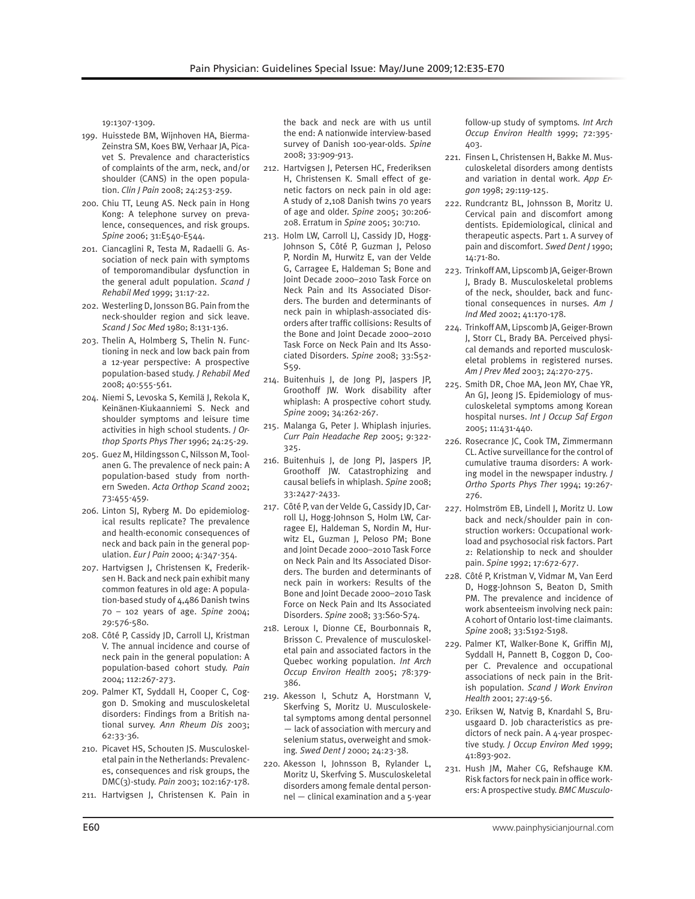19:1307-1309.

- 199. Huisstede BM, Wijnhoven HA, Bierma-Zeinstra SM, Koes BW, Verhaar JA, Picavet S. Prevalence and characteristics of complaints of the arm, neck, and/or shoulder (CANS) in the open population. *Clin J Pain* 2008; 24:253-259.
- 200. Chiu TT, Leung AS. Neck pain in Hong Kong: A telephone survey on prevalence, consequences, and risk groups. *Spine* 2006; 31:E540-E544.
- 201. Ciancaglini R, Testa M, Radaelli G. Association of neck pain with symptoms of temporomandibular dysfunction in the general adult population. *Scand J Rehabil Med* 1999; 31:17-22.
- 202. Westerling D, Jonsson BG. Pain from the neck-shoulder region and sick leave. *Scand J Soc Med* 1980; 8:131-136.
- 203. Thelin A, Holmberg S, Thelin N. Functioning in neck and low back pain from a 12-year perspective: A prospective population-based study. *J Rehabil Med* 2008; 40:555-561.
- 204. Niemi S, Levoska S, Kemilä J, Rekola K, Keinänen-Kiukaanniemi S. Neck and shoulder symptoms and leisure time activities in high school students. *J Orthop Sports Phys Ther* 1996; 24:25-29.
- 205. Guez M, Hildingsson C, Nilsson M, Toolanen G. The prevalence of neck pain: A population-based study from northern Sweden. *Acta Orthop Scand* 2002; 73:455-459.
- 206. Linton SJ, Ryberg M. Do epidemiological results replicate? The prevalence and health-economic consequences of neck and back pain in the general population. *Eur J Pain* 2000; 4:347-354.
- 207. Hartvigsen J, Christensen K, Frederiksen H. Back and neck pain exhibit many common features in old age: A population-based study of 4,486 Danish twins 70 – 102 years of age. *Spine* 2004; 29:576-580.
- 208. Côté P, Cassidy JD, Carroll LJ, Kristman V. The annual incidence and course of neck pain in the general population: A population-based cohort study. *Pain*  2004; 112:267-273.
- 209. Palmer KT, Syddall H, Cooper C, Coggon D. Smoking and musculoskeletal disorders: Findings from a British national survey. *Ann Rheum Dis* 2003; 62:33-36.
- 210. Picavet HS, Schouten JS. Musculoskeletal pain in the Netherlands: Prevalences, consequences and risk groups, the DMC(3)-study. *Pain* 2003; 102:167-178.
- 211. Hartvigsen J, Christensen K. Pain in

the back and neck are with us until the end: A nationwide interview-based survey of Danish 100-year-olds. *Spine* 2008; 33:909-913.

- 212. Hartvigsen J, Petersen HC, Frederiksen H, Christensen K. Small effect of genetic factors on neck pain in old age: A study of 2,108 Danish twins 70 years of age and older. *Spine* 2005; 30:206- 208. Erratum in *Spine* 2005; 30:710.
- 213. Holm LW, Carroll LJ, Cassidy JD, Hogg-Johnson S, Côté P, Guzman J, Peloso P, Nordin M, Hurwitz E, van der Velde G, Carragee E, Haldeman S; Bone and Joint Decade 2000–2010 Task Force on Neck Pain and Its Associated Disorders. The burden and determinants of neck pain in whiplash-associated disorders after traffic collisions: Results of the Bone and Joint Decade 2000–2010 Task Force on Neck Pain and Its Associated Disorders. *Spine* 2008; 33:S52- S59.
- 214. Buitenhuis J, de Jong PJ, Jaspers JP, Groothoff JW. Work disability after whiplash: A prospective cohort study. *Spine* 2009; 34:262-267.
- 215. Malanga G, Peter J. Whiplash injuries. *Curr Pain Headache Rep* 2005; 9:322- 325.
- 216. Buitenhuis J, de Jong PJ, Jaspers JP, Groothoff JW. Catastrophizing and causal beliefs in whiplash. *Spine* 2008; 33:2427-2433.
- 217. Côté P, van der Velde G, Cassidy JD, Carroll LJ, Hogg-Johnson S, Holm LW, Carragee EJ, Haldeman S, Nordin M, Hurwitz EL, Guzman J, Peloso PM; Bone and Joint Decade 2000–2010 Task Force on Neck Pain and Its Associated Disorders. The burden and determinants of neck pain in workers: Results of the Bone and Joint Decade 2000–2010 Task Force on Neck Pain and Its Associated Disorders. *Spine* 2008; 33:S60-S74.
- 218. Leroux I, Dionne CE, Bourbonnais R, Brisson C. Prevalence of musculoskeletal pain and associated factors in the Quebec working population. *Int Arch Occup Environ Health* 2005; 78:379- 386.
- 219. Akesson I, Schutz A, Horstmann V, Skerfving S, Moritz U. Musculoskeletal symptoms among dental personnel — lack of association with mercury and selenium status, overweight and smoking*. Swed Dent J* 2000; 24:23-38.
- 220. Akesson I, Johnsson B, Rylander L, Moritz U, Skerfving S. Musculoskeletal disorders among female dental personnel — clinical examination and a 5-year

follow-up study of symptoms*. Int Arch Occup Environ Health* 1999; 72:395- 403.

- 221. Finsen L, Christensen H, Bakke M. Musculoskeletal disorders among dentists and variation in dental work. *App Ergon* 1998; 29:119-125.
- 222. Rundcrantz BL, Johnsson B, Moritz U. Cervical pain and discomfort among dentists. Epidemiological, clinical and therapeutic aspects. Part 1. A survey of pain and discomfort. *Swed Dent J* 1990; 14:71-80.
- 223. Trinkoff AM, Lipscomb JA, Geiger-Brown J, Brady B. Musculoskeletal problems of the neck, shoulder, back and functional consequences in nurses. *Am J Ind Med* 2002; 41:170-178.
- 224. Trinkoff AM, Lipscomb JA, Geiger-Brown J, Storr CL, Brady BA. Perceived physical demands and reported musculoskeletal problems in registered nurses. *Am J Prev Med* 2003; 24:270-275.
- 225. Smith DR, Choe MA, Jeon MY, Chae YR, An GJ, Jeong JS. Epidemiology of musculoskeletal symptoms among Korean hospital nurses. *Int J Occup Saf Ergon*  2005; 11:431-440.
- 226. Rosecrance JC, Cook TM, Zimmermann CL. Active surveillance for the control of cumulative trauma disorders: A working model in the newspaper industry. *J Ortho Sports Phys Ther* 1994; 19:267- 276.
- 227. Holmström EB, Lindell J, Moritz U. Low back and neck/shoulder pain in construction workers: Occupational workload and psychosocial risk factors. Part 2: Relationship to neck and shoulder pain. *Spine* 1992; 17:672-677.
- 228. Côté P, Kristman V, Vidmar M, Van Eerd D, Hogg-Johnson S, Beaton D, Smith PM. The prevalence and incidence of work absenteeism involving neck pain: A cohort of Ontario lost-time claimants. *Spine* 2008; 33:S192-S198.
- 229. Palmer KT, Walker-Bone K, Griffin MJ, Syddall H, Pannett B, Coggon D, Cooper C. Prevalence and occupational associations of neck pain in the British population. *Scand J Work Environ Health* 2001; 27:49-56.
- 230. Eriksen W, Natvig B, Knardahl S, Bruusgaard D. Job characteristics as predictors of neck pain. A 4-year prospective study. *J Occup Environ Med* 1999; 41:893-902.
- 231. Hush JM, Maher CG, Refshauge KM. Risk factors for neck pain in office workers: A prospective study. *BMC Musculo-*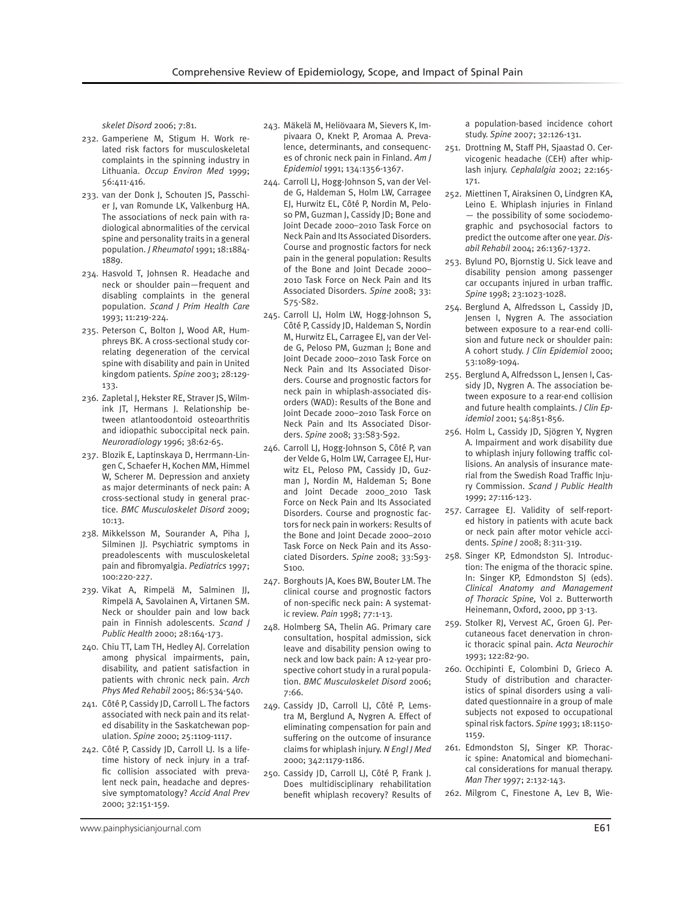*skelet Disord* 2006; 7:81.

- 232. Gamperiene M, Stigum H. Work related risk factors for musculoskeletal complaints in the spinning industry in Lithuania. *Occup Environ Med* 1999; 56:411-416.
- 233. van der Donk J, Schouten JS, Passchier J, van Romunde LK, Valkenburg HA. The associations of neck pain with radiological abnormalities of the cervical spine and personality traits in a general population. *J Rheumatol* 1991; 18:1884- 1889.
- 234. Hasvold T, Johnsen R. Headache and neck or shoulder pain—frequent and disabling complaints in the general population. *Scand J Prim Health Care*  1993; 11:219-224.
- 235. Peterson C, Bolton J, Wood AR, Humphreys BK. A cross-sectional study correlating degeneration of the cervical spine with disability and pain in United kingdom patients. *Spine* 2003; 28:129- 133.
- 236. Zapletal J, Hekster RE, Straver JS, Wilmink JT, Hermans J. Relationship between atlantoodontoid osteoarthritis and idiopathic suboccipital neck pain. *Neuroradiology* 1996; 38:62-65.
- 237. Blozik E, Laptinskaya D, Herrmann-Lingen C, Schaefer H, Kochen MM, Himmel W, Scherer M. Depression and anxiety as major determinants of neck pain: A cross-sectional study in general practice. *BMC Musculoskelet Disord* 2009; 10:13.
- 238. Mikkelsson M, Sourander A, Piha J, Silminen JJ. Psychiatric symptoms in preadolescents with musculoskeletal pain and fibromyalgia. *Pediatrics* 1997; 100:220-227.
- 239. Vikat A, Rimpelä M, Salminen JJ, Rimpelä A, Savolainen A, Virtanen SM. Neck or shoulder pain and low back pain in Finnish adolescents. *Scand J Public Health* 2000; 28:164-173.
- 240. Chiu TT, Lam TH, Hedley AJ. Correlation among physical impairments, pain, disability, and patient satisfaction in patients with chronic neck pain. *Arch Phys Med Rehabil* 2005; 86:534-540.
- 241. Côté P, Cassidy JD, Carroll L. The factors associated with neck pain and its related disability in the Saskatchewan population. *Spine* 2000; 25:1109-1117.
- 242. Côté P, Cassidy JD, Carroll LJ. Is a lifetime history of neck injury in a traffic collision associated with prevalent neck pain, headache and depressive symptomatology? *Accid Anal Prev*  2000; 32:151-159.
- 243. Mäkelä M, Heliövaara M, Sievers K, Impivaara O, Knekt P, Aromaa A. Prevalence, determinants, and consequences of chronic neck pain in Finland. *Am J Epidemiol* 1991; 134:1356-1367.
- 244. Carroll LJ, Hogg-Johnson S, van der Velde G, Haldeman S, Holm LW, Carragee EJ, Hurwitz EL, Côté P, Nordin M, Peloso PM, Guzman J, Cassidy JD; Bone and Joint Decade 2000–2010 Task Force on Neck Pain and Its Associated Disorders. Course and prognostic factors for neck pain in the general population: Results of the Bone and Joint Decade 2000– 2010 Task Force on Neck Pain and Its Associated Disorders. *Spine* 2008; 33: S75-S82.
- 245. Carroll LJ, Holm LW, Hogg-Johnson S, Côté P, Cassidy JD, Haldeman S, Nordin M, Hurwitz EL, Carragee EJ, van der Velde G, Peloso PM, Guzman J; Bone and Joint Decade 2000–2010 Task Force on Neck Pain and Its Associated Disorders. Course and prognostic factors for neck pain in whiplash-associated disorders (WAD): Results of the Bone and Joint Decade 2000–2010 Task Force on Neck Pain and Its Associated Disorders. *Spine* 2008; 33:S83-S92.
- 246. Carroll LJ, Hogg-Johnson S, Côté P, van der Velde G, Holm LW, Carragee EJ, Hurwitz EL, Peloso PM, Cassidy JD, Guzman J, Nordin M, Haldeman S; Bone and Joint Decade 2000\_2010 Task Force on Neck Pain and Its Associated Disorders. Course and prognostic factors for neck pain in workers: Results of the Bone and Joint Decade 2000–2010 Task Force on Neck Pain and its Associated Disorders. *Spine* 2008; 33:S93- S100.
- 247. Borghouts JA, Koes BW, Bouter LM. The clinical course and prognostic factors of non-specific neck pain: A systematic review. *Pain* 1998; 77:1-13.
- 248. Holmberg SA, Thelin AG. Primary care consultation, hospital admission, sick leave and disability pension owing to neck and low back pain: A 12-year prospective cohort study in a rural population. *BMC Musculoskelet Disord* 2006; 7:66.
- 249. Cassidy JD, Carroll LJ, Côté P, Lemstra M, Berglund A, Nygren A. Effect of eliminating compensation for pain and suffering on the outcome of insurance claims for whiplash injury. *N Engl J Med*  2000; 342:1179-1186.
- 250. Cassidy JD, Carroll LJ, Côté P, Frank J. Does multidisciplinary rehabilitation benefit whiplash recovery? Results of

a population-based incidence cohort study. *Spine* 2007; 32:126-131.

- 251. Drottning M, Staff PH, Sjaastad O. Cervicogenic headache (CEH) after whiplash injury. *Cephalalgia* 2002; 22:165- 171.
- 252. Miettinen T, Airaksinen O, Lindgren KA, Leino E. Whiplash injuries in Finland — the possibility of some sociodemographic and psychosocial factors to predict the outcome after one year. *Disabil Rehabil* 2004; 26:1367-1372.
- 253. Bylund PO, Bjornstig U. Sick leave and disability pension among passenger car occupants injured in urban traffic. *Spine* 1998; 23:1023-1028.
- 254. Berglund A, Alfredsson L, Cassidy JD, Jensen I, Nygren A. The association between exposure to a rear-end collision and future neck or shoulder pain: A cohort study. *J Clin Epidemiol* 2000; 53:1089-1094.
- 255. Berglund A, Alfredsson L, Jensen I, Cassidy JD, Nygren A. The association between exposure to a rear-end collision and future health complaints. *J Clin Epidemiol* 2001; 54:851-856.
- 256. Holm L, Cassidy JD, Sjögren Y, Nygren A. Impairment and work disability due to whiplash injury following traffic collisions. An analysis of insurance material from the Swedish Road Traffic Injury Commission. *Scand J Public Health*  1999; 27:116-123.
- 257. Carragee EJ. Validity of self-reported history in patients with acute back or neck pain after motor vehicle accidents. *Spine J* 2008; 8:311-319.
- 258. Singer KP, Edmondston SJ. Introduction: The enigma of the thoracic spine. In: Singer KP, Edmondston SJ (eds). *Clinical Anatomy and Management of Thoracic Spine,* Vol 2. Butterworth Heinemann, Oxford, 2000, pp 3-13.
- 259. Stolker RJ, Vervest AC, Groen GJ. Percutaneous facet denervation in chronic thoracic spinal pain. *Acta Neurochir*  1993; 122:82-90.
- 260. Occhipinti E, Colombini D, Grieco A. Study of distribution and characteristics of spinal disorders using a validated questionnaire in a group of male subjects not exposed to occupational spinal risk factors. *Spine* 1993; 18:1150- 1159.
- 261. Edmondston SJ, Singer KP. Thoracic spine: Anatomical and biomechanical considerations for manual therapy. *Man Ther* 1997; 2:132-143.
- 262. Milgrom C, Finestone A, Lev B, Wie-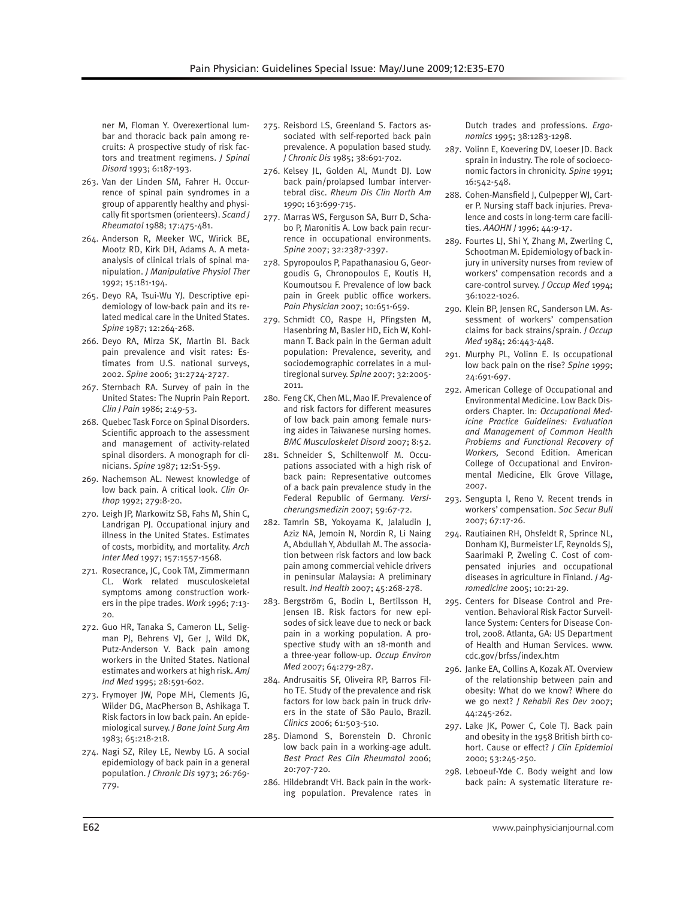ner M, Floman Y. Overexertional lumbar and thoracic back pain among recruits: A prospective study of risk factors and treatment regimens. *J Spinal Disord* 1993; 6:187-193.

- 263. Van der Linden SM, Fahrer H. Occurrence of spinal pain syndromes in a group of apparently healthy and physically fit sportsmen (orienteers). *Scand J Rheumatol* 1988; 17:475-481.
- 264. Anderson R, Meeker WC, Wirick BE, Mootz RD, Kirk DH, Adams A. A metaanalysis of clinical trials of spinal manipulation. *J Manipulative Physiol Ther* 1992; 15:181-194.
- 265. Deyo RA, Tsui-Wu YJ. Descriptive epidemiology of low-back pain and its related medical care in the United States. *Spine* 1987; 12:264-268.
- 266. Deyo RA, Mirza SK, Martin BI. Back pain prevalence and visit rates: Estimates from U.S. national surveys, 2002. *Spine* 2006; 31:2724-2727.
- 267. Sternbach RA. Survey of pain in the United States: The Nuprin Pain Report. *Clin J Pain* 1986; 2:49-53.
- 268. Quebec Task Force on Spinal Disorders. Scientific approach to the assessment and management of activity-related spinal disorders. A monograph for clinicians. *Spine* 1987; 12:S1-S59.
- 269. Nachemson AL. Newest knowledge of low back pain. A critical look. *Clin Orthop* 1992; 279:8-20.
- 270. Leigh JP, Markowitz SB, Fahs M, Shin C, Landrigan PJ. Occupational injury and illness in the United States. Estimates of costs, morbidity, and mortality. *Arch Inter Med* 1997; 157:1557-1568.
- 271. Rosecrance, JC, Cook TM, Zimmermann CL. Work related musculoskeletal symptoms among construction workers in the pipe trades. *Work* 1996; 7:13- 20.
- 272. Guo HR, Tanaka S, Cameron LL, Seligman PJ, Behrens VJ, Ger J, Wild DK, Putz-Anderson V. Back pain among workers in the United States. National estimates and workers at high risk. *AmJ Ind Med* 1995; 28:591-602.
- 273. Frymoyer JW, Pope MH, Clements JG, Wilder DG, MacPherson B, Ashikaga T. Risk factors in low back pain. An epidemiological survey. *J Bone Joint Surg Am*  1983; 65:218-218.
- 274. Nagi SZ, Riley LE, Newby LG. A social epidemiology of back pain in a general population. *J Chronic Dis* 1973; 26:769- 779.
- 275. Reisbord LS, Greenland S. Factors associated with self-reported back pain prevalence. A population based study. *J Chronic Dis* 1985; 38:691-702.
- 276. Kelsey JL, Golden Al, Mundt DJ. Low back pain/prolapsed lumbar intervertebral disc. *Rheum Dis Clin North Am*  1990; 163:699-715.
- 277. Marras WS, Ferguson SA, Burr D, Schabo P, Maronitis A. Low back pain recurrence in occupational environments. *Spine* 2007; 32:2387-2397.
- 278. Spyropoulos P, Papathanasiou G, Georgoudis G, Chronopoulos E, Koutis H, Koumoutsou F. Prevalence of low back pain in Greek public office workers. *Pain Physician* 2007; 10:651-659.
- 279. Schmidt CO, Raspe H, Pfingsten M, Hasenbring M, Basler HD, Eich W, Kohlmann T. Back pain in the German adult population: Prevalence, severity, and sociodemographic correlates in a multiregional survey. *Spine* 2007; 32:2005- 2011.
- 280. Feng CK, Chen ML, Mao IF. Prevalence of and risk factors for different measures of low back pain among female nursing aides in Taiwanese nursing homes. *BMC Musculoskelet Disord* 2007; 8:52.
- 281. Schneider S, Schiltenwolf M. Occupations associated with a high risk of back pain: Representative outcomes of a back pain prevalence study in the Federal Republic of Germany. *Versicherungsmedizin* 2007; 59:67-72.
- 282. Tamrin SB, Yokoyama K, Jalaludin J, Aziz NA, Jemoin N, Nordin R, Li Naing A, Abdullah Y, Abdullah M. The association between risk factors and low back pain among commercial vehicle drivers in peninsular Malaysia: A preliminary result. *Ind Health* 2007; 45:268-278.
- 283. Bergström G, Bodin L, Bertilsson H, Jensen IB. Risk factors for new episodes of sick leave due to neck or back pain in a working population. A prospective study with an 18-month and a three-year follow-up. *Occup Environ Med* 2007; 64:279-287.
- 284. Andrusaitis SF, Oliveira RP, Barros Filho TE. Study of the prevalence and risk factors for low back pain in truck drivers in the state of São Paulo, Brazil. *Clinics* 2006; 61:503-510.
- 285. Diamond S, Borenstein D. Chronic low back pain in a working-age adult. *Best Pract Res Clin Rheumatol* 2006; 20:707-720.
- 286. Hildebrandt VH. Back pain in the working population. Prevalence rates in

Dutch trades and professions. *Ergonomics* 1995; 38:1283-1298.

- 287. Volinn E, Koevering DV, Loeser JD. Back sprain in industry. The role of socioeconomic factors in chronicity. *Spine* 1991; 16:542-548.
- 288. Cohen-Mansfield J, Culpepper WJ, Carter P. Nursing staff back injuries. Prevalence and costs in long-term care facilities. *AAOHN J* 1996; 44:9-17.
- 289. Fourtes LJ, Shi Y, Zhang M, Zwerling C, Schootman M. Epidemiology of back injury in university nurses from review of workers' compensation records and a care-control survey. *J Occup Med* 1994; 36:1022-1026.
- 290. Klein BP, Jensen RC, Sanderson LM. Assessment of workers' compensation claims for back strains/sprain. *J Occup Med* 1984; 26:443-448.
- 291. Murphy PL, Volinn E. Is occupational low back pain on the rise? *Spine* 1999; 24:691-697.
- 292. American College of Occupational and Environmental Medicine. Low Back Disorders Chapter. In: *Occupational Medicine Practice Guidelines: Evaluation and Management of Common Health Problems and Functional Recovery of Workers,* Second Edition. American College of Occupational and Environmental Medicine, Elk Grove Village, 2007.
- 293. Sengupta I, Reno V. Recent trends in workers' compensation. *Soc Secur Bull*  2007; 67:17-26.
- 294. Rautiainen RH, Ohsfeldt R, Sprince NL, Donham KJ, Burmeister LF, Reynolds SJ, Saarimaki P, Zweling C. Cost of compensated injuries and occupational diseases in agriculture in Finland. *J Agromedicine* 2005; 10:21-29.
- 295. Centers for Disease Control and Prevention. Behavioral Risk Factor Surveillance System: Centers for Disease Control, 2008. Atlanta, GA: US Department of Health and Human Services. www. cdc.gov/brfss/index.htm
- 296. Janke EA, Collins A, Kozak AT. Overview of the relationship between pain and obesity: What do we know? Where do we go next? *J Rehabil Res Dev* 2007; 44:245-262.
- 297. Lake JK, Power C, Cole TJ. Back pain and obesity in the 1958 British birth cohort. Cause or effect? *J Clin Epidemiol* 2000; 53:245-250.
- 298. Leboeuf-Yde C. Body weight and low back pain: A systematic literature re-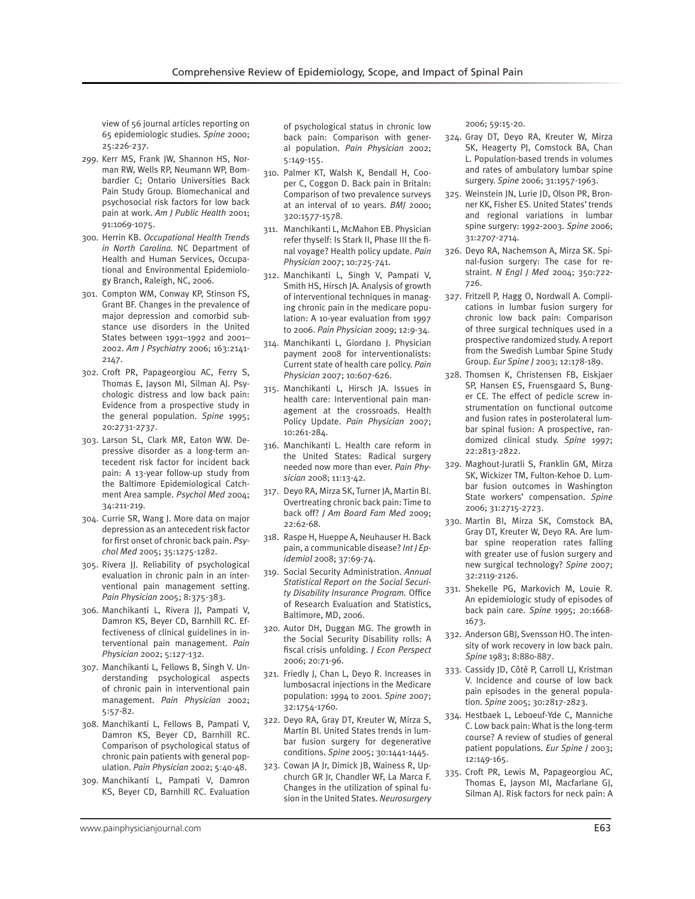view of 56 journal articles reporting on 65 epidemiologic studies. *Spine* 2000; 25:226-237.

- 299. Kerr MS, Frank JW, Shannon HS, Norman RW, Wells RP, Neumann WP, Bombardier C; Ontario Universities Back Pain Study Group. Biomechanical and psychosocial risk factors for low back pain at work. *Am J Public Health* 2001; 91:1069-1075.
- 300. Herrin KB. *Occupational Health Trends in North Carolina.* NC Department of Health and Human Services, Occupational and Environmental Epidemiology Branch, Raleigh, NC, 2006.
- 301. Compton WM, Conway KP, Stinson FS, Grant BF. Changes in the prevalence of major depression and comorbid substance use disorders in the United States between 1991–1992 and 2001– 2002. *Am J Psychiatry* 2006; 163:2141- 2147.
- 302. Croft PR, Papageorgiou AC, Ferry S, Thomas E, Jayson MI, Silman AJ. Psychologic distress and low back pain: Evidence from a prospective study in the general population. *Spine* 1995; 20:2731-2737.
- 303. Larson SL, Clark MR, Eaton WW. Depressive disorder as a long-term antecedent risk factor for incident back pain: A 13-year follow-up study from the Baltimore Epidemiological Catchment Area sample. *Psychol Med* 2004; 34:211-219.
- 304. Currie SR, Wang J. More data on major depression as an antecedent risk factor for first onset of chronic back pain. *Psychol Med* 2005; 35:1275-1282.
- 305. Rivera JJ. Reliability of psychological evaluation in chronic pain in an interventional pain management setting. *Pain Physician* 2005; 8:375-383.
- 306. Manchikanti L, Rivera JJ, Pampati V, Damron KS, Beyer CD, Barnhill RC. Effectiveness of clinical guidelines in interventional pain management. *Pain Physician* 2002; 5:127-132.
- 307. Manchikanti L, Fellows B, Singh V. Understanding psychological aspects of chronic pain in interventional pain management. *Pain Physician* 2002; 5:57-82.
- 308. Manchikanti L, Fellows B, Pampati V, Damron KS, Beyer CD, Barnhill RC. Comparison of psychological status of chronic pain patients with general population. *Pain Physician* 2002; 5:40-48.
- 309. Manchikanti L, Pampati V, Damron KS, Beyer CD, Barnhill RC. Evaluation

of psychological status in chronic low back pain: Comparison with general population. *Pain Physician* 2002; 5:149-155.

- 310. Palmer KT, Walsh K, Bendall H, Cooper C, Coggon D. Back pain in Britain: Comparison of two prevalence surveys at an interval of 10 years. *BMJ* 2000; 320:1577-1578.
- 311. Manchikanti L, McMahon EB. Physician refer thyself: Is Stark II, Phase III the final voyage? Health policy update. *Pain Physician* 2007; 10:725-741.
- 312. Manchikanti L, Singh V, Pampati V, Smith HS, Hirsch JA. Analysis of growth of interventional techniques in managing chronic pain in the medicare population: A 10-year evaluation from 1997 to 2006. *Pain Physician* 2009; 12:9-34.
- 314. Manchikanti L, Giordano J. Physician payment 2008 for interventionalists: Current state of health care policy. *Pain Physician* 2007; 10:607-626.
- 315. Manchikanti L, Hirsch JA. Issues in health care: Interventional pain management at the crossroads. Health Policy Update. *Pain Physician* 2007; 10:261-284.
- 316. Manchikanti L. Health care reform in the United States: Radical surgery needed now more than ever. *Pain Physician* 2008; 11:13-42.
- 317. Deyo RA, Mirza SK, Turner JA, Martin BI. Overtreating chronic back pain: Time to back off? *J Am Board Fam Med* 2009; 22:62-68.
- 318. Raspe H, Hueppe A, Neuhauser H. Back pain, a communicable disease? *Int J Epidemiol* 2008; 37:69-74.
- 319. Social Security Administration. *Annual Statistical Report on the Social Security Disability Insurance Program.* Office of Research Evaluation and Statistics, Baltimore, MD, 2006.
- 320. Autor DH, Duggan MG. The growth in the Social Security Disability rolls: A fiscal crisis unfolding. *J Econ Perspect* 2006; 20:71-96.
- 321. Friedly J, Chan L, Deyo R. Increases in lumbosacral injections in the Medicare population: 1994 to 2001. *Spine* 2007; 32:1754-1760.
- 322. Deyo RA, Gray DT, Kreuter W, Mirza S, Martin BI. United States trends in lumbar fusion surgery for degenerative conditions. *Spine* 2005; 30:1441-1445.
- 323. Cowan JA Jr, Dimick JB, Wainess R, Upchurch GR Jr, Chandler WF, La Marca F. Changes in the utilization of spinal fusion in the United States. *Neurosurgery*

2006; 59:15-20.

- 324. Gray DT, Deyo RA, Kreuter W, Mirza SK, Heagerty PJ, Comstock BA, Chan L. Population-based trends in volumes and rates of ambulatory lumbar spine surgery. *Spine* 2006; 31:1957-1963.
- 325. Weinstein JN, Lurie JD, Olson PR, Bronner KK, Fisher ES. United States' trends and regional variations in lumbar spine surgery: 1992-2003. *Spine* 2006; 31:2707-2714.
- 326. Deyo RA, Nachemson A, Mirza SK. Spinal-fusion surgery: The case for restraint. *N Engl J Med* 2004; 350:722- 726.
- 327. Fritzell P, Hagg O, Nordwall A. Complications in lumbar fusion surgery for chronic low back pain: Comparison of three surgical techniques used in a prospective randomized study. A report from the Swedish Lumbar Spine Study Group. *Eur Spine J* 2003; 12:178-189.
- 328. Thomsen K, Christensen FB, Eiskjaer SP, Hansen ES, Fruensgaard S, Bunger CE. The effect of pedicle screw instrumentation on functional outcome and fusion rates in posterolateral lumbar spinal fusion: A prospective, randomized clinical study. *Spine* 1997; 22:2813-2822.
- 329. Maghout-Juratli S, Franklin GM, Mirza SK, Wickizer TM, Fulton-Kehoe D. Lumbar fusion outcomes in Washington State workers' compensation. *Spine* 2006; 31:2715-2723.
- 330. Martin BI, Mirza SK, Comstock BA, Gray DT, Kreuter W, Deyo RA. Are lumbar spine reoperation rates falling with greater use of fusion surgery and new surgical technology? *Spine* 2007; 32:2119-2126.
- 331. Shekelle PG, Markovich M, Louie R. An epidemiologic study of episodes of back pain care. *Spine* 1995; 20:1668- 1673.
- 332. Anderson GBJ, Svensson HO. The intensity of work recovery in low back pain. *Spine* 1983; 8:880-887.
- 333. Cassidy JD, Côté P, Carroll LJ, Kristman V. Incidence and course of low back pain episodes in the general population. *Spine* 2005; 30:2817-2823.
- 334. Hestbaek L, Leboeuf-Yde C, Manniche C. Low back pain: What is the long-term course? A review of studies of general patient populations. *Eur Spine J* 2003; 12:149-165.
- 335. Croft PR, Lewis M, Papageorgiou AC, Thomas E, Jayson MI, Macfarlane GJ, Silman AJ. Risk factors for neck pain: A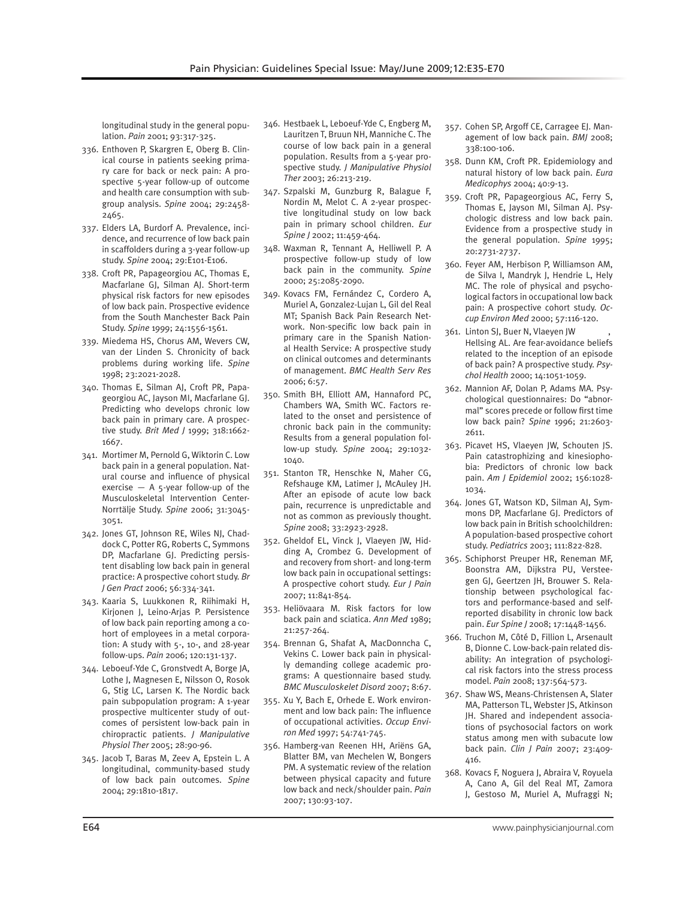longitudinal study in the general population. *Pain* 2001; 93:317-325.

- 336. Enthoven P, Skargren E, Oberg B. Clinical course in patients seeking primary care for back or neck pain: A prospective 5-year follow-up of outcome and health care consumption with subgroup analysis. *Spine* 2004; 29:2458- 2465.
- 337. Elders LA, Burdorf A. Prevalence, incidence, and recurrence of low back pain in scaffolders during a 3-year follow-up study. *Spine* 2004; 29:E101-E106.
- 338. Croft PR, Papageorgiou AC, Thomas E, Macfarlane GJ, Silman AJ. Short-term physical risk factors for new episodes of low back pain. Prospective evidence from the South Manchester Back Pain Study. *Spine* 1999; 24:1556-1561.
- 339. Miedema HS, Chorus AM, Wevers CW, van der Linden S. Chronicity of back problems during working life. *Spine*  1998; 23:2021-2028.
- 340. Thomas E, Silman AJ, Croft PR, Papageorgiou AC, Jayson MI, Macfarlane GJ. Predicting who develops chronic low back pain in primary care. A prospective study. *Brit Med J* 1999; 318:1662- 1667.
- 341. Mortimer M, Pernold G, Wiktorin C. Low back pain in a general population. Natural course and influence of physical exercise  $-$  A 5-year follow-up of the Musculoskeletal Intervention Center-Norrtälje Study. *Spine* 2006; 31:3045- 3051.
- 342. Jones GT, Johnson RE, Wiles NJ, Chaddock C, Potter RG, Roberts C, Symmons DP, Macfarlane GJ. Predicting persistent disabling low back pain in general practice: A prospective cohort study. *Br J Gen Pract* 2006; 56:334-341.
- 343. Kaaria S, Luukkonen R, Riihimaki H, Kirjonen J, Leino-Arjas P. Persistence of low back pain reporting among a cohort of employees in a metal corporation: A study with 5-, 10-, and 28-year follow-ups. *Pain* 2006; 120:131-137.
- 344. Leboeuf-Yde C, Gronstvedt A, Borge JA, Lothe J, Magnesen E, Nilsson O, Rosok G, Stig LC, Larsen K. The Nordic back pain subpopulation program: A 1-year prospective multicenter study of outcomes of persistent low-back pain in chiropractic patients. *J Manipulative Physiol Ther* 2005; 28:90-96.
- 345. Jacob T, Baras M, Zeev A, Epstein L. A longitudinal, community-based study of low back pain outcomes. *Spine* 2004; 29:1810-1817.
- 346. Hestbaek L, Leboeuf-Yde C, Engberg M, Lauritzen T, Bruun NH, Manniche C. The course of low back pain in a general population. Results from a 5-year prospective study. *J Manipulative Physiol Ther* 2003; 26:213-219.
- 347. Szpalski M, Gunzburg R, Balague F, Nordin M, Melot C. A 2-year prospective longitudinal study on low back pain in primary school children. *Eur Spine J* 2002; 11:459-464.
- 348. Waxman R, Tennant A, Helliwell P. A prospective follow-up study of low back pain in the community. *Spine* 2000; 25:2085-2090.
- 349. Kovacs FM, Fernández C, Cordero A, Muriel A, Gonzalez-Lujan L, Gil del Real MT; Spanish Back Pain Research Network. Non-specific low back pain in primary care in the Spanish National Health Service: A prospective study on clinical outcomes and determinants of management. *BMC Health Serv Res* 2006; 6:57.
- 350. Smith BH, Elliott AM, Hannaford PC, Chambers WA, Smith WC. Factors related to the onset and persistence of chronic back pain in the community: Results from a general population follow-up study. *Spine* 2004; 29:1032- 1040.
- 351. Stanton TR, Henschke N, Maher CG, Refshauge KM, Latimer J, McAuley JH. After an episode of acute low back pain, recurrence is unpredictable and not as common as previously thought. *Spine* 2008; 33:2923-2928.
- 352. Gheldof EL, Vinck J, Vlaeyen JW, Hidding A, Crombez G. Development of and recovery from short- and long-term low back pain in occupational settings: A prospective cohort study. *Eur J Pain* 2007; 11:841-854.
- 353. Heliövaara M. Risk factors for low back pain and sciatica. *Ann Med* 1989; 21:257-264.
- 354. Brennan G, Shafat A, MacDonncha C, Vekins C. Lower back pain in physically demanding college academic programs: A questionnaire based study. *BMC Musculoskelet Disord* 2007; 8:67.
- 355. Xu Y, Bach E, Orhede E. Work environment and low back pain: The influence of occupational activities. *Occup Environ Med* 1997; 54:741-745.
- 356. Hamberg-van Reenen HH, Ariëns GA, Blatter BM, van Mechelen W, Bongers PM. A systematic review of the relation between physical capacity and future low back and neck/shoulder pain. *Pain* 2007; 130:93-107.
- 357. Cohen SP, Argoff CE, Carragee EJ. Management of low back pain. *BMJ* 2008; 338:100-106.
- 358. Dunn KM, Croft PR. Epidemiology and natural history of low back pain. *Eura Medicophys* 2004; 40:9-13.
- 359. Croft PR, Papageorgious AC, Ferry S, Thomas E, Jayson MI, Silman AJ. Psychologic distress and low back pain. Evidence from a prospective study in the general population. *Spine* 1995; 20:2731-2737.
- 360. Feyer AM, Herbison P, Williamson AM, de Silva I, Mandryk J, Hendrie L, Hely MC. The role of physical and psychological factors in occupational low back pain: A prospective cohort study. *Occup Environ Med* 2000; 57:116-120.
- 361. Linton SJ, Buer N, Vlaeyen JW , Hellsing AL. Are fear-avoidance beliefs related to the inception of an episode of back pain? A prospective study. *Psychol Health* 2000; 14:1051-1059.
- 362. Mannion AF, Dolan P, Adams MA. Psychological questionnaires: Do "abnormal" scores precede or follow first time low back pain? *Spine* 1996; 21:2603- 2611.
- 363. Picavet HS, Vlaeyen JW, Schouten JS. Pain catastrophizing and kinesiophobia: Predictors of chronic low back pain. *Am J Epidemiol* 2002; 156:1028- 1034.
- 364. Jones GT, Watson KD, Silman AJ, Symmons DP, Macfarlane GJ. Predictors of low back pain in British schoolchildren: A population-based prospective cohort study. *Pediatrics* 2003; 111:822-828.
- 365. Schiphorst Preuper HR, Reneman MF, Boonstra AM, Dijkstra PU, Versteegen GJ, Geertzen JH, Brouwer S. Relationship between psychological factors and performance-based and selfreported disability in chronic low back pain. *Eur Spine J* 2008; 17:1448-1456.
- 366. Truchon M, Côté D, Fillion L, Arsenault B, Dionne C. Low-back-pain related disability: An integration of psychological risk factors into the stress process model. *Pain* 2008; 137:564-573.
- 367. Shaw WS, Means-Christensen A, Slater MA, Patterson TL, Webster JS, Atkinson JH. Shared and independent associations of psychosocial factors on work status among men with subacute low back pain. *Clin J Pain* 2007; 23:409- 416.
- 368. Kovacs F, Noguera J, Abraira V, Royuela A, Cano A, Gil del Real MT, Zamora J, Gestoso M, Muriel A, Mufraggi N;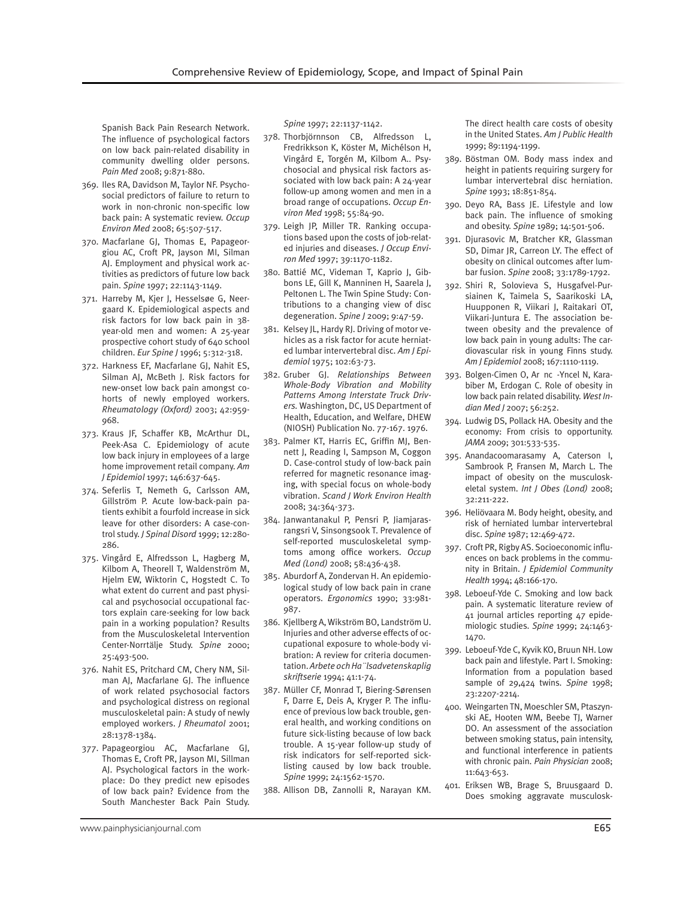Spanish Back Pain Research Network. The influence of psychological factors on low back pain-related disability in community dwelling older persons. *Pain Med* 2008; 9:871-880.

- 369. Iles RA, Davidson M, Taylor NF. Psychosocial predictors of failure to return to work in non-chronic non-specific low back pain: A systematic review. *Occup Environ Med* 2008; 65:507-517.
- 370. Macfarlane GJ, Thomas E, Papageorgiou AC, Croft PR, Jayson MI, Silman AJ. Employment and physical work activities as predictors of future low back pain. *Spine* 1997; 22:1143-1149.
- 371. Harreby M, Kjer J, Hesselsøe G, Neergaard K. Epidemiological aspects and risk factors for low back pain in 38 year-old men and women: A 25-year prospective cohort study of 640 school children. *Eur Spine J* 1996; 5:312-318.
- 372. Harkness EF, Macfarlane GJ, Nahit ES, Silman AJ, McBeth J. Risk factors for new-onset low back pain amongst cohorts of newly employed workers. *Rheumatology (Oxford)* 2003; 42:959- 968.
- 373. Kraus JF, Schaffer KB, McArthur DL, Peek-Asa C. Epidemiology of acute low back injury in employees of a large home improvement retail company. *Am J Epidemiol* 1997; 146:637-645.
- 374. Seferlis T, Nemeth G, Carlsson AM, Gillström P. Acute low-back-pain patients exhibit a fourfold increase in sick leave for other disorders: A case-control study. *J Spinal Disord* 1999; 12:280- 286.
- 375. Vingård E, Alfredsson L, Hagberg M, Kilbom A, Theorell T, Waldenström M, Hjelm EW, Wiktorin C, Hogstedt C. To what extent do current and past physical and psychosocial occupational factors explain care-seeking for low back pain in a working population? Results from the Musculoskeletal Intervention Center-Norrtälje Study. *Spine* 2000; 25:493-500.
- 376. Nahit ES, Pritchard CM, Chery NM, Silman AJ, Macfarlane GJ. The influence of work related psychosocial factors and psychological distress on regional musculoskeletal pain: A study of newly employed workers. *J Rheumatol* 2001; 28:1378-1384.
- 377. Papageorgiou AC, Macfarlane GJ, Thomas E, Croft PR, Jayson MI, Sillman AJ. Psychological factors in the workplace: Do they predict new episodes of low back pain? Evidence from the South Manchester Back Pain Study.

*Spine* 1997; 22:1137-1142.

- 378. Thorbjörnnson CB, Alfredsson L, Fredrikkson K, Köster M, Michélson H, Vingård E, Torgén M, Kilbom A.. Psychosocial and physical risk factors associated with low back pain: A 24-year follow-up among women and men in a broad range of occupations. *Occup Environ Med* 1998; 55:84-90.
- 379. Leigh JP, Miller TR. Ranking occupations based upon the costs of job-related injuries and diseases. *J Occup Environ Med* 1997; 39:1170-1182.
- 380. Battié MC, Videman T, Kaprio J, Gibbons LE, Gill K, Manninen H, Saarela J, Peltonen L. The Twin Spine Study: Contributions to a changing view of disc degeneration. *Spine J* 2009; 9:47-59.
- 381. Kelsey JL, Hardy RJ. Driving of motor vehicles as a risk factor for acute herniated lumbar intervertebral disc. *Am J Epidemiol* 1975; 102:63-73.
- 382. Gruber GJ. *Relationships Between Whole-Body Vibration and Mobility Patterns Among Interstate Truck Drivers.* Washington, DC, US Department of Health, Education, and Welfare, DHEW (NIOSH) Publication No. 77-167. 1976.
- 383. Palmer KT, Harris EC, Griffin MJ, Bennett J, Reading I, Sampson M, Coggon D. Case-control study of low-back pain referred for magnetic resonance imaging, with special focus on whole-body vibration. *Scand J Work Environ Health* 2008; 34:364-373.
- 384. Janwantanakul P, Pensri P, Jiamjarasrangsri V, Sinsongsook T. Prevalence of self-reported musculoskeletal symptoms among office workers. *Occup Med (Lond)* 2008; 58:436-438.
- 385. Aburdorf A, Zondervan H. An epidemiological study of low back pain in crane operators. *Ergonomics* 1990; 33:981- 987.
- 386. Kjellberg A, Wikström BO, Landström U. Injuries and other adverse effects of occupational exposure to whole-body vibration: A review for criteria documentation. *Arbete och Ha¨lsadvetenskaplig skriftserie* 1994; 41:1-74.
- 387. Müller CF, Monrad T, Biering-Sørensen F, Darre E, Deis A, Kryger P. The influence of previous low back trouble, general health, and working conditions on future sick-listing because of low back trouble. A 15-year follow-up study of risk indicators for self-reported sicklisting caused by low back trouble. *Spine* 1999; 24:1562-1570.
- 388. Allison DB, Zannolli R, Narayan KM.

The direct health care costs of obesity in the United States. *Am J Public Health*  1999; 89:1194-1199.

- 389. Böstman OM. Body mass index and height in patients requiring surgery for lumbar intervertebral disc herniation. *Spine* 1993; 18:851-854.
- 390. Deyo RA, Bass JE. Lifestyle and low back pain. The influence of smoking and obesity. *Spine* 1989; 14:501-506.
- 391. Djurasovic M, Bratcher KR, Glassman SD, Dimar JR, Carreon LY. The effect of obesity on clinical outcomes after lumbar fusion. *Spine* 2008; 33:1789-1792.
- 392. Shiri R, Solovieva S, Husgafvel-Pursiainen K, Taimela S, Saarikoski LA, Huupponen R, Viikari J, Raitakari OT, Viikari-Juntura E. The association between obesity and the prevalence of low back pain in young adults: The cardiovascular risk in young Finns study. *Am J Epidemiol* 2008; 167:1110-1119.
- 393. Bolgen-Cimen O, Ar nc -Yncel N, Karabiber M, Erdogan C. Role of obesity in low back pain related disability. *West Indian Med J* 2007; 56:252.
- 394. Ludwig DS, Pollack HA. Obesity and the economy: From crisis to opportunity. *JAMA* 2009; 301:533-535.
- 395. Anandacoomarasamy A, Caterson I, Sambrook P, Fransen M, March L. The impact of obesity on the musculoskeletal system. *Int J Obes (Lond)* 2008; 32:211-222.
- 396. Heliövaara M. Body height, obesity, and risk of herniated lumbar intervertebral disc. *Spine* 1987; 12:469-472.
- 397. Croft PR, Rigby AS. Socioeconomic influences on back problems in the community in Britain. *J Epidemiol Community Health* 1994; 48:166-170.
- 398. Leboeuf-Yde C. Smoking and low back pain. A systematic literature review of 41 journal articles reporting 47 epidemiologic studies. *Spine* 1999; 24:1463- 1470.
- 399. Leboeuf-Yde C, Kyvik KO, Bruun NH. Low back pain and lifestyle. Part I. Smoking: Information from a population based sample of 29,424 twins. *Spine* 1998; 23:2207-2214.
- 400. Weingarten TN, Moeschler SM, Ptaszynski AE, Hooten WM, Beebe TJ, Warner DO. An assessment of the association between smoking status, pain intensity, and functional interference in patients with chronic pain. *Pain Physician* 2008; 11:643-653.
- 401. Eriksen WB, Brage S, Bruusgaard D. Does smoking aggravate musculosk-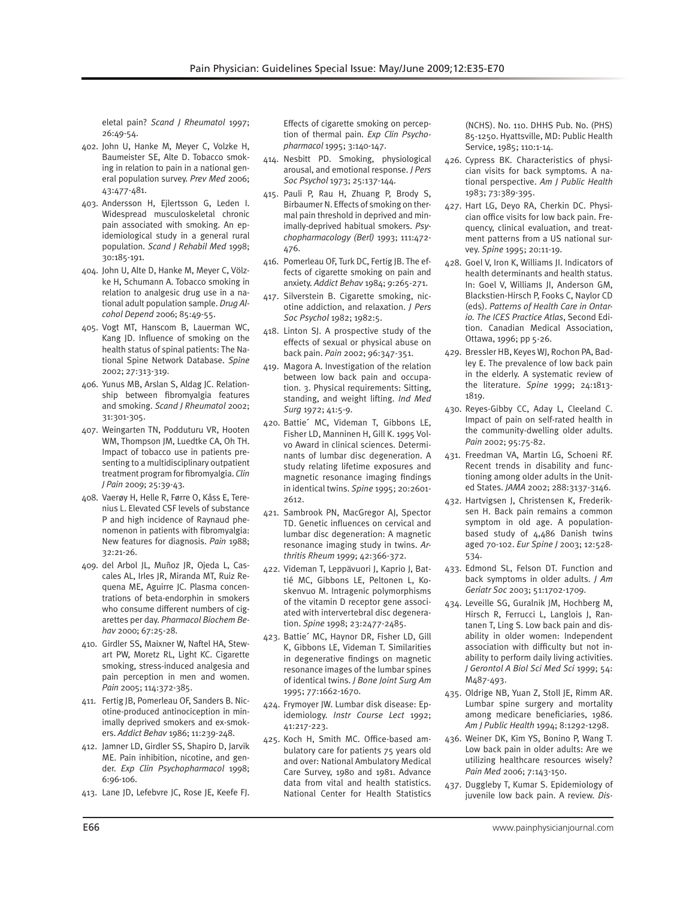eletal pain? *Scand J Rheumatol* 1997; 26:49-54.

- 402. John U, Hanke M, Meyer C, Volzke H, Baumeister SE, Alte D. Tobacco smoking in relation to pain in a national general population survey. *Prev Med* 2006; 43:477-481.
- 403. Andersson H, Ejlertsson G, Leden I. Widespread musculoskeletal chronic pain associated with smoking. An epidemiological study in a general rural population. *Scand J Rehabil Med* 1998; 30:185-191.
- 404. John U, Alte D, Hanke M, Meyer C, Völzke H, Schumann A. Tobacco smoking in relation to analgesic drug use in a national adult population sample. *Drug Alcohol Depend* 2006; 85:49-55.
- 405. Vogt MT, Hanscom B, Lauerman WC, Kang JD. Influence of smoking on the health status of spinal patients: The National Spine Network Database. *Spine*  2002; 27:313-319.
- 406. Yunus MB, Arslan S, Aldag JC. Relationship between fibromyalgia features and smoking. *Scand J Rheumatol* 2002; 31:301-305.
- 407. Weingarten TN, Podduturu VR, Hooten WM, Thompson JM, Luedtke CA, Oh TH. Impact of tobacco use in patients presenting to a multidisciplinary outpatient treatment program for fibromyalgia. *Clin J Pain* 2009; 25:39-43.
- 408. Vaerøy H, Helle R, Førre O, Kåss E, Terenius L. Elevated CSF levels of substance P and high incidence of Raynaud phenomenon in patients with fibromyalgia: New features for diagnosis. *Pain* 1988; 32:21-26.
- 409. del Arbol JL, Muñoz JR, Ojeda L, Cascales AL, Irles JR, Miranda MT, Ruiz Requena ME, Aguirre JC. Plasma concentrations of beta-endorphin in smokers who consume different numbers of cigarettes per day. *Pharmacol Biochem Behav* 2000; 67:25-28.
- 410. Girdler SS, Maixner W, Naftel HA, Stewart PW, Moretz RL, Light KC. Cigarette smoking, stress-induced analgesia and pain perception in men and women. *Pain* 2005; 114:372-385.
- 411. Fertig JB, Pomerleau OF, Sanders B. Nicotine-produced antinociception in minimally deprived smokers and ex-smokers. *Addict Behav* 1986; 11:239-248.
- 412. Jamner LD, Girdler SS, Shapiro D, Jarvik ME. Pain inhibition, nicotine, and gender. *Exp Clin Psychopharmacol* 1998; 6:96-106.
- 413. Lane JD, Lefebvre JC, Rose JE, Keefe FJ.

Effects of cigarette smoking on perception of thermal pain. *Exp Clin Psychopharmacol* 1995; 3:140-147.

- 414. Nesbitt PD. Smoking, physiological arousal, and emotional response. *J Pers Soc Psychol* 1973; 25:137-144.
- 415. Pauli P, Rau H, Zhuang P, Brody S, Birbaumer N. Effects of smoking on thermal pain threshold in deprived and minimally-deprived habitual smokers. *Psychopharmacology (Berl)* 1993; 111:472- 476.
- 416. Pomerleau OF, Turk DC, Fertig JB. The effects of cigarette smoking on pain and anxiety. *Addict Behav* 1984; 9:265-271.
- 417. Silverstein B. Cigarette smoking, nicotine addiction, and relaxation. *J Pers Soc Psychol* 1982; 1982:5.
- 418. Linton SJ. A prospective study of the effects of sexual or physical abuse on back pain. *Pain* 2002; 96:347-351.
- 419. Magora A. Investigation of the relation between low back pain and occupation. 3. Physical requirements: Sitting, standing, and weight lifting. *Ind Med Surg* 1972; 41:5-9.
- 420. Battie´ MC, Videman T, Gibbons LE, Fisher LD, Manninen H, Gill K. 1995 Volvo Award in clinical sciences. Determinants of lumbar disc degeneration. A study relating lifetime exposures and magnetic resonance imaging findings in identical twins. *Spine* 1995; 20:2601- 2612.
- 421. Sambrook PN, MacGregor AJ, Spector TD. Genetic influences on cervical and lumbar disc degeneration: A magnetic resonance imaging study in twins. *Arthritis Rheum* 1999; 42:366-372.
- 422. Videman T, Leppävuori J, Kaprio J, Battié MC, Gibbons LE, Peltonen L, Koskenvuo M. Intragenic polymorphisms of the vitamin D receptor gene associated with intervertebral disc degeneration. *Spine* 1998; 23:2477-2485.
- 423. Battie´ MC, Haynor DR, Fisher LD, Gill K, Gibbons LE, Videman T. Similarities in degenerative findings on magnetic resonance images of the lumbar spines of identical twins. *J Bone Joint Surg Am* 1995; 77:1662-1670.
- 424. Frymoyer JW. Lumbar disk disease: Epidemiology. *Instr Course Lect* 1992; 41:217-223.
- 425. Koch H, Smith MC. Office-based ambulatory care for patients 75 years old and over: National Ambulatory Medical Care Survey, 1980 and 1981. Advance data from vital and health statistics. National Center for Health Statistics

(NCHS). No. 110. DHHS Pub. No. (PHS) 85-1250. Hyattsville, MD: Public Health Service, 1985; 110:1-14.

- 426. Cypress BK. Characteristics of physician visits for back symptoms. A national perspective. *Am J Public Health*  1983; 73:389-395.
- 427. Hart LG, Deyo RA, Cherkin DC. Physician office visits for low back pain. Frequency, clinical evaluation, and treatment patterns from a US national survey. *Spine* 1995; 20:11-19.
- 428. Goel V, Iron K, Williams JI. Indicators of health determinants and health status. In: Goel V, Williams JI, Anderson GM, Blackstien-Hirsch P, Fooks C, Naylor CD (eds). *Patterns of Health Care in Ontario. The ICES Practice Atlas*, Second Edition. Canadian Medical Association, Ottawa, 1996; pp 5-26.
- 429. Bressler HB, Keyes WJ, Rochon PA, Badley E. The prevalence of low back pain in the elderly. A systematic review of the literature. *Spine* 1999; 24:1813- 1819.
- 430. Reyes-Gibby CC, Aday L, Cleeland C. Impact of pain on self-rated health in the community-dwelling older adults. *Pain* 2002; 95:75-82.
- 431. Freedman VA, Martin LG, Schoeni RF. Recent trends in disability and functioning among older adults in the United States. *JAMA* 2002; 288:3137-3146.
- 432. Hartvigsen J, Christensen K, Frederiksen H. Back pain remains a common symptom in old age. A populationbased study of 4,486 Danish twins aged 70-102. *Eur Spine J* 2003; 12:528- 534.
- 433. Edmond SL, Felson DT. Function and back symptoms in older adults. *J Am Geriatr Soc* 2003; 51:1702-1709.
- 434. Leveille SG, Guralnik JM, Hochberg M, Hirsch R, Ferrucci L, Langlois J, Rantanen T, Ling S. Low back pain and disability in older women: Independent association with difficulty but not inability to perform daily living activities. *J Gerontol A Biol Sci Med Sci* 1999; 54: M487-493.
- 435. Oldrige NB, Yuan Z, Stoll JE, Rimm AR. Lumbar spine surgery and mortality among medicare beneficiaries, 1986. *Am J Public Health* 1994; 8:1292-1298.
- 436. Weiner DK, Kim YS, Bonino P, Wang T. Low back pain in older adults: Are we utilizing healthcare resources wisely? *Pain Med* 2006; 7:143-150.
- 437. Duggleby T, Kumar S. Epidemiology of juvenile low back pain. A review. *Dis-*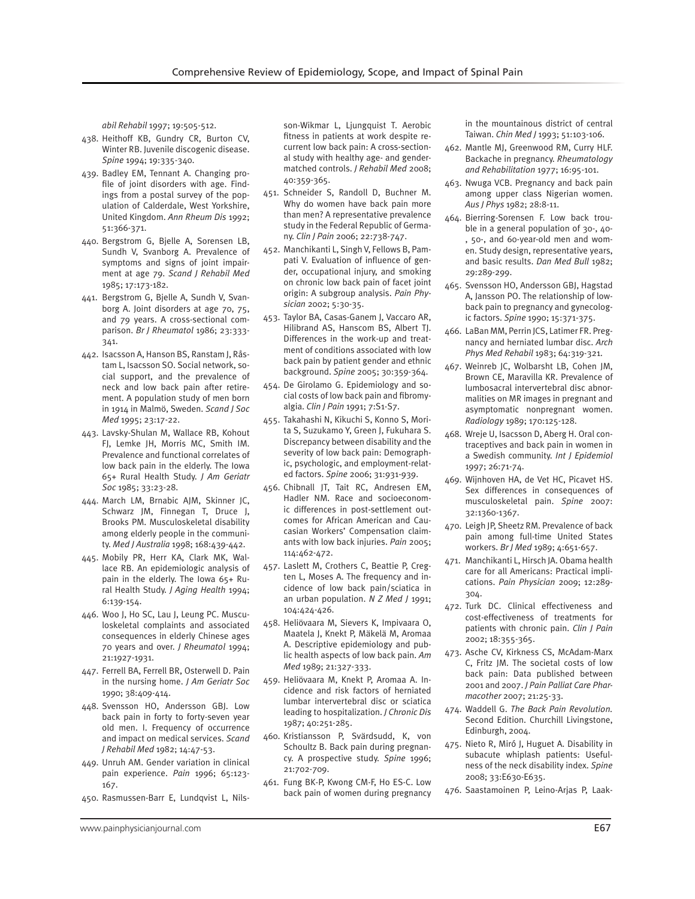*abil Rehabil* 1997; 19:505-512.

- 438. Heithoff KB, Gundry CR, Burton CV, Winter RB. Juvenile discogenic disease. *Spine* 1994; 19:335-340.
- 439. Badley EM, Tennant A. Changing profile of joint disorders with age. Findings from a postal survey of the population of Calderdale, West Yorkshire, United Kingdom. *Ann Rheum Dis* 1992; 51:366-371.
- 440. Bergstrom G, Bjelle A, Sorensen LB, Sundh V, Svanborg A. Prevalence of symptoms and signs of joint impairment at age 79. *Scand J Rehabil Med*  1985; 17:173-182.
- 441. Bergstrom G, Bjelle A, Sundh V, Svanborg A. Joint disorders at age 70, 75, and 79 years. A cross-sectional comparison. *Br J Rheumatol* 1986; 23:333- 341.
- 442. Isacsson A, Hanson BS, Ranstam J, Råstam L, Isacsson SO. Social network, social support, and the prevalence of neck and low back pain after retirement. A population study of men born in 1914 in Malmö, Sweden. *Scand J Soc Med* 1995; 23:17-22.
- 443. Lavsky-Shulan M, Wallace RB, Kohout FJ, Lemke JH, Morris MC, Smith IM. Prevalence and functional correlates of low back pain in the elderly. The Iowa 65+ Rural Health Study. *J Am Geriatr Soc* 1985; 33:23-28.
- 444. March LM, Brnabic AJM, Skinner JC, Schwarz JM, Finnegan T, Druce J, Brooks PM. Musculoskeletal disability among elderly people in the community. *Med J Australia* 1998; 168:439-442.
- 445. Mobily PR, Herr KA, Clark MK, Wallace RB. An epidemiologic analysis of pain in the elderly. The Iowa 65+ Rural Health Study. *J Aging Health* 1994; 6:139-154.
- 446. Woo J, Ho SC, Lau J, Leung PC. Musculoskeletal complaints and associated consequences in elderly Chinese ages 70 years and over. *J Rheumatol* 1994; 21:1927-1931.
- 447. Ferrell BA, Ferrell BR, Osterwell D. Pain in the nursing home. *J Am Geriatr Soc*  1990; 38:409-414.
- 448. Svensson HO, Andersson GBJ. Low back pain in forty to forty-seven year old men. I. Frequency of occurrence and impact on medical services. *Scand J Rehabil Med* 1982; 14:47-53.
- 449. Unruh AM. Gender variation in clinical pain experience. *Pain* 1996; 65:123- 167.
- 450. Rasmussen-Barr E, Lundqvist L, Nils-

son-Wikmar L, Ljungquist T. Aerobic fitness in patients at work despite recurrent low back pain: A cross-sectional study with healthy age- and gendermatched controls. *J Rehabil Med* 2008; 40:359-365.

- 451. Schneider S, Randoll D, Buchner M. Why do women have back pain more than men? A representative prevalence study in the Federal Republic of Germany. *Clin J Pain* 2006; 22:738-747.
- 452. Manchikanti L, Singh V, Fellows B, Pampati V. Evaluation of influence of gender, occupational injury, and smoking on chronic low back pain of facet joint origin: A subgroup analysis. *Pain Physician* 2002; 5:30-35.
- 453. Taylor BA, Casas-Ganem J, Vaccaro AR, Hilibrand AS, Hanscom BS, Albert TJ. Differences in the work-up and treatment of conditions associated with low back pain by patient gender and ethnic background. *Spine* 2005; 30:359-364.
- 454. De Girolamo G. Epidemiology and social costs of low back pain and fibromyalgia. *Clin J Pain* 1991; 7:S1-S7.
- 455. Takahashi N, Kikuchi S, Konno S, Morita S, Suzukamo Y, Green J, Fukuhara S. Discrepancy between disability and the severity of low back pain: Demographic, psychologic, and employment-related factors. *Spine* 2006; 31:931-939.
- 456. Chibnall JT, Tait RC, Andresen EM, Hadler NM. Race and socioeconomic differences in post-settlement outcomes for African American and Caucasian Workers' Compensation claimants with low back injuries. *Pain* 2005; 114:462-472.
- 457. Laslett M, Crothers C, Beattie P, Cregten L, Moses A. The frequency and incidence of low back pain/sciatica in an urban population. *N Z Med J* 1991; 104:424-426.
- 458. Heliövaara M, Sievers K, Impivaara O, Maatela J, Knekt P, Mäkelä M, Aromaa A. Descriptive epidemiology and public health aspects of low back pain. *Am Med* 1989; 21:327-333.
- 459. Heliövaara M, Knekt P, Aromaa A. Incidence and risk factors of herniated lumbar intervertebral disc or sciatica leading to hospitalization. *J Chronic Dis*  1987; 40:251-285.
- 460. Kristiansson P, Svärdsudd, K, von Schoultz B. Back pain during pregnancy. A prospective study. *Spine* 1996; 21:702-709.
- 461. Fung BK-P, Kwong CM-F, Ho ES-C. Low back pain of women during pregnancy

in the mountainous district of central Taiwan. *Chin Med J* 1993; 51:103-106.

- 462. Mantle MJ, Greenwood RM, Curry HLF. Backache in pregnancy. *Rheumatology and Rehabilitation* 1977; 16:95-101.
- 463. Nwuga VCB. Pregnancy and back pain among upper class Nigerian women. *Aus J Phys* 1982; 28:8-11.
- 464. Bierring-Sorensen F. Low back trouble in a general population of 30-, 40- , 50-, and 60-year-old men and women. Study design, representative years, and basic results. *Dan Med Bull* 1982; 29:289-299.
- 465. Svensson HO, Andersson GBJ, Hagstad A, Jansson PO. The relationship of lowback pain to pregnancy and gynecologic factors. *Spine* 1990; 15:371-375.
- 466. LaBan MM, Perrin JCS, Latimer FR. Pregnancy and herniated lumbar disc. *Arch Phys Med Rehabil* 1983; 64:319-321.
- 467. Weinreb JC, Wolbarsht LB, Cohen JM, Brown CE, Maravilla KR. Prevalence of lumbosacral intervertebral disc abnormalities on MR images in pregnant and asymptomatic nonpregnant women. *Radiology* 1989; 170:125-128.
- 468. Wreje U, Isacsson D, Aberg H. Oral contraceptives and back pain in women in a Swedish community. *Int J Epidemiol*  1997; 26:71-74.
- 469. Wijnhoven HA, de Vet HC, Picavet HS. Sex differences in consequences of musculoskeletal pain. *Spine* 2007: 32:1360-1367.
- 470. Leigh JP, Sheetz RM. Prevalence of back pain among full-time United States workers. *Br J Med* 1989; 4:651-657.
- 471. Manchikanti L, Hirsch JA. Obama health care for all Americans: Practical implications. *Pain Physician* 2009; 12:289- 304.
- 472. Turk DC. Clinical effectiveness and cost-effectiveness of treatments for patients with chronic pain. *Clin J Pain* 2002; 18:355-365.
- 473. Asche CV, Kirkness CS, McAdam-Marx C, Fritz JM. The societal costs of low back pain: Data published between 2001 and 2007. *J Pain Palliat Care Pharmacother* 2007; 21:25-33.
- 474. Waddell G. *The Back Pain Revolution.* Second Edition. Churchill Livingstone, Edinburgh, 2004.
- 475. Nieto R, Miró J, Huguet A. Disability in subacute whiplash patients: Usefulness of the neck disability index. *Spine* 2008; 33:E630-E635.
- 476. Saastamoinen P, Leino-Arjas P, Laak-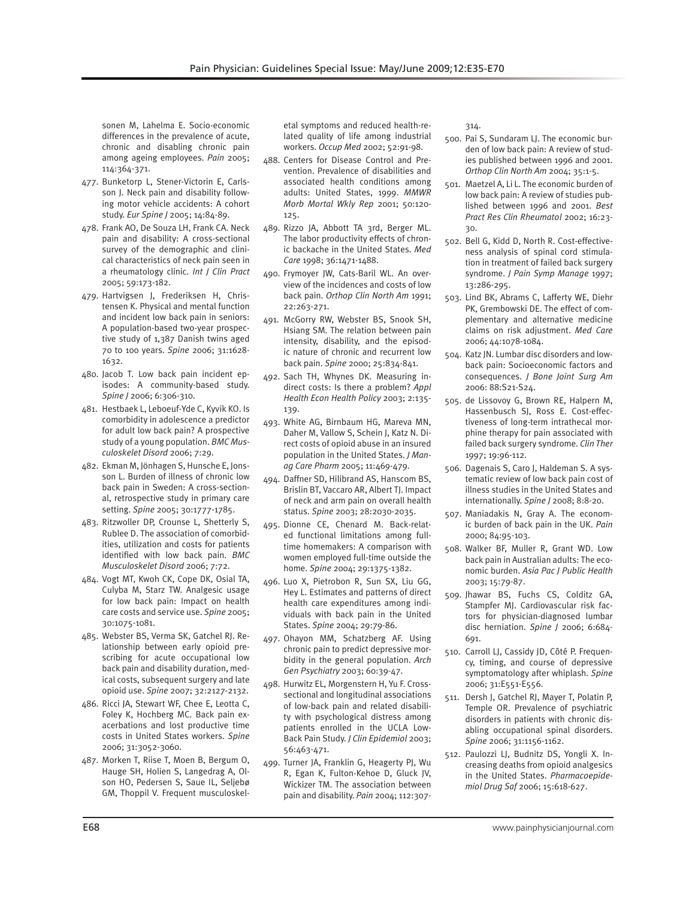sonen M, Lahelma E. Socio-economic differences in the prevalence of acute, chronic and disabling chronic pain among ageing employees. *Pain* 2005; 114:364-371.

- 477. Bunketorp L, Stener-Victorin E, Carlsson J. Neck pain and disability following motor vehicle accidents: A cohort study. *Eur Spine J* 2005; 14:84-89.
- 478. Frank AO, De Souza LH, Frank CA. Neck pain and disability: A cross-sectional survey of the demographic and clinical characteristics of neck pain seen in a rheumatology clinic. *Int J Clin Pract* 2005; 59:173-182.
- 479. Hartvigsen J, Frederiksen H, Christensen K. Physical and mental function and incident low back pain in seniors: A population-based two-year prospective study of 1,387 Danish twins aged 70 to 100 years. *Spine* 2006; 31:1628- 1632.
- 480. Jacob T. Low back pain incident episodes: A community-based study. *Spine J* 2006; 6:306-310.
- 481. Hestbaek L, Leboeuf-Yde C, Kyvik KO. Is comorbidity in adolescence a predictor for adult low back pain? A prospective study of a young population. *BMC Musculoskelet Disord* 2006; 7:29.
- 482. Ekman M, Jönhagen S, Hunsche E, Jonsson L. Burden of illness of chronic low back pain in Sweden: A cross-sectional, retrospective study in primary care setting. *Spine* 2005; 30:1777-1785.
- 483. Ritzwoller DP, Crounse L, Shetterly S, Rublee D. The association of comorbidities, utilization and costs for patients identified with low back pain. *BMC Musculoskelet Disord* 2006; 7:72.
- 484. Vogt MT, Kwoh CK, Cope DK, Osial TA, Culyba M, Starz TW. Analgesic usage for low back pain: Impact on health care costs and service use. *Spine* 2005; 30:1075-1081.
- 485. Webster BS, Verma SK, Gatchel RJ. Relationship between early opioid prescribing for acute occupational low back pain and disability duration, medical costs, subsequent surgery and late opioid use. *Spine* 2007; 32:2127-2132.
- 486. Ricci JA, Stewart WF, Chee E, Leotta C, Foley K, Hochberg MC. Back pain exacerbations and lost productive time costs in United States workers. *Spine* 2006; 31:3052-3060.
- 487. Morken T, Riise T, Moen B, Bergum O, Hauge SH, Holien S, Langedrag A, Olson HO, Pedersen S, Saue IL, Seljebø GM, Thoppil V. Frequent musculoskel-

etal symptoms and reduced health-related quality of life among industrial workers. *Occup Med* 2002; 52:91-98.

- 488. Centers for Disease Control and Prevention. Prevalence of disabilities and associated health conditions among adults: United States, 1999. *MMWR Morb Mortal Wkly Rep* 2001; 50:120- 125.
- 489. Rizzo JA, Abbott TA 3rd, Berger ML. The labor productivity effects of chronic backache in the United States. *Med Care* 1998; 36:1471-1488.
- 490. Frymoyer JW, Cats-Baril WL. An overview of the incidences and costs of low back pain. *Orthop Clin North Am* 1991; 22:263-271.
- 491. McGorry RW, Webster BS, Snook SH, Hsiang SM. The relation between pain intensity, disability, and the episodic nature of chronic and recurrent low back pain. *Spine* 2000; 25:834-841.
- 492. Sach TH, Whynes DK. Measuring indirect costs: Is there a problem? *Appl Health Econ Health Policy* 2003; 2:135- 139.
- 493. White AG, Birnbaum HG, Mareva MN, Daher M, Vallow S, Schein J, Katz N. Direct costs of opioid abuse in an insured population in the United States. *J Manag Care Pharm* 2005; 11:469-479.
- 494. Daffner SD, Hilibrand AS, Hanscom BS, Brislin BT, Vaccaro AR, Albert TJ. Impact of neck and arm pain on overall health status. *Spine* 2003; 28:2030-2035.
- 495. Dionne CE, Chenard M. Back-related functional limitations among fulltime homemakers: A comparison with women employed full-time outside the home. *Spine* 2004; 29:1375-1382.
- 496. Luo X, Pietrobon R, Sun SX, Liu GG, Hey L. Estimates and patterns of direct health care expenditures among individuals with back pain in the United States. *Spine* 2004; 29:79-86.
- 497. Ohayon MM, Schatzberg AF. Using chronic pain to predict depressive morbidity in the general population. *Arch Gen Psychiatry* 2003; 60:39-47.
- 498. Hurwitz EL, Morgenstern H, Yu F. Crosssectional and longitudinal associations of low-back pain and related disability with psychological distress among patients enrolled in the UCLA Low-Back Pain Study. *J Clin Epidemiol* 2003; 56:463-471.
- 499. Turner JA, Franklin G, Heagerty PJ, Wu R, Egan K, Fulton-Kehoe D, Gluck JV, Wickizer TM. The association between pain and disability. *Pain* 2004; 112:307-

314.

- 500. Pai S, Sundaram LJ. The economic burden of low back pain: A review of studies published between 1996 and 2001. *Orthop Clin North Am* 2004; 35:1-5.
- 501. Maetzel A, Li L. The economic burden of low back pain: A review of studies published between 1996 and 2001. *Best Pract Res Clin Rheumatol* 2002; 16:23- 30.
- 502. Bell G, Kidd D, North R. Cost-effectiveness analysis of spinal cord stimulation in treatment of failed back surgery syndrome. *J Pain Symp Manage* 1997; 13:286-295.
- 503. Lind BK, Abrams C, Lafferty WE, Diehr PK, Grembowski DE. The effect of complementary and alternative medicine claims on risk adjustment. *Med Care* 2006; 44:1078-1084.
- 504. Katz JN. Lumbar disc disorders and lowback pain: Socioeconomic factors and consequences. *J Bone Joint Surg Am* 2006: 88:S21-S24.
- 505. de Lissovoy G, Brown RE, Halpern M, Hassenbusch SJ, Ross E. Cost-effectiveness of long-term intrathecal morphine therapy for pain associated with failed back surgery syndrome. *Clin Ther*  1997; 19:96-112.
- 506. Dagenais S, Caro J, Haldeman S. A systematic review of low back pain cost of illness studies in the United States and internationally. *Spine J* 2008; 8:8-20.
- 507. Maniadakis N, Gray A. The economic burden of back pain in the UK. *Pain* 2000; 84:95-103.
- 508. Walker BF, Muller R, Grant WD. Low back pain in Australian adults: The economic burden. *Asia Pac J Public Health*  2003; 15:79-87.
- 509. Jhawar BS, Fuchs CS, Colditz GA, Stampfer MJ. Cardiovascular risk factors for physician-diagnosed lumbar disc herniation. *Spine J* 2006; 6:684- 691.
- 510. Carroll LJ, Cassidy JD, Côté P. Frequency, timing, and course of depressive symptomatology after whiplash. *Spine* 2006; 31:E551-E556.
- 511. Dersh J, Gatchel RJ, Mayer T, Polatin P, Temple OR. Prevalence of psychiatric disorders in patients with chronic disabling occupational spinal disorders. *Spine* 2006; 31:1156-1162.
- 512. Paulozzi LJ, Budnitz DS, Yongli X. Increasing deaths from opioid analgesics in the United States. *Pharmacoepidemiol Drug Saf* 2006; 15:618-627.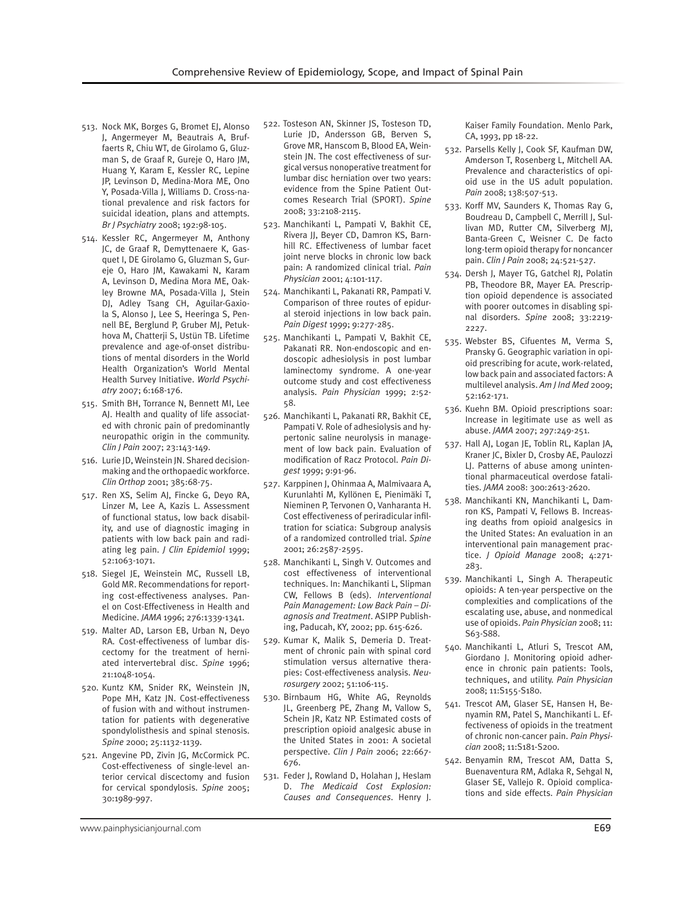- 513. Nock MK, Borges G, Bromet EJ, Alonso J, Angermeyer M, Beautrais A, Bruffaerts R, Chiu WT, de Girolamo G, Gluzman S, de Graaf R, Gureje O, Haro JM, Huang Y, Karam E, Kessler RC, Lepine JP, Levinson D, Medina-Mora ME, Ono Y, Posada-Villa J, Williams D. Cross-national prevalence and risk factors for suicidal ideation, plans and attempts. *Br J Psychiatry* 2008; 192:98-105.
- 514. Kessler RC, Angermeyer M, Anthony JC, de Graaf R, Demyttenaere K, Gasquet I, DE Girolamo G, Gluzman S, Gureje O, Haro JM, Kawakami N, Karam A, Levinson D, Medina Mora ME, Oakley Browne MA, Posada-Villa J, Stein DJ, Adley Tsang CH, Aguilar-Gaxiola S, Alonso J, Lee S, Heeringa S, Pennell BE, Berglund P, Gruber MJ, Petukhova M, Chatterji S, Ustün TB. Lifetime prevalence and age-of-onset distributions of mental disorders in the World Health Organization's World Mental Health Survey Initiative. *World Psychiatry* 2007; 6:168-176.
- 515. Smith BH, Torrance N, Bennett MI, Lee AJ. Health and quality of life associated with chronic pain of predominantly neuropathic origin in the community. *Clin J Pain* 2007; 23:143-149.
- 516. Lurie JD, Weinstein JN. Shared decisionmaking and the orthopaedic workforce. *Clin Orthop* 2001; 385:68-75.
- 517. Ren XS, Selim AJ, Fincke G, Deyo RA, Linzer M, Lee A, Kazis L. Assessment of functional status, low back disability, and use of diagnostic imaging in patients with low back pain and radiating leg pain. *J Clin Epidemiol* 1999; 52:1063-1071.
- 518. Siegel JE, Weinstein MC, Russell LB, Gold MR. Recommendations for reporting cost-effectiveness analyses. Panel on Cost-Effectiveness in Health and Medicine. *JAMA* 1996; 276:1339-1341.
- 519. Malter AD, Larson EB, Urban N, Deyo RA. Cost-effectiveness of lumbar discectomy for the treatment of herniated intervertebral disc. *Spine* 1996; 21:1048-1054.
- 520. Kuntz KM, Snider RK, Weinstein JN, Pope MH, Katz JN. Cost-effectiveness of fusion with and without instrumentation for patients with degenerative spondylolisthesis and spinal stenosis. *Spine* 2000; 25:1132-1139.
- 521. Angevine PD, Zivin JG, McCormick PC. Cost-effectiveness of single-level anterior cervical discectomy and fusion for cervical spondylosis. *Spine* 2005; 30:1989-997.
- 522. Tosteson AN, Skinner JS, Tosteson TD, Lurie JD, Andersson GB, Berven S, Grove MR, Hanscom B, Blood EA, Weinstein JN. The cost effectiveness of surgical versus nonoperative treatment for lumbar disc herniation over two years: evidence from the Spine Patient Outcomes Research Trial (SPORT). *Spine* 2008; 33:2108-2115.
- 523. Manchikanti L, Pampati V, Bakhit CE, Rivera JJ, Beyer CD, Damron KS, Barnhill RC. Effectiveness of lumbar facet joint nerve blocks in chronic low back pain: A randomized clinical trial. *Pain Physician* 2001; 4:101-117.
- 524. Manchikanti L, Pakanati RR, Pampati V. Comparison of three routes of epidural steroid injections in low back pain. *Pain Digest* 1999; 9:277-285.
- 525. Manchikanti L, Pampati V, Bakhit CE, Pakanati RR. Non-endoscopic and endoscopic adhesiolysis in post lumbar laminectomy syndrome. A one-year outcome study and cost effectiveness analysis. *Pain Physician* 1999; 2:52- 58.
- 526. Manchikanti L, Pakanati RR, Bakhit CE, Pampati V. Role of adhesiolysis and hypertonic saline neurolysis in management of low back pain. Evaluation of modification of Racz Protocol. *Pain Digest* 1999; 9:91-96.
- 527. Karppinen J, Ohinmaa A, Malmivaara A, Kurunlahti M, Kyllönen E, Pienimäki T, Nieminen P, Tervonen O, Vanharanta H. Cost effectiveness of periradicular infiltration for sciatica: Subgroup analysis of a randomized controlled trial. *Spine* 2001; 26:2587-2595.
- 528. Manchikanti L, Singh V. Outcomes and cost effectiveness of interventional techniques. In: Manchikanti L, Slipman CW, Fellows B (eds). *Interventional Pain Management: Low Back Pain – Diagnosis and Treatment*. ASIPP Publishing, Paducah, KY, 2002; pp. 615-626.
- 529. Kumar K, Malik S, Demeria D. Treatment of chronic pain with spinal cord stimulation versus alternative therapies: Cost-effectiveness analysis. *Neurosurgery* 2002; 51:106-115.
- 530. Birnbaum HG, White AG, Reynolds JL, Greenberg PE, Zhang M, Vallow S, Schein JR, Katz NP. Estimated costs of prescription opioid analgesic abuse in the United States in 2001: A societal perspective. *Clin J Pain* 2006; 22:667- 676.
- 531. Feder J, Rowland D, Holahan J, Heslam D. *The Medicaid Cost Explosion: Causes and Consequences*. Henry J.

Kaiser Family Foundation. Menlo Park, CA, 1993, pp 18-22.

- 532. Parsells Kelly J, Cook SF, Kaufman DW, Amderson T, Rosenberg L, Mitchell AA. Prevalence and characteristics of opioid use in the US adult population. *Pain* 2008; 138:507-513.
- 533. Korff MV, Saunders K, Thomas Ray G, Boudreau D, Campbell C, Merrill J, Sullivan MD, Rutter CM, Silverberg MJ, Banta-Green C, Weisner C. De facto long-term opioid therapy for noncancer pain. *Clin J Pain* 2008; 24:521-527.
- 534. Dersh J, Mayer TG, Gatchel RJ, Polatin PB, Theodore BR, Mayer EA. Prescription opioid dependence is associated with poorer outcomes in disabling spinal disorders. *Spine* 2008; 33:2219- 2227.
- 535. Webster BS, Cifuentes M, Verma S, Pransky G. Geographic variation in opioid prescribing for acute, work-related, low back pain and associated factors: A multilevel analysis. *Am J Ind Med* 2009; 52:162-171.
- 536. Kuehn BM. Opioid prescriptions soar: Increase in legitimate use as well as abuse. *JAMA* 2007; 297:249-251.
- 537. Hall AJ, Logan JE, Toblin RL, Kaplan JA, Kraner JC, Bixler D, Crosby AE, Paulozzi LJ. Patterns of abuse among unintentional pharmaceutical overdose fatalities. *JAMA* 2008: 300:2613-2620.
- 538. Manchikanti KN, Manchikanti L, Damron KS, Pampati V, Fellows B. Increasing deaths from opioid analgesics in the United States: An evaluation in an interventional pain management practice. *J Opioid Manage* 2008; 4:271- 283.
- 539. Manchikanti L, Singh A. Therapeutic opioids: A ten-year perspective on the complexities and complications of the escalating use, abuse, and nonmedical use of opioids. *Pain Physician* 2008; 11: S63-S88.
- 540. Manchikanti L, Atluri S, Trescot AM, Giordano J. Monitoring opioid adherence in chronic pain patients: Tools, techniques, and utility. *Pain Physician* 2008; 11:S155-S180.
- 541. Trescot AM, Glaser SE, Hansen H, Benyamin RM, Patel S, Manchikanti L. Effectiveness of opioids in the treatment of chronic non-cancer pain. *Pain Physician* 2008; 11:S181-S200.
- 542. Benyamin RM, Trescot AM, Datta S, Buenaventura RM, Adlaka R, Sehgal N, Glaser SE, Vallejo R. Opioid complications and side effects. *Pain Physician*